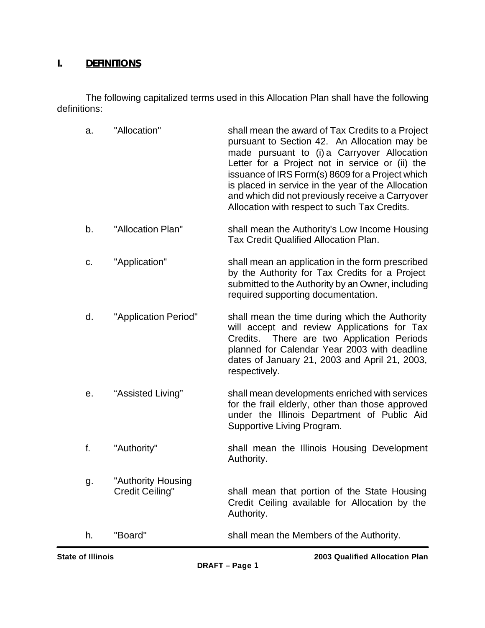### **I. DEFINITIONS**

The following capitalized terms used in this Allocation Plan shall have the following definitions:

| a. | "Allocation"                          | shall mean the award of Tax Credits to a Project<br>pursuant to Section 42. An Allocation may be<br>made pursuant to (i) a Carryover Allocation<br>Letter for a Project not in service or (ii) the<br>issuance of IRS Form(s) 8609 for a Project which<br>is placed in service in the year of the Allocation<br>and which did not previously receive a Carryover<br>Allocation with respect to such Tax Credits. |
|----|---------------------------------------|------------------------------------------------------------------------------------------------------------------------------------------------------------------------------------------------------------------------------------------------------------------------------------------------------------------------------------------------------------------------------------------------------------------|
| b. | "Allocation Plan"                     | shall mean the Authority's Low Income Housing<br><b>Tax Credit Qualified Allocation Plan.</b>                                                                                                                                                                                                                                                                                                                    |
| c. | "Application"                         | shall mean an application in the form prescribed<br>by the Authority for Tax Credits for a Project<br>submitted to the Authority by an Owner, including<br>required supporting documentation.                                                                                                                                                                                                                    |
| d. | "Application Period"                  | shall mean the time during which the Authority<br>will accept and review Applications for Tax<br>Credits. There are two Application Periods<br>planned for Calendar Year 2003 with deadline<br>dates of January 21, 2003 and April 21, 2003,<br>respectively.                                                                                                                                                    |
| е. | "Assisted Living"                     | shall mean developments enriched with services<br>for the frail elderly, other than those approved<br>under the Illinois Department of Public Aid<br>Supportive Living Program.                                                                                                                                                                                                                                  |
| f. | "Authority"                           | shall mean the Illinois Housing Development<br>Authority.                                                                                                                                                                                                                                                                                                                                                        |
| g. | "Authority Housing<br>Credit Ceiling" | shall mean that portion of the State Housing<br>Credit Ceiling available for Allocation by the<br>Authority.                                                                                                                                                                                                                                                                                                     |
| h. | "Board"                               | shall mean the Members of the Authority.                                                                                                                                                                                                                                                                                                                                                                         |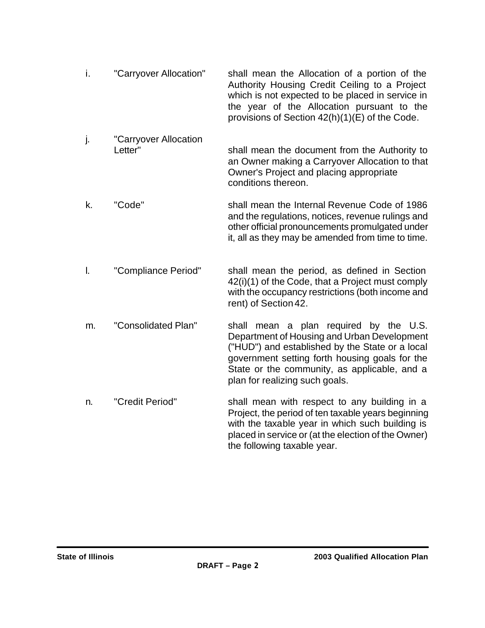- i. "Carryover Allocation" shall mean the Allocation of a portion of the Authority Housing Credit Ceiling to a Project which is not expected to be placed in service in the year of the Allocation pursuant to the provisions of Section 42(h)(1)(E) of the Code.
- j. "Carryover Allocation Letter" shall mean the document from the Authority to an Owner making a Carryover Allocation to that Owner's Project and placing appropriate conditions thereon.
- k. "Code" shall mean the Internal Revenue Code of 1986 and the regulations, notices, revenue rulings and other official pronouncements promulgated under it, all as they may be amended from time to time.
- l. "Compliance Period" shall mean the period, as defined in Section 42(i)(1) of the Code, that a Project must comply with the occupancy restrictions (both income and rent) of Section 42.
- m. "Consolidated Plan" shall mean a plan required by the U.S. Department of Housing and Urban Development ("HUD") and established by the State or a local government setting forth housing goals for the State or the community, as applicable, and a plan for realizing such goals.
- n. "Credit Period" shall mean with respect to any building in a Project, the period of ten taxable years beginning with the taxable year in which such building is placed in service or (at the election of the Owner) the following taxable year.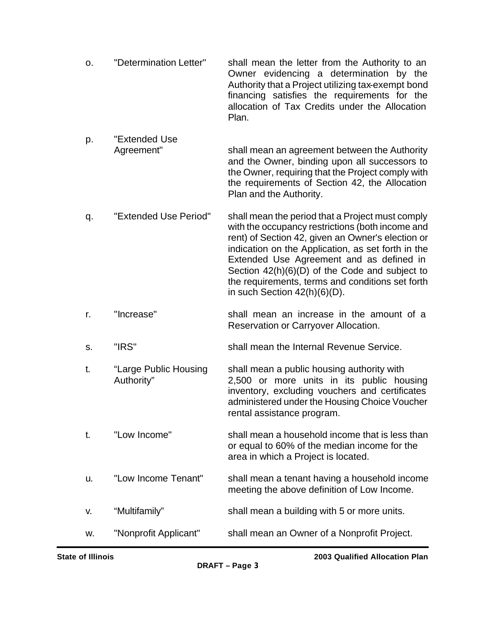- o. "Determination Letter" shall mean the letter from the Authority to an Owner evidencing a determination by the Authority that a Project utilizing tax-exempt bond financing satisfies the requirements for the allocation of Tax Credits under the Allocation Plan.
- p. "Extended Use Agreement" shall mean an agreement between the Authority and the Owner, binding upon all successors to the Owner, requiring that the Project comply with the requirements of Section 42, the Allocation Plan and the Authority.
- q. "Extended Use Period" shall mean the period that a Project must comply with the occupancy restrictions (both income and rent) of Section 42, given an Owner's election or indication on the Application, as set forth in the Extended Use Agreement and as defined in Section 42(h)(6)(D) of the Code and subject to the requirements, terms and conditions set forth in such Section 42(h)(6)(D).
- r. "Increase" shall mean an increase in the amount of a Reservation or Carryover Allocation.
- s. "IRS" shall mean the Internal Revenue Service.
- t. "Large Public Housing shall mean a public housing authority with Authority" 2,500 or more units in its public housing inventory, excluding vouchers and certificates administered under the Housing Choice Voucher rental assistance program.
- t. "Low Income" shall mean a household income that is less than or equal to 60% of the median income for the area in which a Project is located.
- u. "Low Income Tenant" shall mean a tenant having a household income meeting the above definition of Low Income.
- v. "Multifamily" shall mean a building with 5 or more units.
- w. "Nonprofit Applicant" shall mean an Owner of a Nonprofit Project.

**State of Illinois 2003 Qualified Allocation Plan**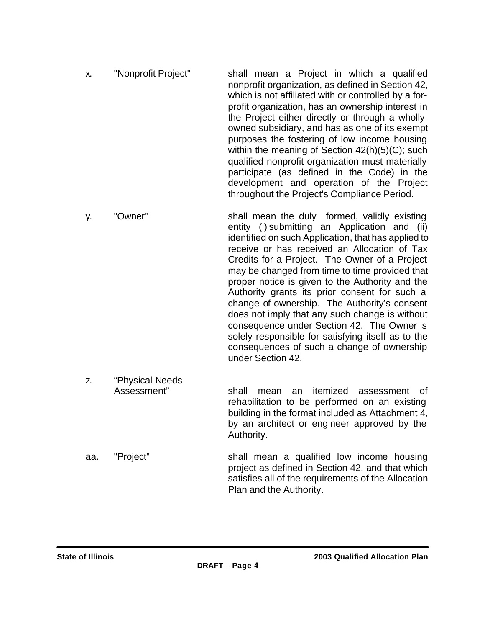- x. "Nonprofit Project" shall mean a Project in which a qualified nonprofit organization, as defined in Section 42, which is not affiliated with or controlled by a forprofit organization, has an ownership interest in the Project either directly or through a whollyowned subsidiary, and has as one of its exempt purposes the fostering of low income housing within the meaning of Section 42(h)(5)(C); such qualified nonprofit organization must materially participate (as defined in the Code) in the development and operation of the Project throughout the Project's Compliance Period.
- y. "Owner" shall mean the duly formed, validly existing entity (i) submitting an Application and (ii) identified on such Application, that has applied to receive or has received an Allocation of Tax Credits for a Project. The Owner of a Project may be changed from time to time provided that proper notice is given to the Authority and the Authority grants its prior consent for such a change of ownership. The Authority's consent does not imply that any such change is without consequence under Section 42. The Owner is solely responsible for satisfying itself as to the consequences of such a change of ownership under Section 42.
- z. "Physical Needs Assessment" shall mean an itemized assessment of rehabilitation to be performed on an existing building in the format included as Attachment 4, by an architect or engineer approved by the Authority.
- aa. "Project" shall mean a qualified low income housing project as defined in Section 42, and that which satisfies all of the requirements of the Allocation Plan and the Authority.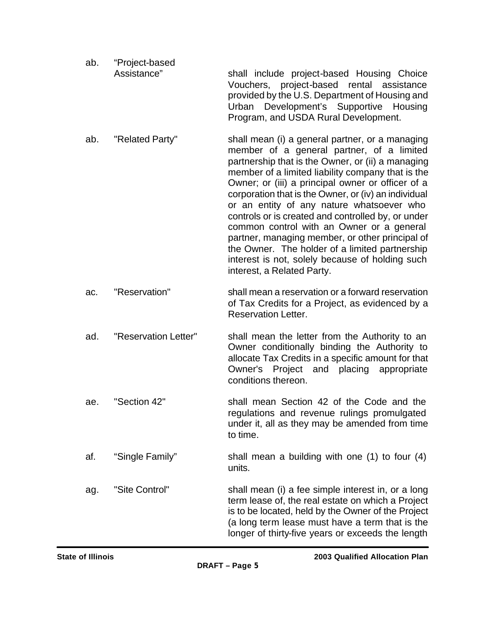| ab. | "Project-based |                                                                                             |
|-----|----------------|---------------------------------------------------------------------------------------------|
|     | Assistance"    | shall include project-based Housing Choice                                                  |
|     |                | Vouchers, project-based rental assistance<br>provided by the U.S. Department of Housing and |
|     |                | Urban Development's Supportive Housing<br>Program, and USDA Rural Development.              |
|     |                |                                                                                             |

- ab. "Related Party" shall mean (i) a general partner, or a managing member of a general partner, of a limited partnership that is the Owner, or (ii) a managing member of a limited liability company that is the Owner; or (iii) a principal owner or officer of a corporation that is the Owner, or (iv) an individual or an entity of any nature whatsoever who controls or is created and controlled by, or under common control with an Owner or a general partner, managing member, or other principal of the Owner. The holder of a limited partnership interest is not, solely because of holding such interest, a Related Party.
- ac. "Reservation" shall mean a reservation or a forward reservation of Tax Credits for a Project, as evidenced by a Reservation Letter.
- ad. "Reservation Letter" shall mean the letter from the Authority to an Owner conditionally binding the Authority to allocate Tax Credits in a specific amount for that Owner's Project and placing appropriate conditions thereon.
- ae. "Section 42" shall mean Section 42 of the Code and the regulations and revenue rulings promulgated under it, all as they may be amended from time to time.
- af. "Single Family" shall mean a building with one (1) to four (4) units.

ag. "Site Control" shall mean (i) a fee simple interest in, or a long term lease of, the real estate on which a Project is to be located, held by the Owner of the Project (a long term lease must have a term that is the longer of thirty-five years or exceeds the length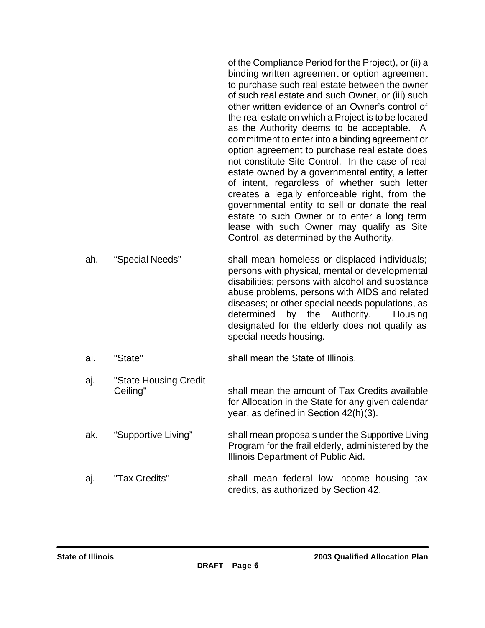of the Compliance Period for the Project), or (ii) a binding written agreement or option agreement to purchase such real estate between the owner of such real estate and such Owner, or (iii) such other written evidence of an Owner's control of the real estate on which a Project is to be located as the Authority deems to be acceptable. A commitment to enter into a binding agreement or option agreement to purchase real estate does not constitute Site Control. In the case of real estate owned by a governmental entity, a letter of intent, regardless of whether such letter creates a legally enforceable right, from the governmental entity to sell or donate the real estate to such Owner or to enter a long term lease with such Owner may qualify as Site Control, as determined by the Authority.

- ah. "Special Needs" shall mean homeless or displaced individuals; persons with physical, mental or developmental disabilities; persons with alcohol and substance abuse problems, persons with AIDS and related diseases; or other special needs populations, as determined by the Authority. Housing designated for the elderly does not qualify as special needs housing.
- ai. "State" shall mean the State of Illinois.
- aj. "State Housing Credit Ceiling" Shall mean the amount of Tax Credits available for Allocation in the State for any given calendar year, as defined in Section 42(h)(3).
- ak. "Supportive Living" shall mean proposals under the Supportive Living Program for the frail elderly, administered by the Illinois Department of Public Aid.
- aj. "Tax Credits" shall mean federal low income housing tax credits, as authorized by Section 42.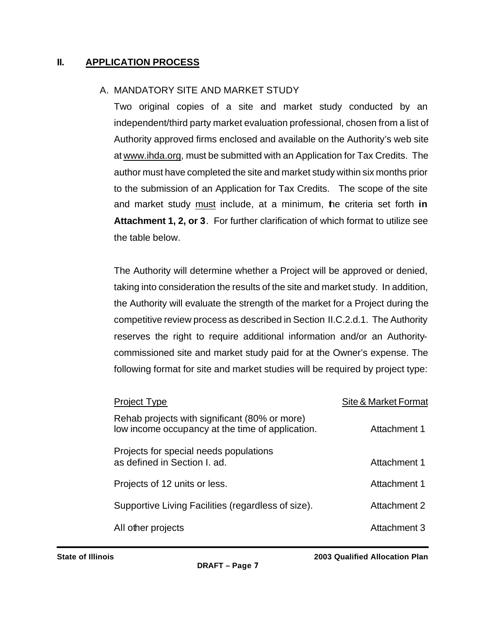### **II. APPLICATION PROCESS**

#### A. MANDATORY SITE AND MARKET STUDY

Two original copies of a site and market study conducted by an independent/third party market evaluation professional, chosen from a list of Authority approved firms enclosed and available on the Authority's web site at www.ihda.org, must be submitted with an Application for Tax Credits. The author must have completed the site and market study within six months prior to the submission of an Application for Tax Credits. The scope of the site and market study must include, at a minimum, the criteria set forth **in Attachment 1, 2, or 3**. For further clarification of which format to utilize see the table below.

The Authority will determine whether a Project will be approved or denied, taking into consideration the results of the site and market study. In addition, the Authority will evaluate the strength of the market for a Project during the competitive review process as described in Section II.C.2.d.1. The Authority reserves the right to require additional information and/or an Authoritycommissioned site and market study paid for at the Owner's expense. The following format for site and market studies will be required by project type:

| Site & Market Format |
|----------------------|
| Attachment 1         |
| Attachment 1         |
| Attachment 1         |
| Attachment 2         |
| Attachment 3         |
|                      |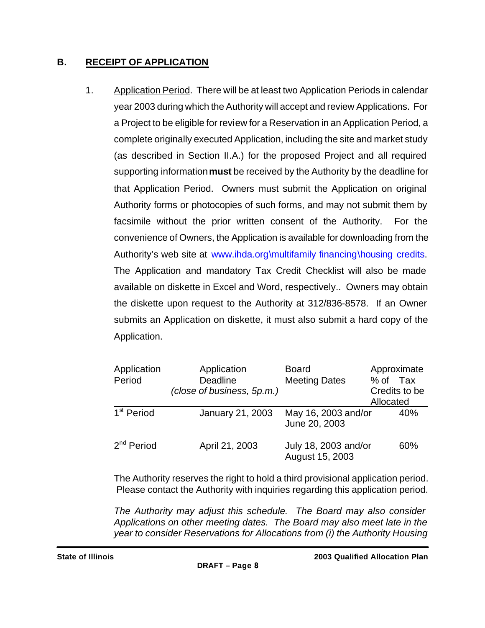## **B. RECEIPT OF APPLICATION**

1. Application Period. There will be at least two Application Periods in calendar year 2003 during which the Authority will accept and review Applications. For a Project to be eligible for review for a Reservation in an Application Period, a complete originally executed Application, including the site and market study (as described in Section II.A.) for the proposed Project and all required supporting information **must** be received by the Authority by the deadline for that Application Period. Owners must submit the Application on original Authority forms or photocopies of such forms, and may not submit them by facsimile without the prior written consent of the Authority. For the convenience of Owners, the Application is available for downloading from the Authority's web site at www.ihda.org\multifamily financing\housing credits. The Application and mandatory Tax Credit Checklist will also be made available on diskette in Excel and Word, respectively.. Owners may obtain the diskette upon request to the Authority at 312/836-8578. If an Owner submits an Application on diskette, it must also submit a hard copy of the Application.

| Application<br>Period  | Application<br><b>Deadline</b><br>(close of business, 5p.m.) | <b>Board</b><br><b>Meeting Dates</b>    | Approximate<br>% of Tax<br>Credits to be<br>Allocated |
|------------------------|--------------------------------------------------------------|-----------------------------------------|-------------------------------------------------------|
| 1 <sup>st</sup> Period | January 21, 2003                                             | May 16, 2003 and/or<br>June 20, 2003    | 40%                                                   |
| 2 <sup>nd</sup> Period | April 21, 2003                                               | July 18, 2003 and/or<br>August 15, 2003 | 60%                                                   |

The Authority reserves the right to hold a third provisional application period. Please contact the Authority with inquiries regarding this application period.

*The Authority may adjust this schedule. The Board may also consider Applications on other meeting dates. The Board may also meet late in the year to consider Reservations for Allocations from (i) the Authority Housing*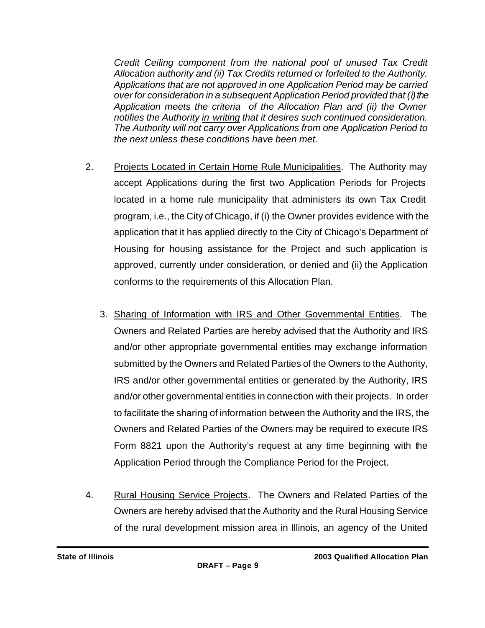*Credit Ceiling component from the national pool of unused Tax Credit Allocation authority and (ii) Tax Credits returned or forfeited to the Authority. Applications that are not approved in one Application Period may be carried over for consideration in a subsequent Application Period provided that (i) the Application meets the criteria of the Allocation Plan and (ii) the Owner notifies the Authority in writing that it desires such continued consideration. The Authority will not carry over Applications from one Application Period to the next unless these conditions have been met.* 

- 2. Projects Located in Certain Home Rule Municipalities. The Authority may accept Applications during the first two Application Periods for Projects located in a home rule municipality that administers its own Tax Credit program, i.e., the City of Chicago, if (i) the Owner provides evidence with the application that it has applied directly to the City of Chicago's Department of Housing for housing assistance for the Project and such application is approved, currently under consideration, or denied and (ii) the Application conforms to the requirements of this Allocation Plan.
	- 3. Sharing of Information with IRS and Other Governmental Entities. The Owners and Related Parties are hereby advised that the Authority and IRS and/or other appropriate governmental entities may exchange information submitted by the Owners and Related Parties of the Owners to the Authority, IRS and/or other governmental entities or generated by the Authority, IRS and/or other governmental entities in connection with their projects. In order to facilitate the sharing of information between the Authority and the IRS, the Owners and Related Parties of the Owners may be required to execute IRS Form 8821 upon the Authority's request at any time beginning with the Application Period through the Compliance Period for the Project.
- 4. Rural Housing Service Projects. The Owners and Related Parties of the Owners are hereby advised that the Authority and the Rural Housing Service of the rural development mission area in Illinois, an agency of the United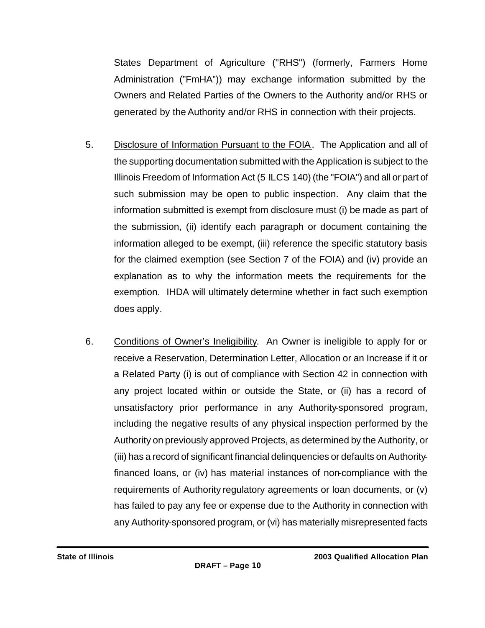States Department of Agriculture ("RHS") (formerly, Farmers Home Administration ("FmHA")) may exchange information submitted by the Owners and Related Parties of the Owners to the Authority and/or RHS or generated by the Authority and/or RHS in connection with their projects.

- 5. Disclosure of Information Pursuant to the FOIA. The Application and all of the supporting documentation submitted with the Application is subject to the Illinois Freedom of Information Act (5 ILCS 140) (the "FOIA") and all or part of such submission may be open to public inspection. Any claim that the information submitted is exempt from disclosure must (i) be made as part of the submission, (ii) identify each paragraph or document containing the information alleged to be exempt, (iii) reference the specific statutory basis for the claimed exemption (see Section 7 of the FOIA) and (iv) provide an explanation as to why the information meets the requirements for the exemption. IHDA will ultimately determine whether in fact such exemption does apply.
- 6. Conditions of Owner's Ineligibility. An Owner is ineligible to apply for or receive a Reservation, Determination Letter, Allocation or an Increase if it or a Related Party (i) is out of compliance with Section 42 in connection with any project located within or outside the State, or (ii) has a record of unsatisfactory prior performance in any Authority-sponsored program, including the negative results of any physical inspection performed by the Authority on previously approved Projects, as determined by the Authority, or (iii) has a record of significant financial delinquencies or defaults on Authorityfinanced loans, or (iv) has material instances of non-compliance with the requirements of Authority regulatory agreements or loan documents, or (v) has failed to pay any fee or expense due to the Authority in connection with any Authority-sponsored program, or (vi) has materially misrepresented facts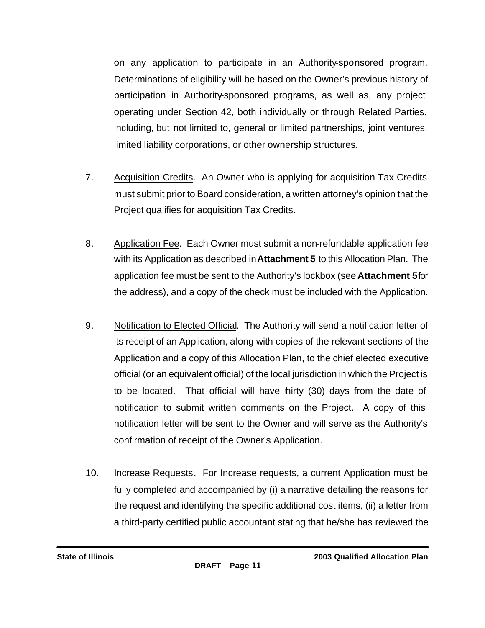on any application to participate in an Authority-sponsored program. Determinations of eligibility will be based on the Owner's previous history of participation in Authority-sponsored programs, as well as, any project operating under Section 42, both individually or through Related Parties, including, but not limited to, general or limited partnerships, joint ventures, limited liability corporations, or other ownership structures.

- 7. Acquisition Credits. An Owner who is applying for acquisition Tax Credits must submit prior to Board consideration, a written attorney's opinion that the Project qualifies for acquisition Tax Credits.
- 8. Application Fee. Each Owner must submit a non-refundable application fee with its Application as described in **Attachment 5** to this Allocation Plan. The application fee must be sent to the Authority's lockbox (see **Attachment 5** for the address), and a copy of the check must be included with the Application.
- 9. Notification to Elected Official. The Authority will send a notification letter of its receipt of an Application, along with copies of the relevant sections of the Application and a copy of this Allocation Plan, to the chief elected executive official (or an equivalent official) of the local jurisdiction in which the Project is to be located. That official will have thirty (30) days from the date of notification to submit written comments on the Project. A copy of this notification letter will be sent to the Owner and will serve as the Authority's confirmation of receipt of the Owner's Application.
- 10. Increase Requests. For Increase requests, a current Application must be fully completed and accompanied by (i) a narrative detailing the reasons for the request and identifying the specific additional cost items, (ii) a letter from a third-party certified public accountant stating that he/she has reviewed the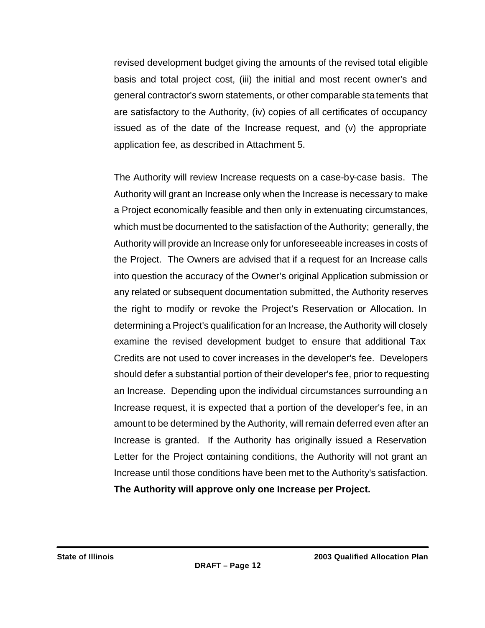revised development budget giving the amounts of the revised total eligible basis and total project cost, (iii) the initial and most recent owner's and general contractor's sworn statements, or other comparable statements that are satisfactory to the Authority, (iv) copies of all certificates of occupancy issued as of the date of the Increase request, and (v) the appropriate application fee, as described in Attachment 5.

The Authority will review Increase requests on a case-by-case basis. The Authority will grant an Increase only when the Increase is necessary to make a Project economically feasible and then only in extenuating circumstances, which must be documented to the satisfaction of the Authority; generally, the Authority will provide an Increase only for unforeseeable increases in costs of the Project. The Owners are advised that if a request for an Increase calls into question the accuracy of the Owner's original Application submission or any related or subsequent documentation submitted, the Authority reserves the right to modify or revoke the Project's Reservation or Allocation. In determining a Project's qualification for an Increase, the Authority will closely examine the revised development budget to ensure that additional Tax Credits are not used to cover increases in the developer's fee. Developers should defer a substantial portion of their developer's fee, prior to requesting an Increase. Depending upon the individual circumstances surrounding an Increase request, it is expected that a portion of the developer's fee, in an amount to be determined by the Authority, will remain deferred even after an Increase is granted. If the Authority has originally issued a Reservation Letter for the Project containing conditions, the Authority will not grant an Increase until those conditions have been met to the Authority's satisfaction. **The Authority will approve only one Increase per Project.**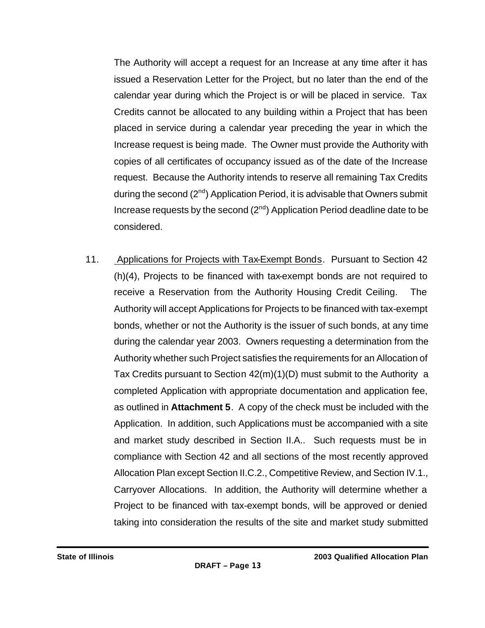The Authority will accept a request for an Increase at any time after it has issued a Reservation Letter for the Project, but no later than the end of the calendar year during which the Project is or will be placed in service. Tax Credits cannot be allocated to any building within a Project that has been placed in service during a calendar year preceding the year in which the Increase request is being made. The Owner must provide the Authority with copies of all certificates of occupancy issued as of the date of the Increase request. Because the Authority intends to reserve all remaining Tax Credits during the second  $(2^{nd})$  Application Period, it is advisable that Owners submit Increase requests by the second  $(2^{nd})$  Application Period deadline date to be considered.

11. Applications for Projects with Tax-Exempt Bonds. Pursuant to Section 42 (h)(4), Projects to be financed with tax-exempt bonds are not required to receive a Reservation from the Authority Housing Credit Ceiling. The Authority will accept Applications for Projects to be financed with tax-exempt bonds, whether or not the Authority is the issuer of such bonds, at any time during the calendar year 2003. Owners requesting a determination from the Authority whether such Project satisfies the requirements for an Allocation of Tax Credits pursuant to Section 42(m)(1)(D) must submit to the Authority a completed Application with appropriate documentation and application fee, as outlined in **Attachment 5**. A copy of the check must be included with the Application. In addition, such Applications must be accompanied with a site and market study described in Section II.A.. Such requests must be in compliance with Section 42 and all sections of the most recently approved Allocation Plan except Section II.C.2., Competitive Review, and Section IV.1., Carryover Allocations. In addition, the Authority will determine whether a Project to be financed with tax-exempt bonds, will be approved or denied taking into consideration the results of the site and market study submitted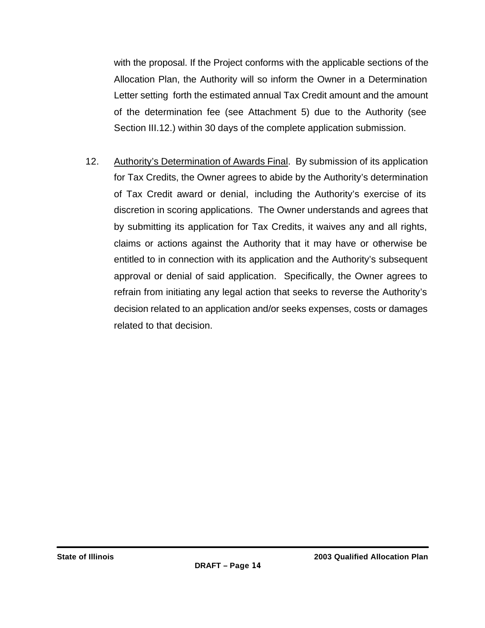with the proposal. If the Project conforms with the applicable sections of the Allocation Plan, the Authority will so inform the Owner in a Determination Letter setting forth the estimated annual Tax Credit amount and the amount of the determination fee (see Attachment 5) due to the Authority (see Section III.12.) within 30 days of the complete application submission.

12. Authority's Determination of Awards Final. By submission of its application for Tax Credits, the Owner agrees to abide by the Authority's determination of Tax Credit award or denial, including the Authority's exercise of its discretion in scoring applications. The Owner understands and agrees that by submitting its application for Tax Credits, it waives any and all rights, claims or actions against the Authority that it may have or otherwise be entitled to in connection with its application and the Authority's subsequent approval or denial of said application. Specifically, the Owner agrees to refrain from initiating any legal action that seeks to reverse the Authority's decision related to an application and/or seeks expenses, costs or damages related to that decision.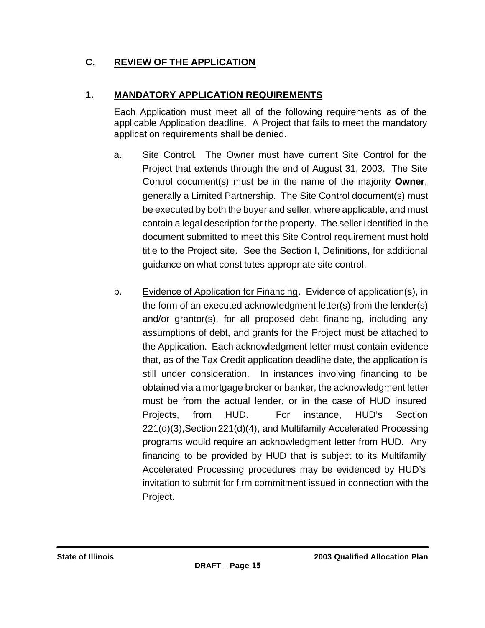# **C. REVIEW OF THE APPLICATION**

## **1. MANDATORY APPLICATION REQUIREMENTS**

Each Application must meet all of the following requirements as of the applicable Application deadline. A Project that fails to meet the mandatory application requirements shall be denied.

- a. Site Control. The Owner must have current Site Control for the Project that extends through the end of August 31, 2003. The Site Control document(s) must be in the name of the majority **Owner**, generally a Limited Partnership. The Site Control document(s) must be executed by both the buyer and seller, where applicable, and must contain a legal description for the property. The seller identified in the document submitted to meet this Site Control requirement must hold title to the Project site. See the Section I, Definitions, for additional guidance on what constitutes appropriate site control.
- b. Evidence of Application for Financing. Evidence of application(s), in the form of an executed acknowledgment letter(s) from the lender(s) and/or grantor(s), for all proposed debt financing, including any assumptions of debt, and grants for the Project must be attached to the Application. Each acknowledgment letter must contain evidence that, as of the Tax Credit application deadline date, the application is still under consideration. In instances involving financing to be obtained via a mortgage broker or banker, the acknowledgment letter must be from the actual lender, or in the case of HUD insured Projects, from HUD. For instance, HUD's Section 221(d)(3),Section221(d)(4), and Multifamily Accelerated Processing programs would require an acknowledgment letter from HUD. Any financing to be provided by HUD that is subject to its Multifamily Accelerated Processing procedures may be evidenced by HUD's invitation to submit for firm commitment issued in connection with the Project.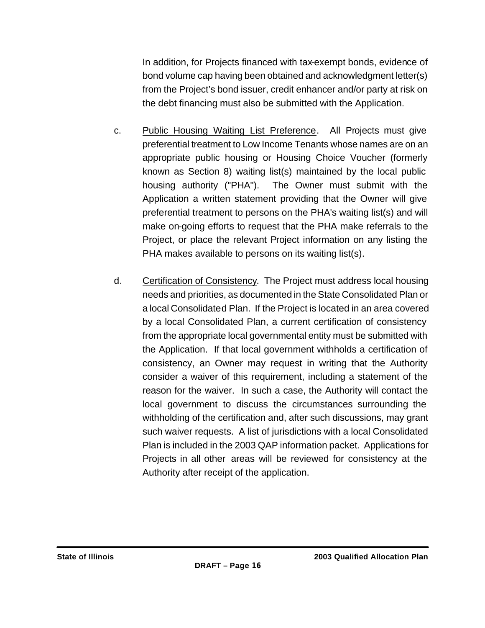In addition, for Projects financed with tax-exempt bonds, evidence of bond volume cap having been obtained and acknowledgment letter(s) from the Project's bond issuer, credit enhancer and/or party at risk on the debt financing must also be submitted with the Application.

- c. Public Housing Waiting List Preference. All Projects must give preferential treatment to Low Income Tenants whose names are on an appropriate public housing or Housing Choice Voucher (formerly known as Section 8) waiting list(s) maintained by the local public housing authority ("PHA"). The Owner must submit with the Application a written statement providing that the Owner will give preferential treatment to persons on the PHA's waiting list(s) and will make on-going efforts to request that the PHA make referrals to the Project, or place the relevant Project information on any listing the PHA makes available to persons on its waiting list(s).
- d. Certification of Consistency. The Project must address local housing needs and priorities, as documented in the State Consolidated Plan or a local Consolidated Plan. If the Project is located in an area covered by a local Consolidated Plan, a current certification of consistency from the appropriate local governmental entity must be submitted with the Application. If that local government withholds a certification of consistency, an Owner may request in writing that the Authority consider a waiver of this requirement, including a statement of the reason for the waiver. In such a case, the Authority will contact the local government to discuss the circumstances surrounding the withholding of the certification and, after such discussions, may grant such waiver requests. A list of jurisdictions with a local Consolidated Plan is included in the 2003 QAP information packet. Applications for Projects in all other areas will be reviewed for consistency at the Authority after receipt of the application.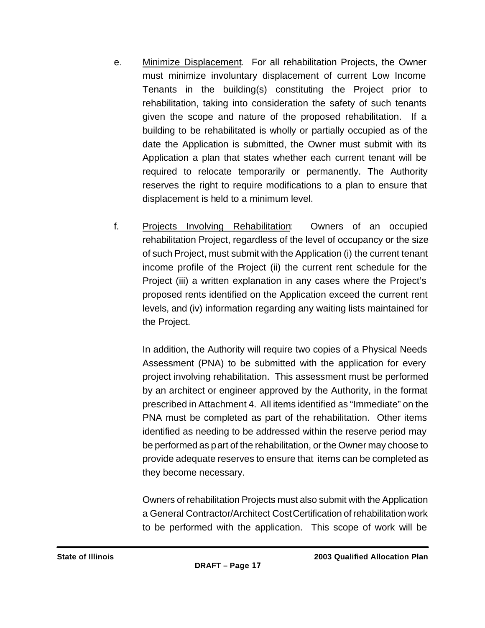- e. Minimize Displacement. For all rehabilitation Projects, the Owner must minimize involuntary displacement of current Low Income Tenants in the building(s) constituting the Project prior to rehabilitation, taking into consideration the safety of such tenants given the scope and nature of the proposed rehabilitation. If a building to be rehabilitated is wholly or partially occupied as of the date the Application is submitted, the Owner must submit with its Application a plan that states whether each current tenant will be required to relocate temporarily or permanently. The Authority reserves the right to require modifications to a plan to ensure that displacement is held to a minimum level.
- f. Projects Involving Rehabilitation: Owners of an occupied rehabilitation Project, regardless of the level of occupancy or the size of such Project, must submit with the Application (i) the current tenant income profile of the Project (ii) the current rent schedule for the Project (iii) a written explanation in any cases where the Project's proposed rents identified on the Application exceed the current rent levels, and (iv) information regarding any waiting lists maintained for the Project.

In addition, the Authority will require two copies of a Physical Needs Assessment (PNA) to be submitted with the application for every project involving rehabilitation. This assessment must be performed by an architect or engineer approved by the Authority, in the format prescribed in Attachment 4. All items identified as "Immediate" on the PNA must be completed as part of the rehabilitation. Other items identified as needing to be addressed within the reserve period may be performed as part of the rehabilitation, or the Owner may choose to provide adequate reserves to ensure that items can be completed as they become necessary.

Owners of rehabilitation Projects must also submit with the Application a General Contractor/Architect Cost Certification of rehabilitation work to be performed with the application. This scope of work will be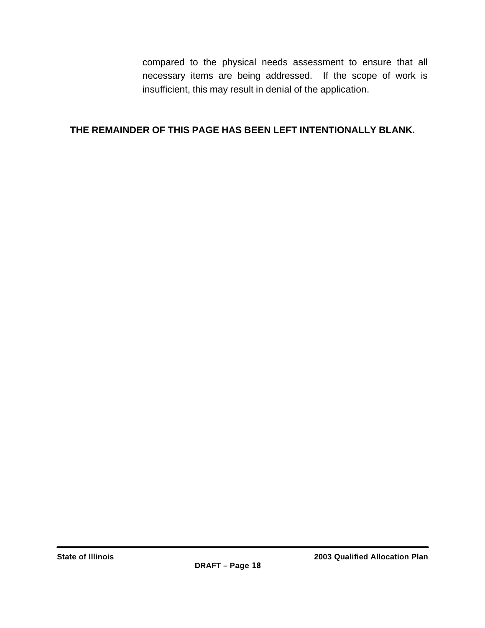compared to the physical needs assessment to ensure that all necessary items are being addressed. If the scope of work is insufficient, this may result in denial of the application.

### **THE REMAINDER OF THIS PAGE HAS BEEN LEFT INTENTIONALLY BLANK.**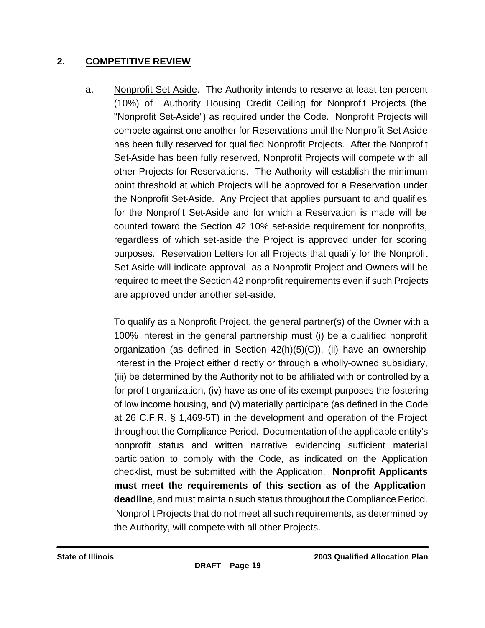### **2. COMPETITIVE REVIEW**

a. Nonprofit Set-Aside. The Authority intends to reserve at least ten percent (10%) of Authority Housing Credit Ceiling for Nonprofit Projects (the "Nonprofit Set-Aside") as required under the Code. Nonprofit Projects will compete against one another for Reservations until the Nonprofit Set-Aside has been fully reserved for qualified Nonprofit Projects. After the Nonprofit Set-Aside has been fully reserved, Nonprofit Projects will compete with all other Projects for Reservations. The Authority will establish the minimum point threshold at which Projects will be approved for a Reservation under the Nonprofit Set-Aside. Any Project that applies pursuant to and qualifies for the Nonprofit Set-Aside and for which a Reservation is made will be counted toward the Section 42 10% set-aside requirement for nonprofits, regardless of which set-aside the Project is approved under for scoring purposes. Reservation Letters for all Projects that qualify for the Nonprofit Set-Aside will indicate approval as a Nonprofit Project and Owners will be required to meet the Section 42 nonprofit requirements even if such Projects are approved under another set-aside.

To qualify as a Nonprofit Project, the general partner(s) of the Owner with a 100% interest in the general partnership must (i) be a qualified nonprofit organization (as defined in Section  $42(h)(5)(C)$ ), (ii) have an ownership interest in the Project either directly or through a wholly-owned subsidiary, (iii) be determined by the Authority not to be affiliated with or controlled by a for-profit organization, (iv) have as one of its exempt purposes the fostering of low income housing, and (v) materially participate (as defined in the Code at 26 C.F.R. § 1,469-5T) in the development and operation of the Project throughout the Compliance Period. Documentation of the applicable entity's nonprofit status and written narrative evidencing sufficient material participation to comply with the Code, as indicated on the Application checklist, must be submitted with the Application. **Nonprofit Applicants must meet the requirements of this section as of the Application deadline**, and must maintain such status throughout the Compliance Period. Nonprofit Projects that do not meet all such requirements, as determined by the Authority, will compete with all other Projects.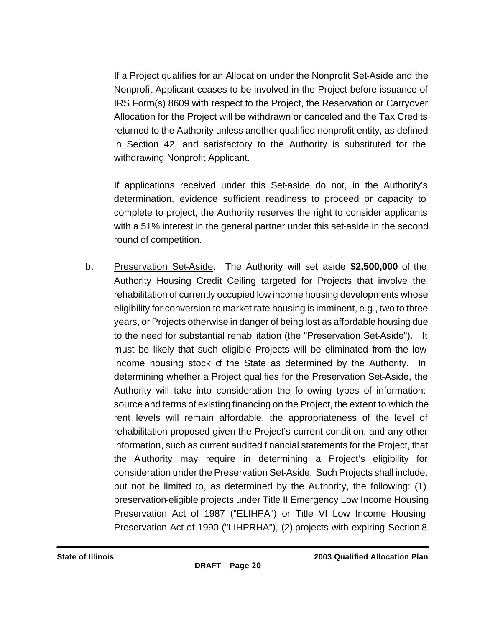If a Project qualifies for an Allocation under the Nonprofit Set-Aside and the Nonprofit Applicant ceases to be involved in the Project before issuance of IRS Form(s) 8609 with respect to the Project, the Reservation or Carryover Allocation for the Project will be withdrawn or canceled and the Tax Credits returned to the Authority unless another qualified nonprofit entity, as defined in Section 42, and satisfactory to the Authority is substituted for the withdrawing Nonprofit Applicant.

If applications received under this Set-aside do not, in the Authority's determination, evidence sufficient readiness to proceed or capacity to complete to project, the Authority reserves the right to consider applicants with a 51% interest in the general partner under this set-aside in the second round of competition.

b. Preservation Set-Aside. The Authority will set aside **\$2,500,000** of the Authority Housing Credit Ceiling targeted for Projects that involve the rehabilitation of currently occupied low income housing developments whose eligibility for conversion to market rate housing is imminent, e.g., two to three years, or Projects otherwise in danger of being lost as affordable housing due to the need for substantial rehabilitation (the "Preservation Set-Aside"). It must be likely that such eligible Projects will be eliminated from the low income housing stock of the State as determined by the Authority. In determining whether a Project qualifies for the Preservation Set-Aside, the Authority will take into consideration the following types of information: source and terms of existing financing on the Project, the extent to which the rent levels will remain affordable, the appropriateness of the level of rehabilitation proposed given the Project's current condition, and any other information, such as current audited financial statements for the Project, that the Authority may require in determining a Project's eligibility for consideration under the Preservation Set-Aside. Such Projects shall include, but not be limited to, as determined by the Authority, the following: (1) preservation-eligible projects under Title II Emergency Low Income Housing Preservation Act of 1987 ("ELIHPA") or Title VI Low Income Housing Preservation Act of 1990 ("LIHPRHA"), (2) projects with expiring Section 8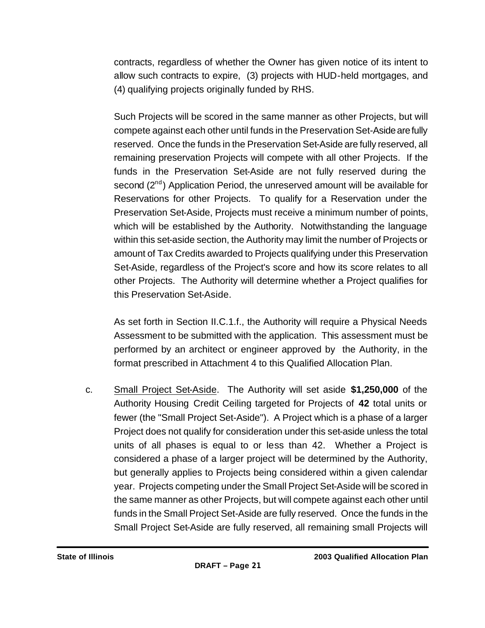contracts, regardless of whether the Owner has given notice of its intent to allow such contracts to expire, (3) projects with HUD-held mortgages, and (4) qualifying projects originally funded by RHS.

Such Projects will be scored in the same manner as other Projects, but will compete against each other until funds in the Preservation Set-Aside are fully reserved. Once the funds in the Preservation Set-Aside are fully reserved, all remaining preservation Projects will compete with all other Projects. If the funds in the Preservation Set-Aside are not fully reserved during the second  $(2^{nd})$  Application Period, the unreserved amount will be available for Reservations for other Projects. To qualify for a Reservation under the Preservation Set-Aside, Projects must receive a minimum number of points, which will be established by the Authority. Notwithstanding the language within this set-aside section, the Authority may limit the number of Projects or amount of Tax Credits awarded to Projects qualifying under this Preservation Set-Aside, regardless of the Project's score and how its score relates to all other Projects. The Authority will determine whether a Project qualifies for this Preservation Set-Aside.

As set forth in Section II.C.1.f., the Authority will require a Physical Needs Assessment to be submitted with the application. This assessment must be performed by an architect or engineer approved by the Authority, in the format prescribed in Attachment 4 to this Qualified Allocation Plan.

c. Small Project Set-Aside. The Authority will set aside **\$1,250,000** of the Authority Housing Credit Ceiling targeted for Projects of **42** total units or fewer (the "Small Project Set-Aside"). A Project which is a phase of a larger Project does not qualify for consideration under this set-aside unless the total units of all phases is equal to or less than 42. Whether a Project is considered a phase of a larger project will be determined by the Authority, but generally applies to Projects being considered within a given calendar year. Projects competing under the Small Project Set-Aside will be scored in the same manner as other Projects, but will compete against each other until funds in the Small Project Set-Aside are fully reserved. Once the funds in the Small Project Set-Aside are fully reserved, all remaining small Projects will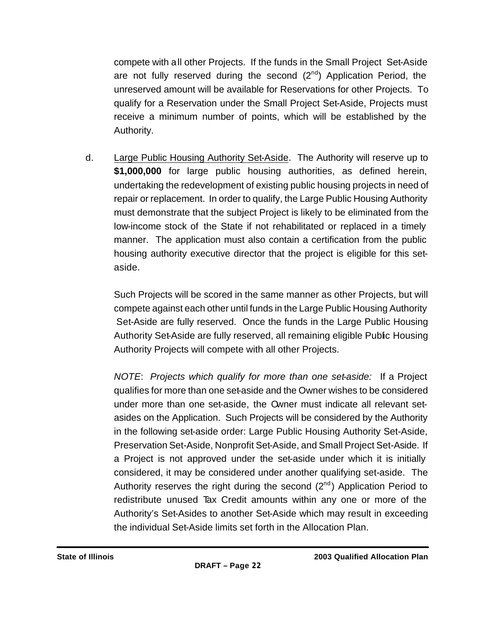compete with all other Projects. If the funds in the Small Project Set-Aside are not fully reserved during the second  $(2^{nd})$  Application Period, the unreserved amount will be available for Reservations for other Projects. To qualify for a Reservation under the Small Project Set-Aside, Projects must receive a minimum number of points, which will be established by the Authority.

d. Large Public Housing Authority Set-Aside. The Authority will reserve up to **\$1,000,000** for large public housing authorities, as defined herein, undertaking the redevelopment of existing public housing projects in need of repair or replacement. In order to qualify, the Large Public Housing Authority must demonstrate that the subject Project is likely to be eliminated from the low-income stock of the State if not rehabilitated or replaced in a timely manner. The application must also contain a certification from the public housing authority executive director that the project is eligible for this setaside.

Such Projects will be scored in the same manner as other Projects, but will compete against each other until funds in the Large Public Housing Authority Set-Aside are fully reserved. Once the funds in the Large Public Housing Authority Set-Aside are fully reserved, all remaining eligible Public Housing Authority Projects will compete with all other Projects.

*NOTE*: *Projects which qualify for more than one set-aside:* If a Project qualifies for more than one set-aside and the Owner wishes to be considered under more than one set-aside, the Owner must indicate all relevant setasides on the Application. Such Projects will be considered by the Authority in the following set-aside order: Large Public Housing Authority Set-Aside, Preservation Set-Aside, Nonprofit Set-Aside, and Small Project Set-Aside. If a Project is not approved under the set-aside under which it is initially considered, it may be considered under another qualifying set-aside. The Authority reserves the right during the second  $(2^{nd})$  Application Period to redistribute unused Tax Credit amounts within any one or more of the Authority's Set-Asides to another Set-Aside which may result in exceeding the individual Set-Aside limits set forth in the Allocation Plan.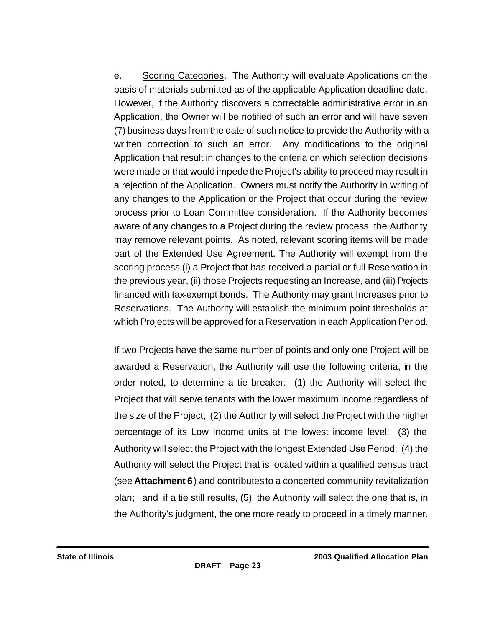e. Scoring Categories. The Authority will evaluate Applications on the basis of materials submitted as of the applicable Application deadline date. However, if the Authority discovers a correctable administrative error in an Application, the Owner will be notified of such an error and will have seven (7) business days from the date of such notice to provide the Authority with a written correction to such an error. Any modifications to the original Application that result in changes to the criteria on which selection decisions were made or that would impede the Project's ability to proceed may result in a rejection of the Application. Owners must notify the Authority in writing of any changes to the Application or the Project that occur during the review process prior to Loan Committee consideration. If the Authority becomes aware of any changes to a Project during the review process, the Authority may remove relevant points. As noted, relevant scoring items will be made part of the Extended Use Agreement. The Authority will exempt from the scoring process (i) a Project that has received a partial or full Reservation in the previous year, (ii) those Projects requesting an Increase, and (iii) Projects financed with tax-exempt bonds. The Authority may grant Increases prior to Reservations. The Authority will establish the minimum point thresholds at which Projects will be approved for a Reservation in each Application Period.

If two Projects have the same number of points and only one Project will be awarded a Reservation, the Authority will use the following criteria, in the order noted, to determine a tie breaker: (1) the Authority will select the Project that will serve tenants with the lower maximum income regardless of the size of the Project; (2) the Authority will select the Project with the higher percentage of its Low Income units at the lowest income level; (3) the Authority will select the Project with the longest Extended Use Period; (4) the Authority will select the Project that is located within a qualified census tract (see **Attachment 6**) and contributes to a concerted community revitalization plan; and if a tie still results, (5) the Authority will select the one that is, in the Authority's judgment, the one more ready to proceed in a timely manner.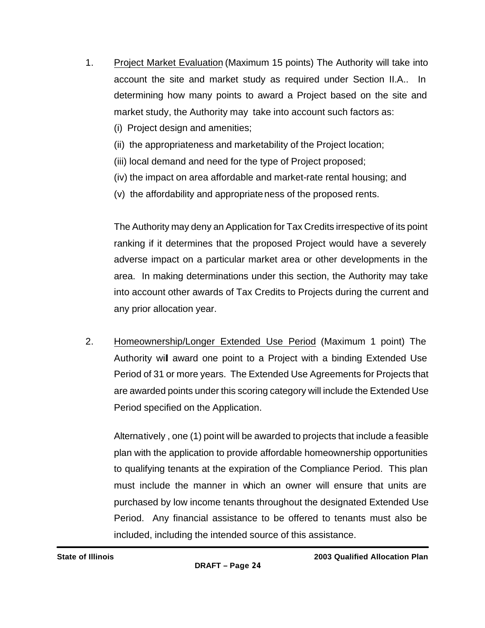- 1. Project Market Evaluation (Maximum 15 points) The Authority will take into account the site and market study as required under Section II.A.. In determining how many points to award a Project based on the site and market study, the Authority may take into account such factors as:
	- (i) Project design and amenities;
	- (ii) the appropriateness and marketability of the Project location;
	- (iii) local demand and need for the type of Project proposed;
	- (iv) the impact on area affordable and market-rate rental housing; and
	- (v) the affordability and appropriateness of the proposed rents.

The Authority may deny an Application for Tax Credits irrespective of its point ranking if it determines that the proposed Project would have a severely adverse impact on a particular market area or other developments in the area. In making determinations under this section, the Authority may take into account other awards of Tax Credits to Projects during the current and any prior allocation year.

2. Homeownership/Longer Extended Use Period (Maximum 1 point) The Authority will award one point to a Project with a binding Extended Use Period of 31 or more years. The Extended Use Agreements for Projects that are awarded points under this scoring category will include the Extended Use Period specified on the Application.

Alternatively , one (1) point will be awarded to projects that include a feasible plan with the application to provide affordable homeownership opportunities to qualifying tenants at the expiration of the Compliance Period. This plan must include the manner in which an owner will ensure that units are purchased by low income tenants throughout the designated Extended Use Period. Any financial assistance to be offered to tenants must also be included, including the intended source of this assistance.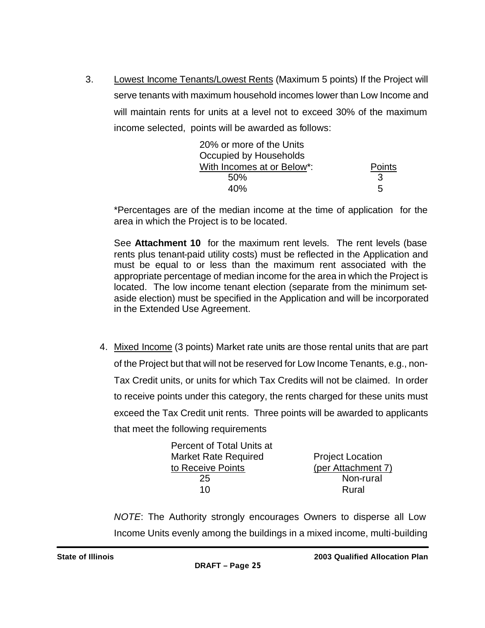3. Lowest Income Tenants/Lowest Rents (Maximum 5 points) If the Project will serve tenants with maximum household incomes lower than Low Income and will maintain rents for units at a level not to exceed 30% of the maximum income selected, points will be awarded as follows:

| 20% or more of the Units   |        |
|----------------------------|--------|
| Occupied by Households     |        |
| With Incomes at or Below*: | Points |
| 50%                        | 3      |
| 40%                        | 5      |

\*Percentages are of the median income at the time of application for the area in which the Project is to be located.

See **Attachment 10** for the maximum rent levels. The rent levels (base rents plus tenant-paid utility costs) must be reflected in the Application and must be equal to or less than the maximum rent associated with the appropriate percentage of median income for the area in which the Project is located. The low income tenant election (separate from the minimum setaside election) must be specified in the Application and will be incorporated in the Extended Use Agreement.

4. Mixed Income (3 points) Market rate units are those rental units that are part of the Project but that will not be reserved for Low Income Tenants, e.g., non-Tax Credit units, or units for which Tax Credits will not be claimed. In order to receive points under this category, the rents charged for these units must exceed the Tax Credit unit rents. Three points will be awarded to applicants that meet the following requirements

| Percent of Total Units at |                         |
|---------------------------|-------------------------|
| Market Rate Required      | <b>Project Location</b> |
| to Receive Points         | (per Attachment 7)      |
| 25                        | Non-rural               |
| 10                        | Rural                   |
|                           |                         |

*NOTE*: The Authority strongly encourages Owners to disperse all Low Income Units evenly among the buildings in a mixed income, multi-building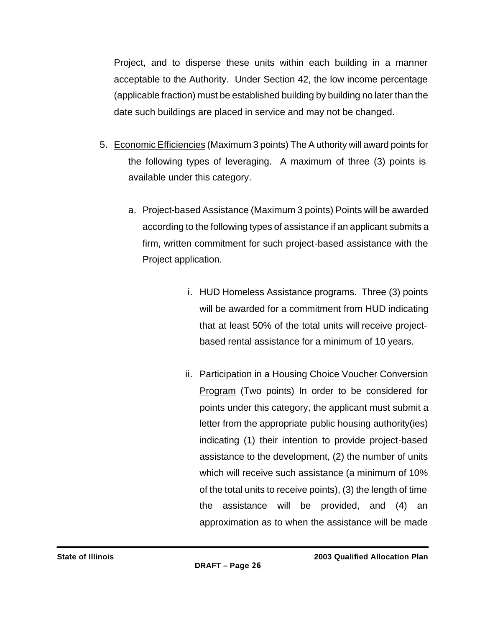Project, and to disperse these units within each building in a manner acceptable to the Authority. Under Section 42, the low income percentage (applicable fraction) must be established building by building no later than the date such buildings are placed in service and may not be changed.

- 5. Economic Efficiencies (Maximum 3 points) The A uthority will award points for the following types of leveraging. A maximum of three (3) points is available under this category.
	- a. Project-based Assistance (Maximum 3 points) Points will be awarded according to the following types of assistance if an applicant submits a firm, written commitment for such project-based assistance with the Project application.
		- i. HUD Homeless Assistance programs. Three (3) points will be awarded for a commitment from HUD indicating that at least 50% of the total units will receive projectbased rental assistance for a minimum of 10 years.
		- ii. Participation in a Housing Choice Voucher Conversion Program (Two points) In order to be considered for points under this category, the applicant must submit a letter from the appropriate public housing authority(ies) indicating (1) their intention to provide project-based assistance to the development, (2) the number of units which will receive such assistance (a minimum of 10% of the total units to receive points), (3) the length of time the assistance will be provided, and (4) an approximation as to when the assistance will be made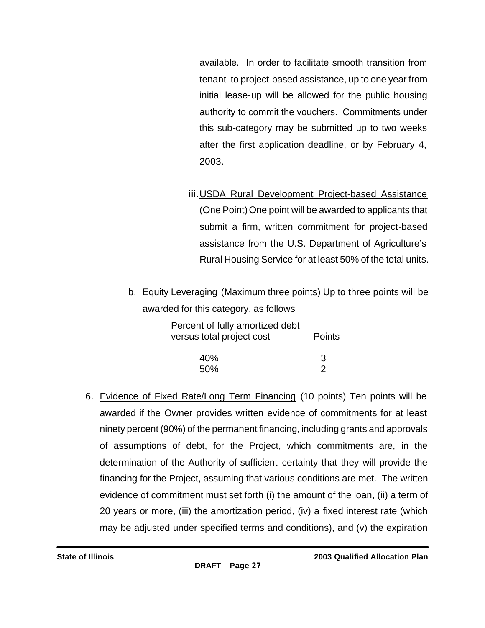available. In order to facilitate smooth transition from tenant- to project-based assistance, up to one year from initial lease-up will be allowed for the public housing authority to commit the vouchers. Commitments under this sub-category may be submitted up to two weeks after the first application deadline, or by February 4, 2003.

- iii.USDA Rural Development Project-based Assistance (One Point) One point will be awarded to applicants that submit a firm, written commitment for project-based assistance from the U.S. Department of Agriculture's Rural Housing Service for at least 50% of the total units.
- b. Equity Leveraging (Maximum three points) Up to three points will be awarded for this category, as follows

| Percent of fully amortized debt |        |
|---------------------------------|--------|
| versus total project cost       | Points |
|                                 |        |
| 40%                             | 3      |
| 50%                             | 2      |

6. Evidence of Fixed Rate/Long Term Financing (10 points) Ten points will be awarded if the Owner provides written evidence of commitments for at least ninety percent (90%) of the permanent financing, including grants and approvals of assumptions of debt, for the Project, which commitments are, in the determination of the Authority of sufficient certainty that they will provide the financing for the Project, assuming that various conditions are met. The written evidence of commitment must set forth (i) the amount of the loan, (ii) a term of 20 years or more, (iii) the amortization period, (iv) a fixed interest rate (which may be adjusted under specified terms and conditions), and (v) the expiration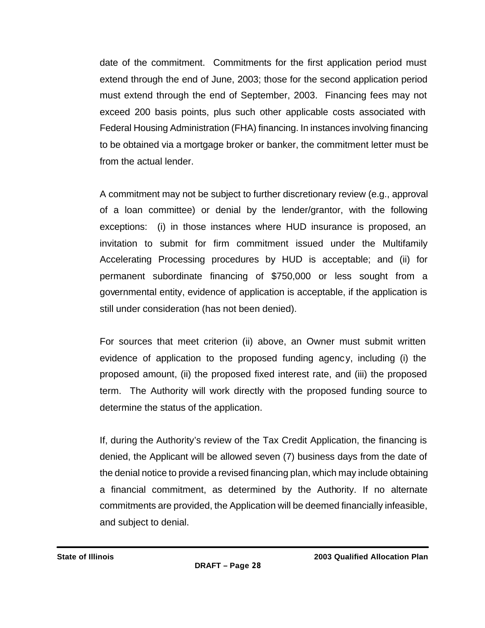date of the commitment. Commitments for the first application period must extend through the end of June, 2003; those for the second application period must extend through the end of September, 2003. Financing fees may not exceed 200 basis points, plus such other applicable costs associated with Federal Housing Administration (FHA) financing. In instances involving financing to be obtained via a mortgage broker or banker, the commitment letter must be from the actual lender.

A commitment may not be subject to further discretionary review (e.g., approval of a loan committee) or denial by the lender/grantor, with the following exceptions: (i) in those instances where HUD insurance is proposed, an invitation to submit for firm commitment issued under the Multifamily Accelerating Processing procedures by HUD is acceptable; and (ii) for permanent subordinate financing of \$750,000 or less sought from a governmental entity, evidence of application is acceptable, if the application is still under consideration (has not been denied).

For sources that meet criterion (ii) above, an Owner must submit written evidence of application to the proposed funding agency, including (i) the proposed amount, (ii) the proposed fixed interest rate, and (iii) the proposed term. The Authority will work directly with the proposed funding source to determine the status of the application.

If, during the Authority's review of the Tax Credit Application, the financing is denied, the Applicant will be allowed seven (7) business days from the date of the denial notice to provide a revised financing plan, which may include obtaining a financial commitment, as determined by the Authority. If no alternate commitments are provided, the Application will be deemed financially infeasible, and subject to denial.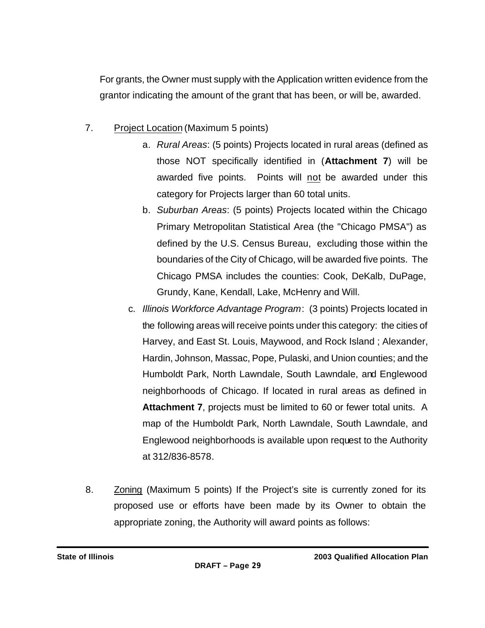For grants, the Owner must supply with the Application written evidence from the grantor indicating the amount of the grant that has been, or will be, awarded.

- 7. Project Location (Maximum 5 points)
	- a. *Rural Areas*: (5 points) Projects located in rural areas (defined as those NOT specifically identified in (**Attachment 7**) will be awarded five points. Points will not be awarded under this category for Projects larger than 60 total units.
	- b. *Suburban Areas*: (5 points) Projects located within the Chicago Primary Metropolitan Statistical Area (the "Chicago PMSA") as defined by the U.S. Census Bureau, excluding those within the boundaries of the City of Chicago, will be awarded five points. The Chicago PMSA includes the counties: Cook, DeKalb, DuPage, Grundy, Kane, Kendall, Lake, McHenry and Will.
	- c. *Illinois Workforce Advantage Program*: (3 points) Projects located in the following areas will receive points under this category: the cities of Harvey, and East St. Louis, Maywood, and Rock Island ; Alexander, Hardin, Johnson, Massac, Pope, Pulaski, and Union counties; and the Humboldt Park, North Lawndale, South Lawndale, and Englewood neighborhoods of Chicago. If located in rural areas as defined in **Attachment 7**, projects must be limited to 60 or fewer total units. A map of the Humboldt Park, North Lawndale, South Lawndale, and Englewood neighborhoods is available upon request to the Authority at 312/836-8578.
- 8. Zoning (Maximum 5 points) If the Project's site is currently zoned for its proposed use or efforts have been made by its Owner to obtain the appropriate zoning, the Authority will award points as follows: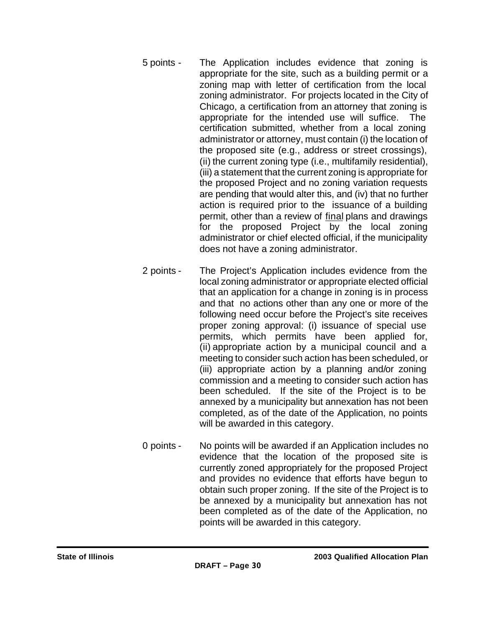- 5 points The Application includes evidence that zoning is appropriate for the site, such as a building permit or a zoning map with letter of certification from the local zoning administrator. For projects located in the City of Chicago, a certification from an attorney that zoning is appropriate for the intended use will suffice. The certification submitted, whether from a local zoning administrator or attorney, must contain (i) the location of the proposed site (e.g., address or street crossings), (ii) the current zoning type (i.e., multifamily residential), (iii) a statement that the current zoning is appropriate for the proposed Project and no zoning variation requests are pending that would alter this, and (iv) that no further action is required prior to the issuance of a building permit, other than a review of final plans and drawings for the proposed Project by the local zoning administrator or chief elected official, if the municipality does not have a zoning administrator.
- 2 points The Project's Application includes evidence from the local zoning administrator or appropriate elected official that an application for a change in zoning is in process and that no actions other than any one or more of the following need occur before the Project's site receives proper zoning approval: (i) issuance of special use permits, which permits have been applied for, (ii) appropriate action by a municipal council and a meeting to consider such action has been scheduled, or (iii) appropriate action by a planning and/or zoning commission and a meeting to consider such action has been scheduled. If the site of the Project is to be annexed by a municipality but annexation has not been completed, as of the date of the Application, no points will be awarded in this category.
- 0 points No points will be awarded if an Application includes no evidence that the location of the proposed site is currently zoned appropriately for the proposed Project and provides no evidence that efforts have begun to obtain such proper zoning. If the site of the Project is to be annexed by a municipality but annexation has not been completed as of the date of the Application, no points will be awarded in this category.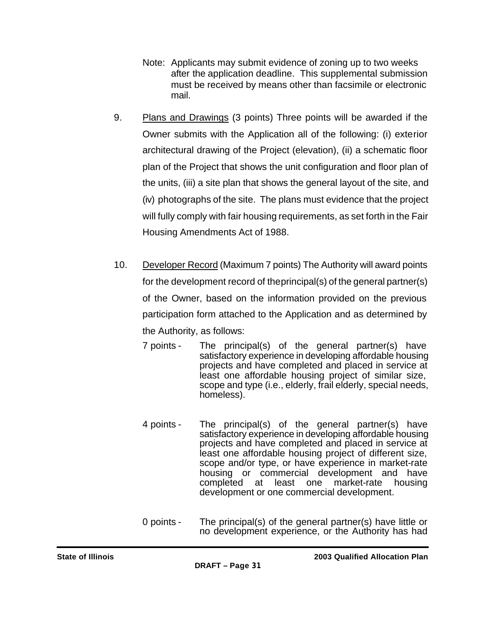- Note: Applicants may submit evidence of zoning up to two weeks after the application deadline. This supplemental submission must be received by means other than facsimile or electronic mail.
- 9. Plans and Drawings (3 points) Three points will be awarded if the Owner submits with the Application all of the following: (i) exterior architectural drawing of the Project (elevation), (ii) a schematic floor plan of the Project that shows the unit configuration and floor plan of the units, (iii) a site plan that shows the general layout of the site, and (iv) photographs of the site. The plans must evidence that the project will fully comply with fair housing requirements, as set forth in the Fair Housing Amendments Act of 1988.
- 10. Developer Record (Maximum 7 points) The Authority will award points for the development record of the principal(s) of the general partner(s) of the Owner, based on the information provided on the previous participation form attached to the Application and as determined by the Authority, as follows:
	- 7 points The principal(s) of the general partner(s) have satisfactory experience in developing affordable housing projects and have completed and placed in service at least one affordable housing project of similar size, scope and type (i.e., elderly, frail elderly, special needs, homeless).
	- 4 points The principal(s) of the general partner(s) have satisfactory experience in developing affordable housing projects and have completed and placed in service at least one affordable housing project of different size, scope and/or type, or have experience in market-rate housing or commercial development and have completed at least one market-rate housing development or one commercial development.
	- 0 points The principal(s) of the general partner(s) have little or no development experience, or the Authority has had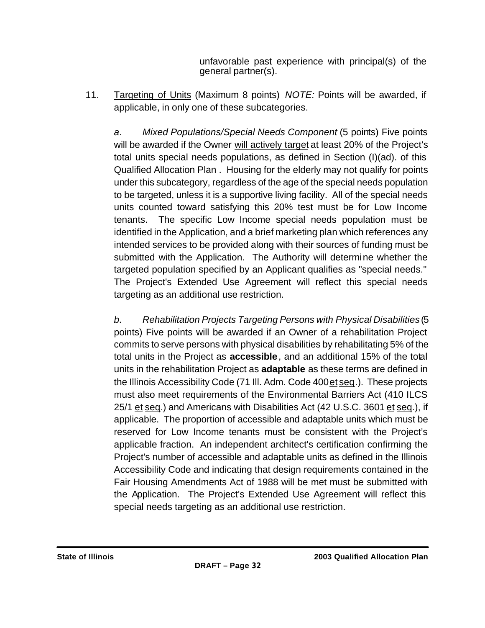unfavorable past experience with principal(s) of the general partner(s).

11. Targeting of Units (Maximum 8 points) *NOTE:* Points will be awarded, if applicable, in only one of these subcategories.

*a. Mixed Populations/Special Needs Component* (5 points) Five points will be awarded if the Owner will actively target at least 20% of the Project's total units special needs populations, as defined in Section (I)(ad). of this Qualified Allocation Plan . Housing for the elderly may not qualify for points under this subcategory, regardless of the age of the special needs population to be targeted, unless it is a supportive living facility. All of the special needs units counted toward satisfying this 20% test must be for Low Income tenants. The specific Low Income special needs population must be identified in the Application, and a brief marketing plan which references any intended services to be provided along with their sources of funding must be submitted with the Application. The Authority will determine whether the targeted population specified by an Applicant qualifies as "special needs." The Project's Extended Use Agreement will reflect this special needs targeting as an additional use restriction.

*b. Rehabilitation Projects Targeting Persons with Physical Disabilities* (5 points) Five points will be awarded if an Owner of a rehabilitation Project commits to serve persons with physical disabilities by rehabilitating 5% of the total units in the Project as **accessible**, and an additional 15% of the total units in the rehabilitation Project as **adaptable** as these terms are defined in the Illinois Accessibility Code (71 Ill. Adm. Code 400 et seq.). These projects must also meet requirements of the Environmental Barriers Act (410 ILCS 25/1 et seq.) and Americans with Disabilities Act (42 U.S.C. 3601 et seq.), if applicable. The proportion of accessible and adaptable units which must be reserved for Low Income tenants must be consistent with the Project's applicable fraction. An independent architect's certification confirming the Project's number of accessible and adaptable units as defined in the Illinois Accessibility Code and indicating that design requirements contained in the Fair Housing Amendments Act of 1988 will be met must be submitted with the Application. The Project's Extended Use Agreement will reflect this special needs targeting as an additional use restriction.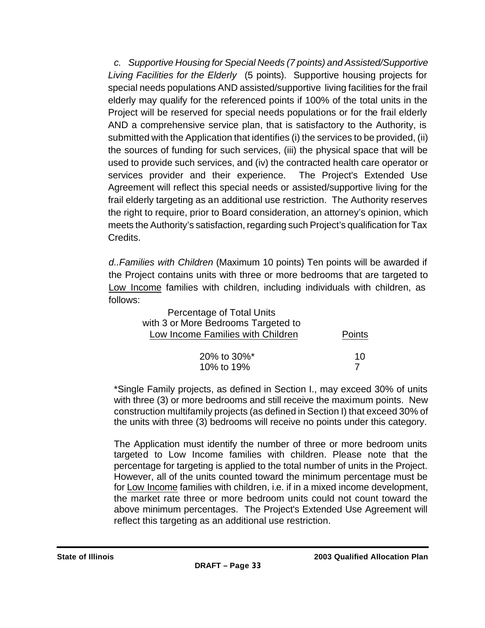*c. Supportive Housing for Special Needs (7 points) and Assisted/Supportive Living Facilities for the Elderly* (5 points). Supportive housing projects for special needs populations AND assisted/supportive living facilities for the frail elderly may qualify for the referenced points if 100% of the total units in the Project will be reserved for special needs populations or for the frail elderly AND a comprehensive service plan, that is satisfactory to the Authority, is submitted with the Application that identifies (i) the services to be provided, (ii) the sources of funding for such services, (iii) the physical space that will be used to provide such services, and (iv) the contracted health care operator or services provider and their experience. The Project's Extended Use Agreement will reflect this special needs or assisted/supportive living for the frail elderly targeting as an additional use restriction. The Authority reserves the right to require, prior to Board consideration, an attorney's opinion, which meets the Authority's satisfaction, regarding such Project's qualification for Tax Credits.

*d..Families with Children* (Maximum 10 points) Ten points will be awarded if the Project contains units with three or more bedrooms that are targeted to Low Income families with children, including individuals with children, as follows:

| Percentage of Total Units           |               |
|-------------------------------------|---------------|
| with 3 or More Bedrooms Targeted to |               |
| Low Income Families with Children   | <b>Points</b> |
|                                     |               |
| 20% to 30%*                         | 10            |
| 10% to 19%                          |               |

\*Single Family projects, as defined in Section I., may exceed 30% of units with three (3) or more bedrooms and still receive the maximum points. New construction multifamily projects (as defined in Section I) that exceed 30% of the units with three (3) bedrooms will receive no points under this category.

The Application must identify the number of three or more bedroom units targeted to Low Income families with children. Please note that the percentage for targeting is applied to the total number of units in the Project. However, all of the units counted toward the minimum percentage must be for Low Income families with children, i.e. if in a mixed income development, the market rate three or more bedroom units could not count toward the above minimum percentages. The Project's Extended Use Agreement will reflect this targeting as an additional use restriction.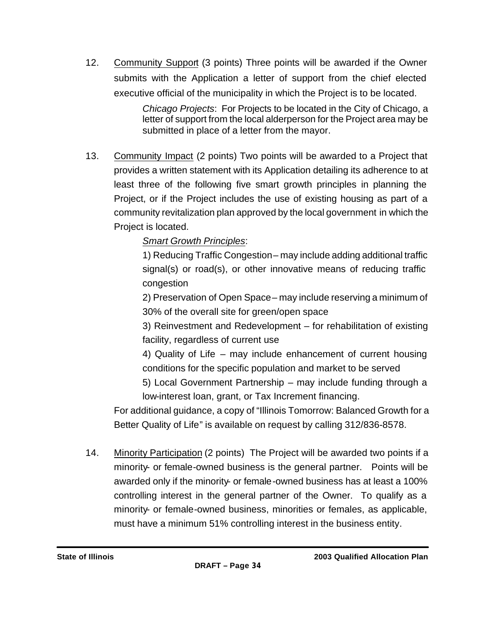12. Community Support (3 points) Three points will be awarded if the Owner submits with the Application a letter of support from the chief elected executive official of the municipality in which the Project is to be located.

> *Chicago Projects*: For Projects to be located in the City of Chicago, a letter of support from the local alderperson for the Project area may be submitted in place of a letter from the mayor.

13. Community Impact (2 points) Two points will be awarded to a Project that provides a written statement with its Application detailing its adherence to at least three of the following five smart growth principles in planning the Project, or if the Project includes the use of existing housing as part of a community revitalization plan approved by the local government in which the Project is located.

## *Smart Growth Principles*:

1) Reducing Traffic Congestion – may include adding additional traffic signal(s) or road(s), or other innovative means of reducing traffic congestion

2) Preservation of Open Space – may include reserving a minimum of 30% of the overall site for green/open space

3) Reinvestment and Redevelopment – for rehabilitation of existing facility, regardless of current use

4) Quality of Life – may include enhancement of current housing conditions for the specific population and market to be served

5) Local Government Partnership – may include funding through a low-interest loan, grant, or Tax Increment financing.

For additional guidance, a copy of "Illinois Tomorrow: Balanced Growth for a Better Quality of Life" is available on request by calling 312/836-8578.

14. Minority Participation (2 points) The Project will be awarded two points if a minority- or female-owned business is the general partner. Points will be awarded only if the minority- or female-owned business has at least a 100% controlling interest in the general partner of the Owner. To qualify as a minority- or female-owned business, minorities or females, as applicable, must have a minimum 51% controlling interest in the business entity.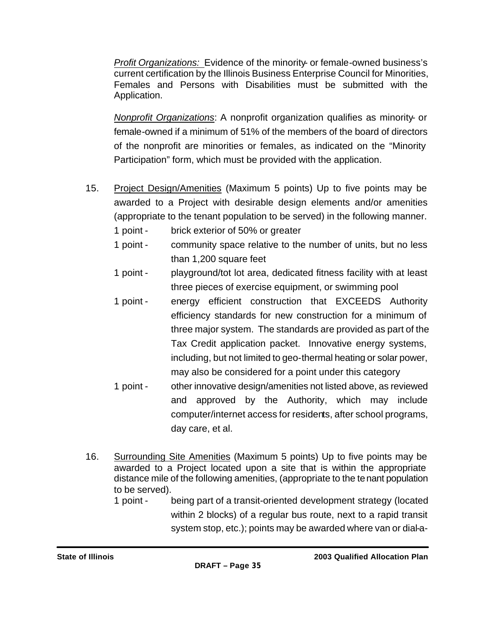*Profit Organizations:* Evidence of the minority- or female-owned business's current certification by the Illinois Business Enterprise Council for Minorities, Females and Persons with Disabilities must be submitted with the Application.

*Nonprofit Organizations*: A nonprofit organization qualifies as minority- or female-owned if a minimum of 51% of the members of the board of directors of the nonprofit are minorities or females, as indicated on the "Minority Participation" form, which must be provided with the application.

- 15. Project Design/Amenities (Maximum 5 points) Up to five points may be awarded to a Project with desirable design elements and/or amenities (appropriate to the tenant population to be served) in the following manner.
	- 1 point brick exterior of 50% or greater
	- 1 point community space relative to the number of units, but no less than 1,200 square feet
	- 1 point playground/tot lot area, dedicated fitness facility with at least three pieces of exercise equipment, or swimming pool
	- 1 point energy efficient construction that EXCEEDS Authority efficiency standards for new construction for a minimum of three major system. The standards are provided as part of the Tax Credit application packet. Innovative energy systems, including, but not limited to geo-thermal heating or solar power, may also be considered for a point under this category
	- 1 point other innovative design/amenities not listed above, as reviewed and approved by the Authority, which may include computer/internet access for residents, after school programs, day care, et al.
- 16. Surrounding Site Amenities (Maximum 5 points) Up to five points may be awarded to a Project located upon a site that is within the appropriate distance mile of the following amenities, (appropriate to the tenant population to be served).
	- 1 point being part of a transit-oriented development strategy (located within 2 blocks) of a regular bus route, next to a rapid transit system stop, etc.); points may be awarded where van or dial-a-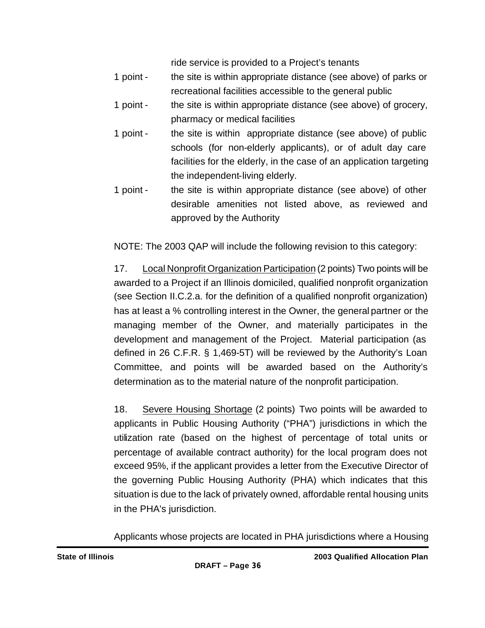ride service is provided to a Project's tenants

- 1 point the site is within appropriate distance (see above) of parks or recreational facilities accessible to the general public
- 1 point the site is within appropriate distance (see above) of grocery, pharmacy or medical facilities
- 1 point the site is within appropriate distance (see above) of public schools (for non-elderly applicants), or of adult day care facilities for the elderly, in the case of an application targeting the independent-living elderly.
- 1 point the site is within appropriate distance (see above) of other desirable amenities not listed above, as reviewed and approved by the Authority

NOTE: The 2003 QAP will include the following revision to this category:

17. Local Nonprofit Organization Participation (2 points) Two points will be awarded to a Project if an Illinois domiciled, qualified nonprofit organization (see Section II.C.2.a. for the definition of a qualified nonprofit organization) has at least a % controlling interest in the Owner, the general partner or the managing member of the Owner, and materially participates in the development and management of the Project. Material participation (as defined in 26 C.F.R. § 1,469-5T) will be reviewed by the Authority's Loan Committee, and points will be awarded based on the Authority's determination as to the material nature of the nonprofit participation.

18. Severe Housing Shortage (2 points) Two points will be awarded to applicants in Public Housing Authority ("PHA") jurisdictions in which the utilization rate (based on the highest of percentage of total units or percentage of available contract authority) for the local program does not exceed 95%, if the applicant provides a letter from the Executive Director of the governing Public Housing Authority (PHA) which indicates that this situation is due to the lack of privately owned, affordable rental housing units in the PHA's jurisdiction.

Applicants whose projects are located in PHA jurisdictions where a Housing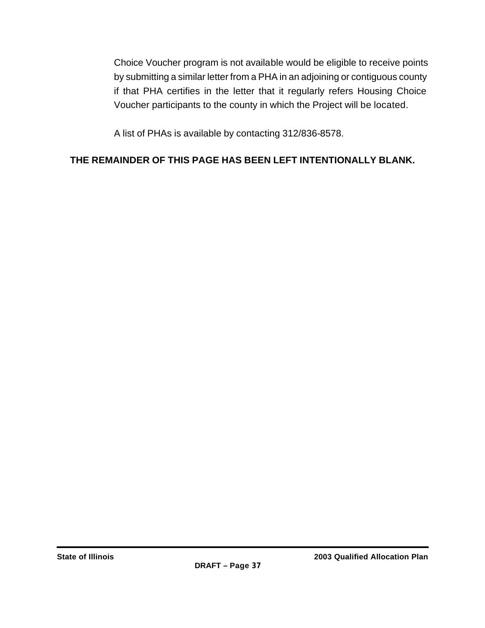Choice Voucher program is not available would be eligible to receive points by submitting a similar letter from a PHA in an adjoining or contiguous county if that PHA certifies in the letter that it regularly refers Housing Choice Voucher participants to the county in which the Project will be located.

A list of PHAs is available by contacting 312/836-8578.

# **THE REMAINDER OF THIS PAGE HAS BEEN LEFT INTENTIONALLY BLANK.**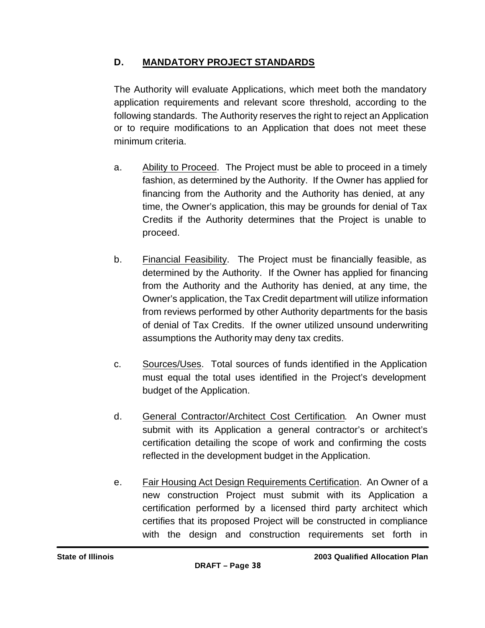# **D. MANDATORY PROJECT STANDARDS**

The Authority will evaluate Applications, which meet both the mandatory application requirements and relevant score threshold, according to the following standards. The Authority reserves the right to reject an Application or to require modifications to an Application that does not meet these minimum criteria.

- a. Ability to Proceed. The Project must be able to proceed in a timely fashion, as determined by the Authority. If the Owner has applied for financing from the Authority and the Authority has denied, at any time, the Owner's application, this may be grounds for denial of Tax Credits if the Authority determines that the Project is unable to proceed.
- b. Financial Feasibility. The Project must be financially feasible, as determined by the Authority. If the Owner has applied for financing from the Authority and the Authority has denied, at any time, the Owner's application, the Tax Credit department will utilize information from reviews performed by other Authority departments for the basis of denial of Tax Credits. If the owner utilized unsound underwriting assumptions the Authority may deny tax credits.
- c. Sources/Uses. Total sources of funds identified in the Application must equal the total uses identified in the Project's development budget of the Application.
- d. General Contractor/Architect Cost Certification. An Owner must submit with its Application a general contractor's or architect's certification detailing the scope of work and confirming the costs reflected in the development budget in the Application.
- e. Fair Housing Act Design Requirements Certification. An Owner of a new construction Project must submit with its Application a certification performed by a licensed third party architect which certifies that its proposed Project will be constructed in compliance with the design and construction requirements set forth in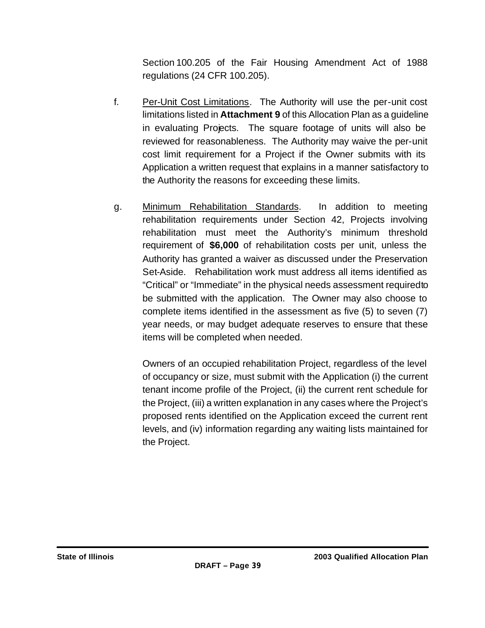Section 100.205 of the Fair Housing Amendment Act of 1988 regulations (24 CFR 100.205).

- f. Per-Unit Cost Limitations. The Authority will use the per-unit cost limitations listed in **Attachment 9** of this Allocation Plan as a guideline in evaluating Projects. The square footage of units will also be reviewed for reasonableness. The Authority may waive the per-unit cost limit requirement for a Project if the Owner submits with its Application a written request that explains in a manner satisfactory to the Authority the reasons for exceeding these limits.
- g. Minimum Rehabilitation Standards. In addition to meeting rehabilitation requirements under Section 42, Projects involving rehabilitation must meet the Authority's minimum threshold requirement of **\$6,000** of rehabilitation costs per unit, unless the Authority has granted a waiver as discussed under the Preservation Set-Aside. Rehabilitation work must address all items identified as "Critical" or "Immediate" in the physical needs assessment required to be submitted with the application. The Owner may also choose to complete items identified in the assessment as five (5) to seven (7) year needs, or may budget adequate reserves to ensure that these items will be completed when needed.

Owners of an occupied rehabilitation Project, regardless of the level of occupancy or size, must submit with the Application (i) the current tenant income profile of the Project, (ii) the current rent schedule for the Project, (iii) a written explanation in any cases where the Project's proposed rents identified on the Application exceed the current rent levels, and (iv) information regarding any waiting lists maintained for the Project.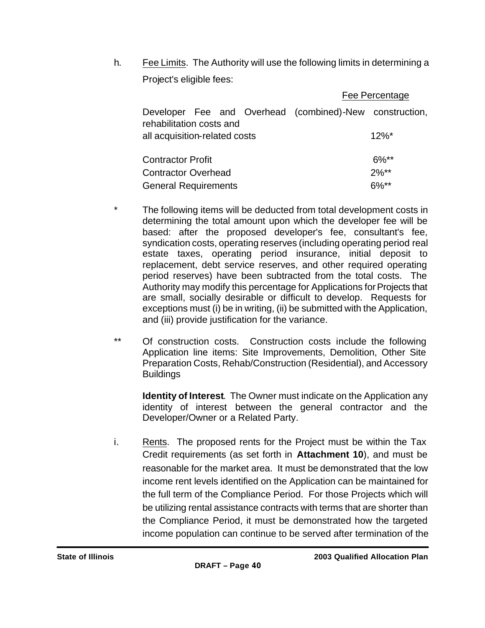h. Fee Limits. The Authority will use the following limits in determining a Project's eligible fees:

|                                                                                     | Fee Percentage |
|-------------------------------------------------------------------------------------|----------------|
| Developer Fee and Overhead (combined)-New construction,<br>rehabilitation costs and |                |
| all acquisition-related costs                                                       | $12\%$ *       |
| <b>Contractor Profit</b>                                                            | $6\%$ **       |
| <b>Contractor Overhead</b>                                                          | $2\%**$        |
| <b>General Requirements</b>                                                         | $6\%**$        |

- \* The following items will be deducted from total development costs in determining the total amount upon which the developer fee will be based: after the proposed developer's fee, consultant's fee, syndication costs, operating reserves (including operating period real estate taxes, operating period insurance, initial deposit to replacement, debt service reserves, and other required operating period reserves) have been subtracted from the total costs. The Authority may modify this percentage for Applications for Projects that are small, socially desirable or difficult to develop. Requests for exceptions must (i) be in writing, (ii) be submitted with the Application, and (iii) provide justification for the variance.
- \*\* Of construction costs. Construction costs include the following Application line items: Site Improvements, Demolition, Other Site Preparation Costs, Rehab/Construction (Residential), and Accessory **Buildings**

**Identity of Interest**. The Owner must indicate on the Application any identity of interest between the general contractor and the Developer/Owner or a Related Party.

i. Rents. The proposed rents for the Project must be within the Tax Credit requirements (as set forth in **Attachment 10**), and must be reasonable for the market area. It must be demonstrated that the low income rent levels identified on the Application can be maintained for the full term of the Compliance Period. For those Projects which will be utilizing rental assistance contracts with terms that are shorter than the Compliance Period, it must be demonstrated how the targeted income population can continue to be served after termination of the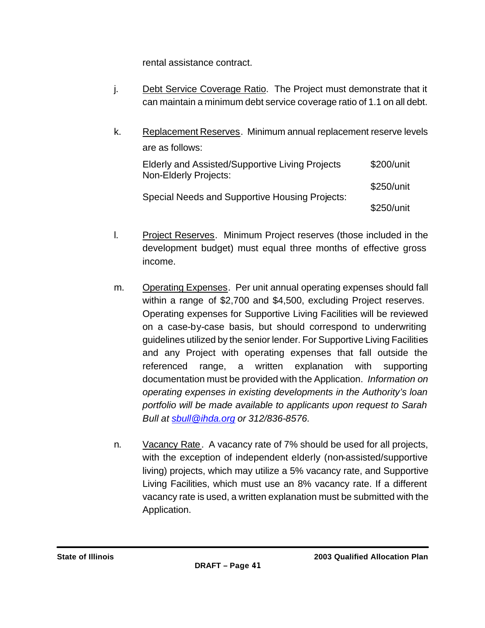rental assistance contract.

- j. Debt Service Coverage Ratio. The Project must demonstrate that it can maintain a minimum debt service coverage ratio of 1.1 on all debt.
- k. Replacement Reserves. Minimum annual replacement reserve levels are as follows:

| Elderly and Assisted/Supportive Living Projects<br>Non-Elderly Projects: | \$200/unit |  |
|--------------------------------------------------------------------------|------------|--|
| Special Needs and Supportive Housing Projects:                           | \$250/unit |  |
|                                                                          | \$250/unit |  |

- l. Project Reserves. Minimum Project reserves (those included in the development budget) must equal three months of effective gross income.
- m. Operating Expenses. Per unit annual operating expenses should fall within a range of \$2,700 and \$4,500, excluding Project reserves. Operating expenses for Supportive Living Facilities will be reviewed on a case-by-case basis, but should correspond to underwriting guidelines utilized by the senior lender. For Supportive Living Facilities and any Project with operating expenses that fall outside the referenced range, a written explanation with supporting documentation must be provided with the Application. *Information on operating expenses in existing developments in the Authority's loan portfolio will be made available to applicants upon request to Sarah Bull at sbull@ihda.org or 312/836-8576.*
- n. Vacancy Rate. A vacancy rate of 7% should be used for all projects, with the exception of independent elderly (non-assisted/supportive living) projects, which may utilize a 5% vacancy rate, and Supportive Living Facilities, which must use an 8% vacancy rate. If a different vacancy rate is used, a written explanation must be submitted with the Application.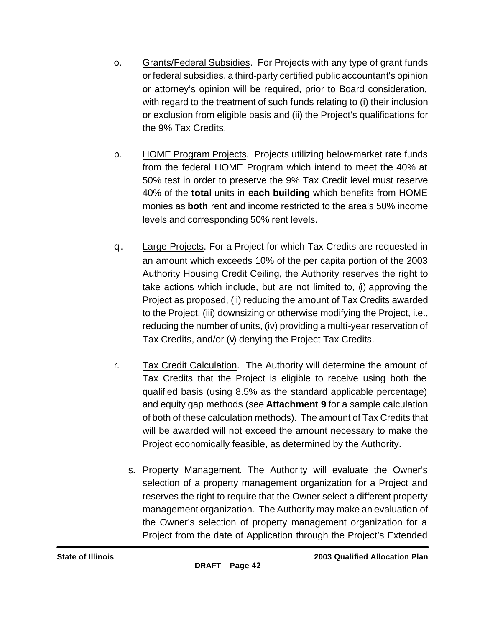- o. Grants/Federal Subsidies. For Projects with any type of grant funds or federal subsidies, a third-party certified public accountant's opinion or attorney's opinion will be required, prior to Board consideration, with regard to the treatment of such funds relating to (i) their inclusion or exclusion from eligible basis and (ii) the Project's qualifications for the 9% Tax Credits.
- p. HOME Program Projects. Projects utilizing below-market rate funds from the federal HOME Program which intend to meet the 40% at 50% test in order to preserve the 9% Tax Credit level must reserve 40% of the **total** units in **each building** which benefits from HOME monies as **both** rent and income restricted to the area's 50% income levels and corresponding 50% rent levels.
- q. Large Projects. For a Project for which Tax Credits are requested in an amount which exceeds 10% of the per capita portion of the 2003 Authority Housing Credit Ceiling, the Authority reserves the right to take actions which include, but are not limited to, (i) approving the Project as proposed, (ii) reducing the amount of Tax Credits awarded to the Project, (iii) downsizing or otherwise modifying the Project, i.e., reducing the number of units, (iv) providing a multi-year reservation of Tax Credits, and/or (v) denying the Project Tax Credits.
- r. Tax Credit Calculation. The Authority will determine the amount of Tax Credits that the Project is eligible to receive using both the qualified basis (using 8.5% as the standard applicable percentage) and equity gap methods (see **Attachment 9** for a sample calculation of both of these calculation methods). The amount of Tax Credits that will be awarded will not exceed the amount necessary to make the Project economically feasible, as determined by the Authority.
	- s. Property Management. The Authority will evaluate the Owner's selection of a property management organization for a Project and reserves the right to require that the Owner select a different property management organization. The Authority may make an evaluation of the Owner's selection of property management organization for a Project from the date of Application through the Project's Extended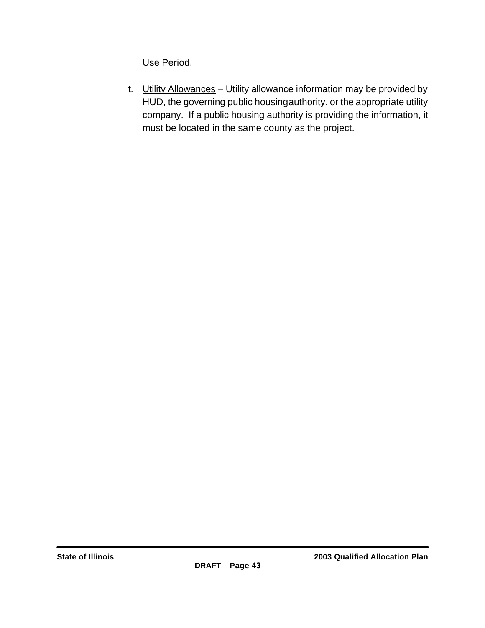Use Period.

t. Utility Allowances - Utility allowance information may be provided by HUD, the governing public housing authority, or the appropriate utility company. If a public housing authority is providing the information, it must be located in the same county as the project.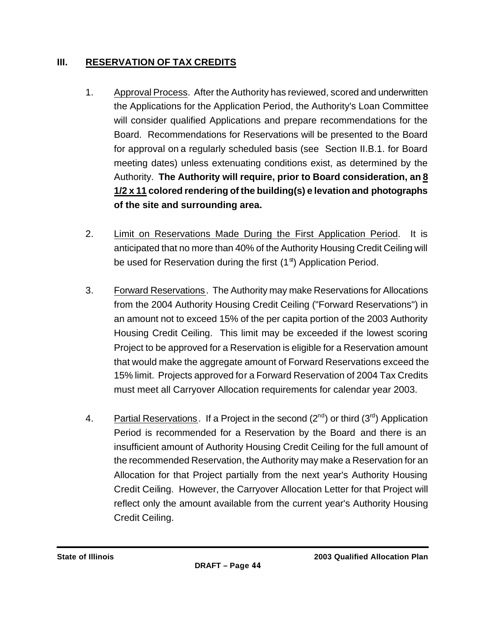# **III. RESERVATION OF TAX CREDITS**

- 1. Approval Process. After the Authority has reviewed, scored and underwritten the Applications for the Application Period, the Authority's Loan Committee will consider qualified Applications and prepare recommendations for the Board. Recommendations for Reservations will be presented to the Board for approval on a regularly scheduled basis (see Section II.B.1. for Board meeting dates) unless extenuating conditions exist, as determined by the Authority. **The Authority will require, prior to Board consideration, an 8 1/2 x 11 colored rendering of the building(s) e levation and photographs of the site and surrounding area.**
- 2. Limit on Reservations Made During the First Application Period. It is anticipated that no more than 40% of the Authority Housing Credit Ceiling will be used for Reservation during the first  $(1<sup>st</sup>)$  Application Period.
- 3. Forward Reservations. The Authority may make Reservations for Allocations from the 2004 Authority Housing Credit Ceiling ("Forward Reservations") in an amount not to exceed 15% of the per capita portion of the 2003 Authority Housing Credit Ceiling. This limit may be exceeded if the lowest scoring Project to be approved for a Reservation is eligible for a Reservation amount that would make the aggregate amount of Forward Reservations exceed the 15% limit. Projects approved for a Forward Reservation of 2004 Tax Credits must meet all Carryover Allocation requirements for calendar year 2003.
- 4. Partial Reservations. If a Project in the second  $(2^{nd})$  or third  $(3^{nd})$  Application Period is recommended for a Reservation by the Board and there is an insufficient amount of Authority Housing Credit Ceiling for the full amount of the recommended Reservation, the Authority may make a Reservation for an Allocation for that Project partially from the next year's Authority Housing Credit Ceiling. However, the Carryover Allocation Letter for that Project will reflect only the amount available from the current year's Authority Housing Credit Ceiling.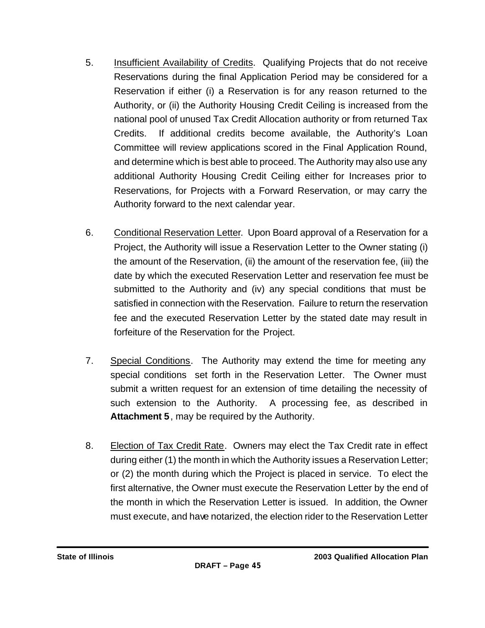- 5. Insufficient Availability of Credits. Qualifying Projects that do not receive Reservations during the final Application Period may be considered for a Reservation if either (i) a Reservation is for any reason returned to the Authority, or (ii) the Authority Housing Credit Ceiling is increased from the national pool of unused Tax Credit Allocation authority or from returned Tax Credits. If additional credits become available, the Authority's Loan Committee will review applications scored in the Final Application Round, and determine which is best able to proceed. The Authority may also use any additional Authority Housing Credit Ceiling either for Increases prior to Reservations, for Projects with a Forward Reservation, or may carry the Authority forward to the next calendar year.
- 6. Conditional Reservation Letter. Upon Board approval of a Reservation for a Project, the Authority will issue a Reservation Letter to the Owner stating (i) the amount of the Reservation, (ii) the amount of the reservation fee, (iii) the date by which the executed Reservation Letter and reservation fee must be submitted to the Authority and (iv) any special conditions that must be satisfied in connection with the Reservation. Failure to return the reservation fee and the executed Reservation Letter by the stated date may result in forfeiture of the Reservation for the Project.
- 7. Special Conditions. The Authority may extend the time for meeting any special conditions set forth in the Reservation Letter. The Owner must submit a written request for an extension of time detailing the necessity of such extension to the Authority. A processing fee, as described in **Attachment 5**, may be required by the Authority.
- 8. Election of Tax Credit Rate. Owners may elect the Tax Credit rate in effect during either (1) the month in which the Authority issues a Reservation Letter; or (2) the month during which the Project is placed in service. To elect the first alternative, the Owner must execute the Reservation Letter by the end of the month in which the Reservation Letter is issued. In addition, the Owner must execute, and have notarized, the election rider to the Reservation Letter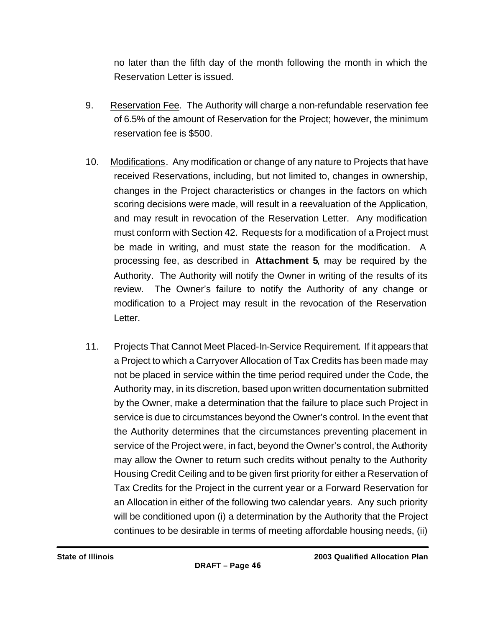no later than the fifth day of the month following the month in which the Reservation Letter is issued.

- 9. Reservation Fee. The Authority will charge a non-refundable reservation fee of 6.5% of the amount of Reservation for the Project; however, the minimum reservation fee is \$500.
- 10. Modifications. Any modification or change of any nature to Projects that have received Reservations, including, but not limited to, changes in ownership, changes in the Project characteristics or changes in the factors on which scoring decisions were made, will result in a reevaluation of the Application, and may result in revocation of the Reservation Letter. Any modification must conform with Section 42. Requests for a modification of a Project must be made in writing, and must state the reason for the modification. A processing fee, as described in **Attachment 5**, may be required by the Authority. The Authority will notify the Owner in writing of the results of its review. The Owner's failure to notify the Authority of any change or modification to a Project may result in the revocation of the Reservation Letter.
- 11. Projects That Cannot Meet Placed-In-Service Requirement. If it appears that a Project to which a Carryover Allocation of Tax Credits has been made may not be placed in service within the time period required under the Code, the Authority may, in its discretion, based upon written documentation submitted by the Owner, make a determination that the failure to place such Project in service is due to circumstances beyond the Owner's control. In the event that the Authority determines that the circumstances preventing placement in service of the Project were, in fact, beyond the Owner's control, the Authority may allow the Owner to return such credits without penalty to the Authority Housing Credit Ceiling and to be given first priority for either a Reservation of Tax Credits for the Project in the current year or a Forward Reservation for an Allocation in either of the following two calendar years. Any such priority will be conditioned upon (i) a determination by the Authority that the Project continues to be desirable in terms of meeting affordable housing needs, (ii)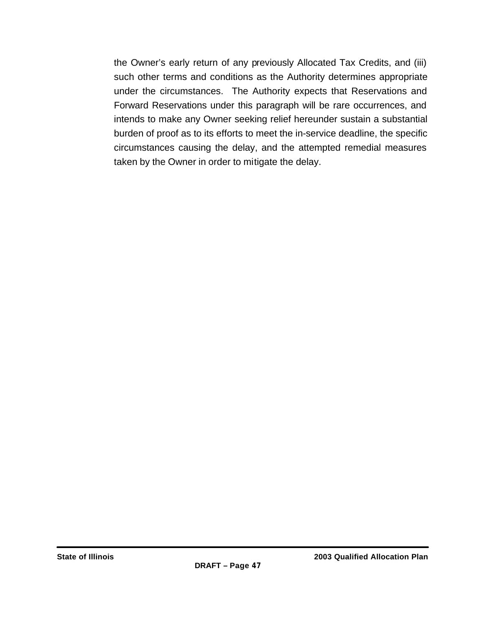the Owner's early return of any previously Allocated Tax Credits, and (iii) such other terms and conditions as the Authority determines appropriate under the circumstances. The Authority expects that Reservations and Forward Reservations under this paragraph will be rare occurrences, and intends to make any Owner seeking relief hereunder sustain a substantial burden of proof as to its efforts to meet the in-service deadline, the specific circumstances causing the delay, and the attempted remedial measures taken by the Owner in order to mitigate the delay.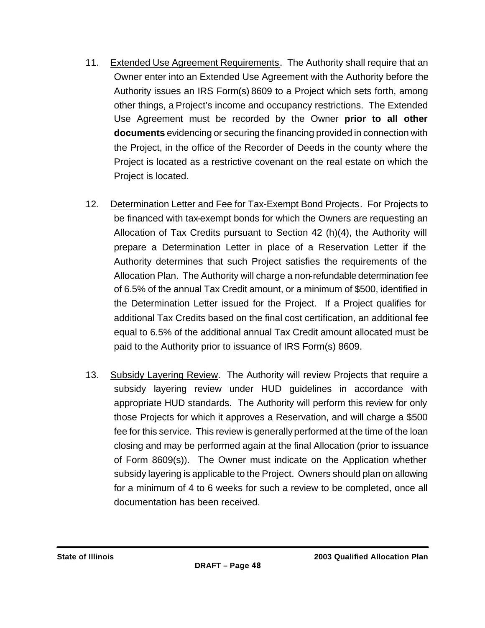- 11. Extended Use Agreement Requirements. The Authority shall require that an Owner enter into an Extended Use Agreement with the Authority before the Authority issues an IRS Form(s) 8609 to a Project which sets forth, among other things, a Project's income and occupancy restrictions. The Extended Use Agreement must be recorded by the Owner **prior to all other documents** evidencing or securing the financing provided in connection with the Project, in the office of the Recorder of Deeds in the county where the Project is located as a restrictive covenant on the real estate on which the Project is located.
- 12. Determination Letter and Fee for Tax-Exempt Bond Projects. For Projects to be financed with tax-exempt bonds for which the Owners are requesting an Allocation of Tax Credits pursuant to Section 42 (h)(4), the Authority will prepare a Determination Letter in place of a Reservation Letter if the Authority determines that such Project satisfies the requirements of the Allocation Plan. The Authority will charge a non-refundable determination fee of 6.5% of the annual Tax Credit amount, or a minimum of \$500, identified in the Determination Letter issued for the Project. If a Project qualifies for additional Tax Credits based on the final cost certification, an additional fee equal to 6.5% of the additional annual Tax Credit amount allocated must be paid to the Authority prior to issuance of IRS Form(s) 8609.
- 13. Subsidy Layering Review. The Authority will review Projects that require a subsidy layering review under HUD guidelines in accordance with appropriate HUD standards. The Authority will perform this review for only those Projects for which it approves a Reservation, and will charge a \$500 fee for this service. This review is generally performed at the time of the loan closing and may be performed again at the final Allocation (prior to issuance of Form 8609(s)). The Owner must indicate on the Application whether subsidy layering is applicable to the Project. Owners should plan on allowing for a minimum of 4 to 6 weeks for such a review to be completed, once all documentation has been received.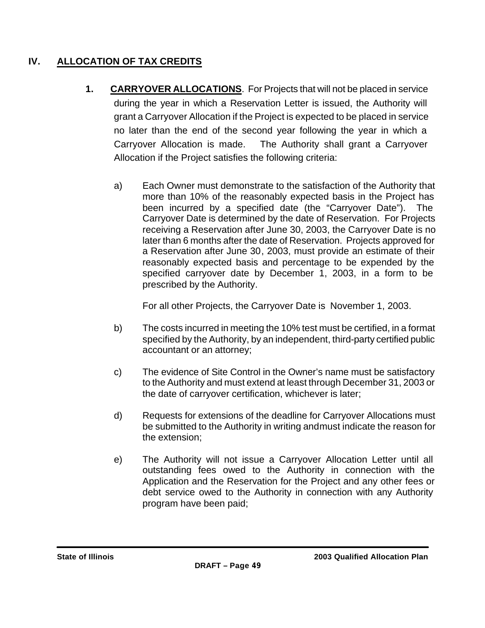# **IV. ALLOCATION OF TAX CREDITS**

- **1. CARRYOVER ALLOCATIONS**. For Projects that will not be placed in service during the year in which a Reservation Letter is issued, the Authority will grant a Carryover Allocation if the Project is expected to be placed in service no later than the end of the second year following the year in which a Carryover Allocation is made. The Authority shall grant a Carryover Allocation if the Project satisfies the following criteria:
	- a) Each Owner must demonstrate to the satisfaction of the Authority that more than 10% of the reasonably expected basis in the Project has been incurred by a specified date (the "Carryover Date"). The Carryover Date is determined by the date of Reservation. For Projects receiving a Reservation after June 30, 2003, the Carryover Date is no later than 6 months after the date of Reservation. Projects approved for a Reservation after June 30, 2003, must provide an estimate of their reasonably expected basis and percentage to be expended by the specified carryover date by December 1, 2003, in a form to be prescribed by the Authority.

For all other Projects, the Carryover Date is November 1, 2003.

- b) The costs incurred in meeting the 10% test must be certified, in a format specified by the Authority, by an independent, third-party certified public accountant or an attorney;
- c) The evidence of Site Control in the Owner's name must be satisfactory to the Authority and must extend at least through December 31, 2003 or the date of carryover certification, whichever is later;
- d) Requests for extensions of the deadline for Carryover Allocations must be submitted to the Authority in writing and must indicate the reason for the extension;
- e) The Authority will not issue a Carryover Allocation Letter until all outstanding fees owed to the Authority in connection with the Application and the Reservation for the Project and any other fees or debt service owed to the Authority in connection with any Authority program have been paid;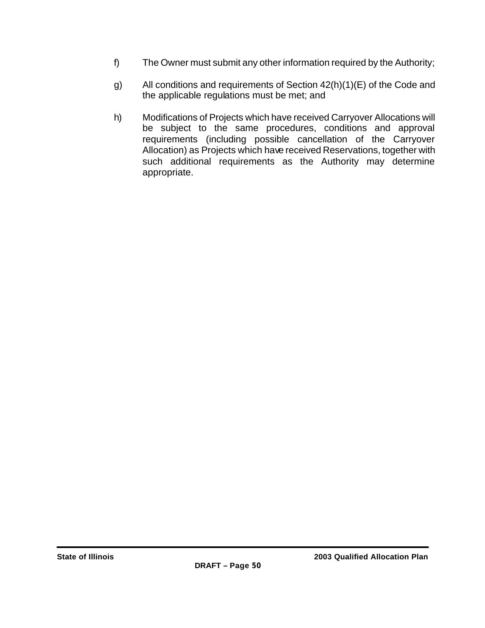- f) The Owner must submit any other information required by the Authority;
- g) All conditions and requirements of Section 42(h)(1)(E) of the Code and the applicable regulations must be met; and
- h) Modifications of Projects which have received Carryover Allocations will be subject to the same procedures, conditions and approval requirements (including possible cancellation of the Carryover Allocation) as Projects which have received Reservations, together with such additional requirements as the Authority may determine appropriate.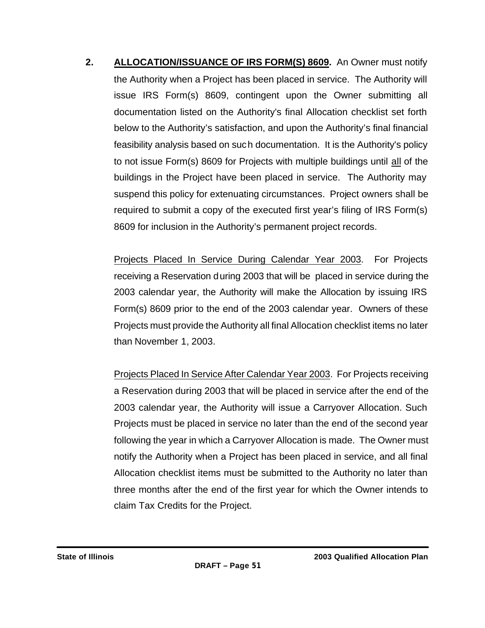**2. ALLOCATION/ISSUANCE OF IRS FORM(S) 8609.** An Owner must notify the Authority when a Project has been placed in service. The Authority will issue IRS Form(s) 8609, contingent upon the Owner submitting all documentation listed on the Authority's final Allocation checklist set forth below to the Authority's satisfaction, and upon the Authority's final financial feasibility analysis based on such documentation. It is the Authority's policy to not issue Form(s) 8609 for Projects with multiple buildings until all of the buildings in the Project have been placed in service. The Authority may suspend this policy for extenuating circumstances. Project owners shall be required to submit a copy of the executed first year's filing of IRS Form(s) 8609 for inclusion in the Authority's permanent project records.

Projects Placed In Service During Calendar Year 2003. For Projects receiving a Reservation during 2003 that will be placed in service during the 2003 calendar year, the Authority will make the Allocation by issuing IRS Form(s) 8609 prior to the end of the 2003 calendar year. Owners of these Projects must provide the Authority all final Allocation checklist items no later than November 1, 2003.

Projects Placed In Service After Calendar Year 2003. For Projects receiving a Reservation during 2003 that will be placed in service after the end of the 2003 calendar year, the Authority will issue a Carryover Allocation. Such Projects must be placed in service no later than the end of the second year following the year in which a Carryover Allocation is made. The Owner must notify the Authority when a Project has been placed in service, and all final Allocation checklist items must be submitted to the Authority no later than three months after the end of the first year for which the Owner intends to claim Tax Credits for the Project.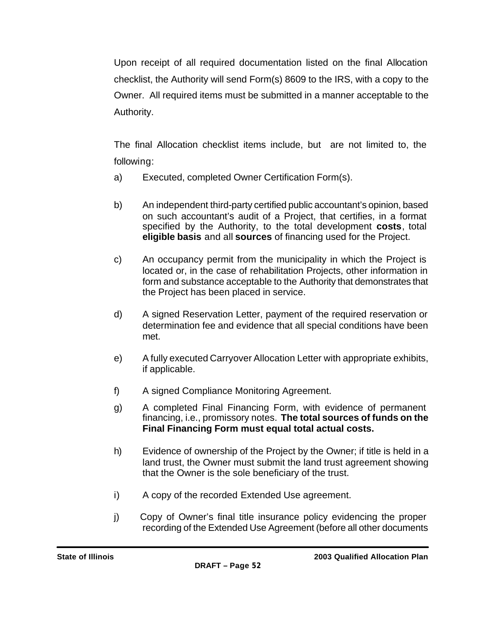Upon receipt of all required documentation listed on the final Allocation checklist, the Authority will send Form(s) 8609 to the IRS, with a copy to the Owner. All required items must be submitted in a manner acceptable to the Authority.

The final Allocation checklist items include, but are not limited to, the following:

- a) Executed, completed Owner Certification Form(s).
- b) An independent third-party certified public accountant's opinion, based on such accountant's audit of a Project, that certifies, in a format specified by the Authority, to the total development **costs**, total **eligible basis** and all **sources** of financing used for the Project.
- c) An occupancy permit from the municipality in which the Project is located or, in the case of rehabilitation Projects, other information in form and substance acceptable to the Authority that demonstrates that the Project has been placed in service.
- d) A signed Reservation Letter, payment of the required reservation or determination fee and evidence that all special conditions have been met.
- e) A fully executed Carryover Allocation Letter with appropriate exhibits, if applicable.
- f) A signed Compliance Monitoring Agreement.
- g) A completed Final Financing Form, with evidence of permanent financing, i.e., promissory notes. **The total sources of funds on the Final Financing Form must equal total actual costs.**
- h) Evidence of ownership of the Project by the Owner; if title is held in a land trust, the Owner must submit the land trust agreement showing that the Owner is the sole beneficiary of the trust.
- i) A copy of the recorded Extended Use agreement.
- j) Copy of Owner's final title insurance policy evidencing the proper recording of the Extended Use Agreement (before all other documents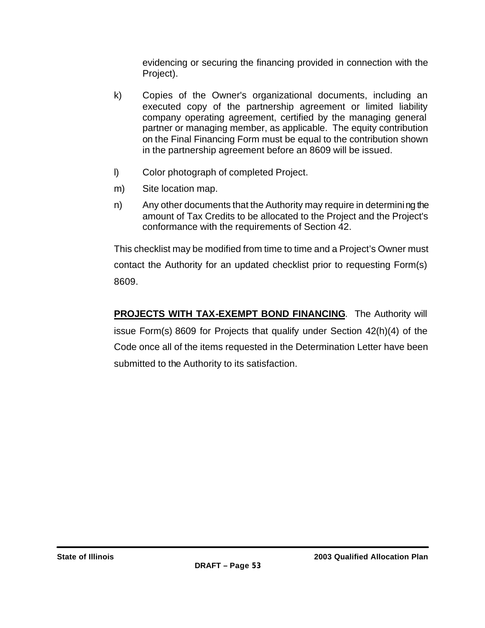evidencing or securing the financing provided in connection with the Project).

- k) Copies of the Owner's organizational documents, including an executed copy of the partnership agreement or limited liability company operating agreement, certified by the managing general partner or managing member, as applicable. The equity contribution on the Final Financing Form must be equal to the contribution shown in the partnership agreement before an 8609 will be issued.
- l) Color photograph of completed Project.
- m) Site location map.
- n) Any other documents that the Authority may require in determining the amount of Tax Credits to be allocated to the Project and the Project's conformance with the requirements of Section 42.

This checklist may be modified from time to time and a Project's Owner must contact the Authority for an updated checklist prior to requesting Form(s) 8609.

**PROJECTS WITH TAX-EXEMPT BOND FINANCING**. The Authority will issue Form(s) 8609 for Projects that qualify under Section 42(h)(4) of the Code once all of the items requested in the Determination Letter have been submitted to the Authority to its satisfaction.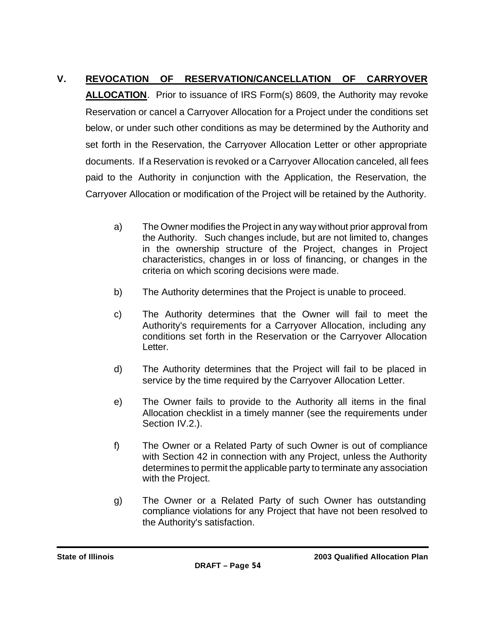# **V. REVOCATION OF RESERVATION/CANCELLATION OF CARRYOVER**

**ALLOCATION**. Prior to issuance of IRS Form(s) 8609, the Authority may revoke Reservation or cancel a Carryover Allocation for a Project under the conditions set below, or under such other conditions as may be determined by the Authority and set forth in the Reservation, the Carryover Allocation Letter or other appropriate documents. If a Reservation is revoked or a Carryover Allocation canceled, all fees paid to the Authority in conjunction with the Application, the Reservation, the Carryover Allocation or modification of the Project will be retained by the Authority.

- a) The Owner modifies the Project in any way without prior approval from the Authority. Such changes include, but are not limited to, changes in the ownership structure of the Project, changes in Project characteristics, changes in or loss of financing, or changes in the criteria on which scoring decisions were made.
- b) The Authority determines that the Project is unable to proceed.
- c) The Authority determines that the Owner will fail to meet the Authority's requirements for a Carryover Allocation, including any conditions set forth in the Reservation or the Carryover Allocation Letter.
- d) The Authority determines that the Project will fail to be placed in service by the time required by the Carryover Allocation Letter.
- e) The Owner fails to provide to the Authority all items in the final Allocation checklist in a timely manner (see the requirements under Section IV.2.).
- f) The Owner or a Related Party of such Owner is out of compliance with Section 42 in connection with any Project, unless the Authority determines to permit the applicable party to terminate any association with the Project.
- g) The Owner or a Related Party of such Owner has outstanding compliance violations for any Project that have not been resolved to the Authority's satisfaction.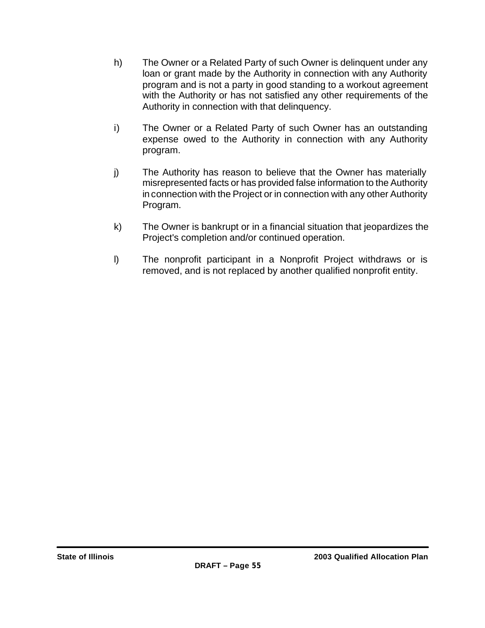- h) The Owner or a Related Party of such Owner is delinquent under any loan or grant made by the Authority in connection with any Authority program and is not a party in good standing to a workout agreement with the Authority or has not satisfied any other requirements of the Authority in connection with that delinquency.
- i) The Owner or a Related Party of such Owner has an outstanding expense owed to the Authority in connection with any Authority program.
- j) The Authority has reason to believe that the Owner has materially misrepresented facts or has provided false information to the Authority in connection with the Project or in connection with any other Authority Program.
- k) The Owner is bankrupt or in a financial situation that jeopardizes the Project's completion and/or continued operation.
- l) The nonprofit participant in a Nonprofit Project withdraws or is removed, and is not replaced by another qualified nonprofit entity.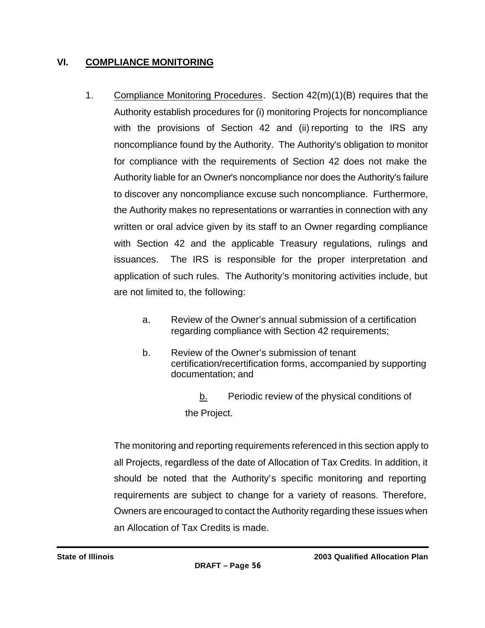# **VI. COMPLIANCE MONITORING**

- 1. Compliance Monitoring Procedures. Section 42(m)(1)(B) requires that the Authority establish procedures for (i) monitoring Projects for noncompliance with the provisions of Section 42 and (ii) reporting to the IRS any noncompliance found by the Authority. The Authority's obligation to monitor for compliance with the requirements of Section 42 does not make the Authority liable for an Owner's noncompliance nor does the Authority's failure to discover any noncompliance excuse such noncompliance. Furthermore, the Authority makes no representations or warranties in connection with any written or oral advice given by its staff to an Owner regarding compliance with Section 42 and the applicable Treasury regulations, rulings and issuances. The IRS is responsible for the proper interpretation and application of such rules. The Authority's monitoring activities include, but are not limited to, the following:
	- a. Review of the Owner's annual submission of a certification regarding compliance with Section 42 requirements;
	- b. Review of the Owner's submission of tenant certification/recertification forms, accompanied by supporting documentation; and
		- b. Periodic review of the physical conditions of the Project.

The monitoring and reporting requirements referenced in this section apply to all Projects, regardless of the date of Allocation of Tax Credits. In addition, it should be noted that the Authority's specific monitoring and reporting requirements are subject to change for a variety of reasons. Therefore, Owners are encouraged to contact the Authority regarding these issues when an Allocation of Tax Credits is made.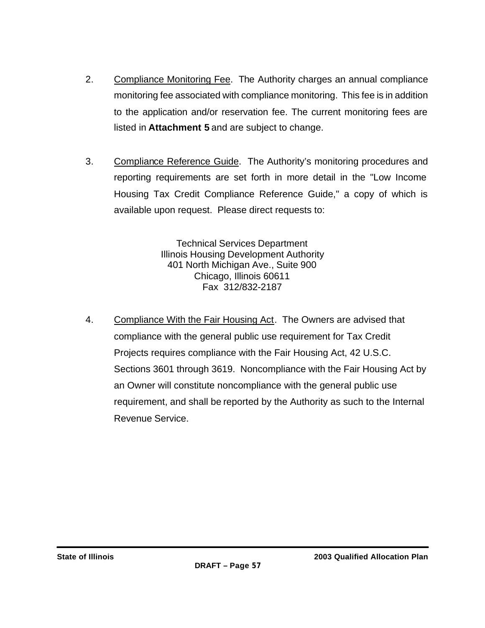- 2. Compliance Monitoring Fee. The Authority charges an annual compliance monitoring fee associated with compliance monitoring. This fee is in addition to the application and/or reservation fee. The current monitoring fees are listed in **Attachment 5** and are subject to change.
- 3. Compliance Reference Guide. The Authority's monitoring procedures and reporting requirements are set forth in more detail in the "Low Income Housing Tax Credit Compliance Reference Guide," a copy of which is available upon request. Please direct requests to:

Technical Services Department Illinois Housing Development Authority 401 North Michigan Ave., Suite 900 Chicago, Illinois 60611 Fax 312/832-2187

4. Compliance With the Fair Housing Act. The Owners are advised that compliance with the general public use requirement for Tax Credit Projects requires compliance with the Fair Housing Act, 42 U.S.C. Sections 3601 through 3619. Noncompliance with the Fair Housing Act by an Owner will constitute noncompliance with the general public use requirement, and shall be reported by the Authority as such to the Internal Revenue Service.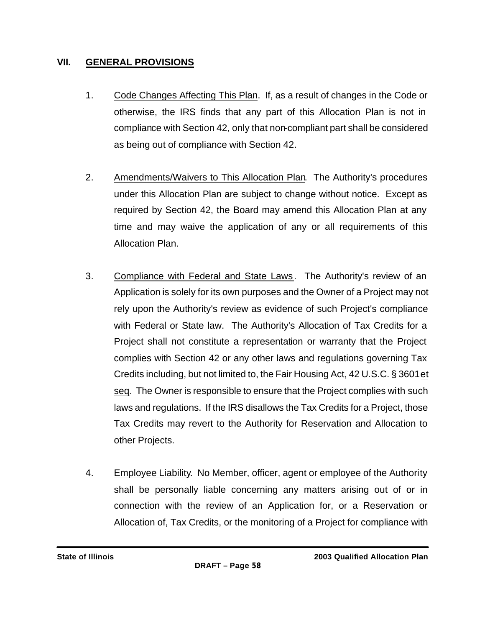# **VII. GENERAL PROVISIONS**

- 1. Code Changes Affecting This Plan. If, as a result of changes in the Code or otherwise, the IRS finds that any part of this Allocation Plan is not in compliance with Section 42, only that non-compliant part shall be considered as being out of compliance with Section 42.
- 2. Amendments/Waivers to This Allocation Plan. The Authority's procedures under this Allocation Plan are subject to change without notice. Except as required by Section 42, the Board may amend this Allocation Plan at any time and may waive the application of any or all requirements of this Allocation Plan.
- 3. Compliance with Federal and State Laws. The Authority's review of an Application is solely for its own purposes and the Owner of a Project may not rely upon the Authority's review as evidence of such Project's compliance with Federal or State law. The Authority's Allocation of Tax Credits for a Project shall not constitute a representation or warranty that the Project complies with Section 42 or any other laws and regulations governing Tax Credits including, but not limited to, the Fair Housing Act, 42 U.S.C. § 3601 et seq. The Owner is responsible to ensure that the Project complies with such laws and regulations. If the IRS disallows the Tax Credits for a Project, those Tax Credits may revert to the Authority for Reservation and Allocation to other Projects.
- 4. Employee Liability. No Member, officer, agent or employee of the Authority shall be personally liable concerning any matters arising out of or in connection with the review of an Application for, or a Reservation or Allocation of, Tax Credits, or the monitoring of a Project for compliance with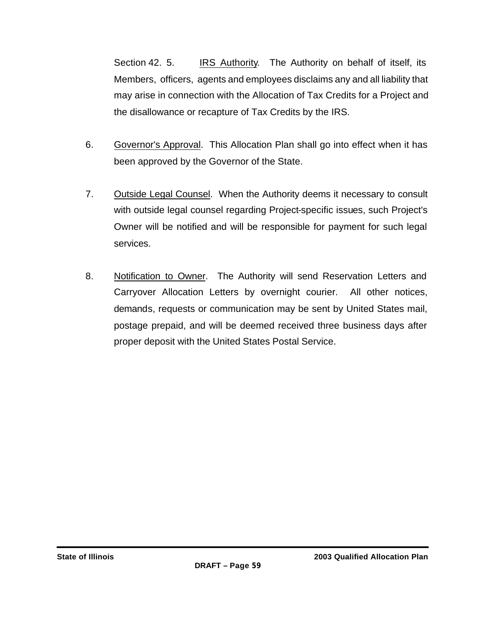Section 42. 5. IRS Authority. The Authority on behalf of itself, its Members, officers, agents and employees disclaims any and all liability that may arise in connection with the Allocation of Tax Credits for a Project and the disallowance or recapture of Tax Credits by the IRS.

- 6. Governor's Approval. This Allocation Plan shall go into effect when it has been approved by the Governor of the State.
- 7. Outside Legal Counsel. When the Authority deems it necessary to consult with outside legal counsel regarding Project-specific issues, such Project's Owner will be notified and will be responsible for payment for such legal services.
- 8. Notification to Owner. The Authority will send Reservation Letters and Carryover Allocation Letters by overnight courier. All other notices, demands, requests or communication may be sent by United States mail, postage prepaid, and will be deemed received three business days after proper deposit with the United States Postal Service.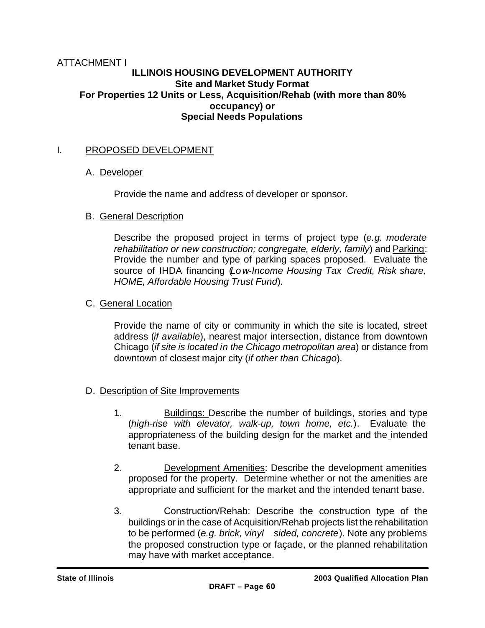### ATTACHMENT I **ILLINOIS HOUSING DEVELOPMENT AUTHORITY Site and Market Study Format For Properties 12 Units or Less, Acquisition/Rehab (with more than 80% occupancy) or Special Needs Populations**

# I. PROPOSED DEVELOPMENT

### A. Developer

Provide the name and address of developer or sponsor.

#### B. General Description

Describe the proposed project in terms of project type (*e.g. moderate rehabilitation or new construction; congregate, elderly, family*) and Parking: Provide the number and type of parking spaces proposed. Evaluate the source of IHDA financing (*Low-Income Housing Tax Credit, Risk share, HOME, Affordable Housing Trust Fund*).

### C. General Location

Provide the name of city or community in which the site is located, street address (*if available*), nearest major intersection, distance from downtown Chicago (*if site is located in the Chicago metropolitan area*) or distance from downtown of closest major city (*if other than Chicago*).

### D. Description of Site Improvements

- 1. Buildings: Describe the number of buildings, stories and type (*high-rise with elevator, walk-up, town home, etc.*). Evaluate the appropriateness of the building design for the market and the intended tenant base.
- 2. Development Amenities: Describe the development amenities proposed for the property. Determine whether or not the amenities are appropriate and sufficient for the market and the intended tenant base.
- 3. Construction/Rehab: Describe the construction type of the buildings or in the case of Acquisition/Rehab projects list the rehabilitation to be performed (*e.g. brick, vinyl sided, concrete*). Note any problems the proposed construction type or façade, or the planned rehabilitation may have with market acceptance.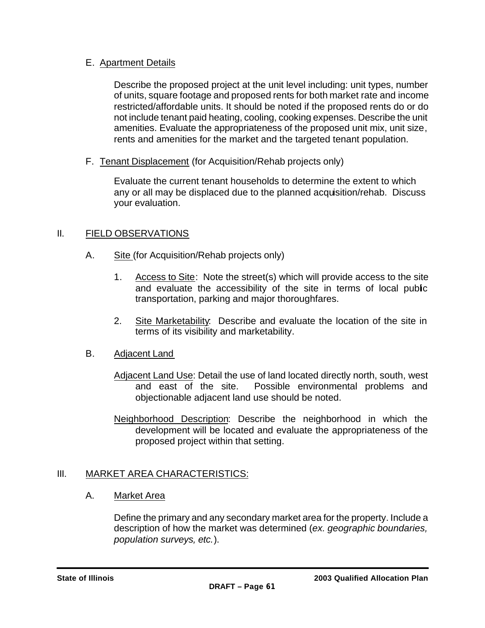# E. Apartment Details

Describe the proposed project at the unit level including: unit types, number of units, square footage and proposed rents for both market rate and income restricted/affordable units. It should be noted if the proposed rents do or do not include tenant paid heating, cooling, cooking expenses. Describe the unit amenities. Evaluate the appropriateness of the proposed unit mix, unit size, rents and amenities for the market and the targeted tenant population.

F. Tenant Displacement (for Acquisition/Rehab projects only)

Evaluate the current tenant households to determine the extent to which any or all may be displaced due to the planned acquisition/rehab. Discuss your evaluation.

# II. FIELD OBSERVATIONS

- A. Site (for Acquisition/Rehab projects only)
	- 1. Access to Site: Note the street(s) which will provide access to the site and evaluate the accessibility of the site in terms of local public transportation, parking and major thoroughfares.
	- 2. Site Marketability: Describe and evaluate the location of the site in terms of its visibility and marketability.

# B. Adjacent Land

- Adjacent Land Use: Detail the use of land located directly north, south, west<br>and east of the site. Possible environmental problems and Possible environmental problems and objectionable adjacent land use should be noted.
- Neighborhood Description: Describe the neighborhood in which the development will be located and evaluate the appropriateness of the proposed project within that setting.

# III. MARKET AREA CHARACTERISTICS:

### A. Market Area

Define the primary and any secondary market area for the property. Include a description of how the market was determined (*ex. geographic boundaries, population surveys, etc.*).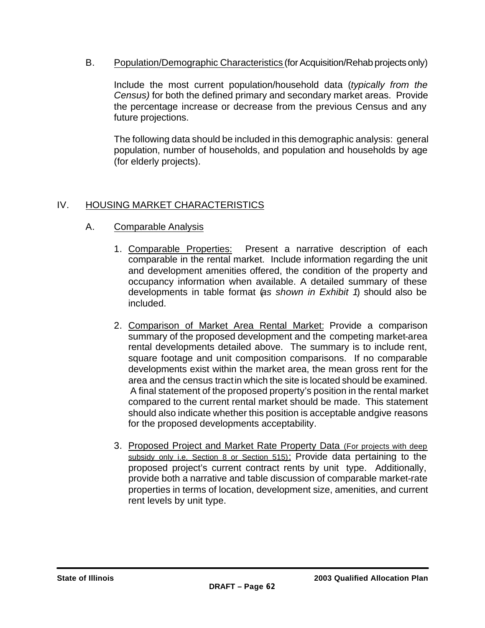B. Population/Demographic Characteristics (for Acquisition/Rehab projects only)

Include the most current population/household data (*typically from the Census)* for both the defined primary and secondary market areas. Provide the percentage increase or decrease from the previous Census and any future projections.

The following data should be included in this demographic analysis: general population, number of households, and population and households by age (for elderly projects).

# IV. HOUSING MARKET CHARACTERISTICS

- A. Comparable Analysis
	- 1. Comparable Properties: Present a narrative description of each comparable in the rental market. Include information regarding the unit and development amenities offered, the condition of the property and occupancy information when available. A detailed summary of these developments in table format (*as shown in Exhibit 1*) should also be included.
	- 2. Comparison of Market Area Rental Market: Provide a comparison summary of the proposed development and the competing market-area rental developments detailed above. The summary is to include rent, square footage and unit composition comparisons. If no comparable developments exist within the market area, the mean gross rent for the area and the census tract in which the site is located should be examined. A final statement of the proposed property's position in the rental market compared to the current rental market should be made. This statement should also indicate whether this position is acceptable and give reasons for the proposed developments acceptability.
	- 3. Proposed Project and Market Rate Property Data (For projects with deep subsidy only i.e. Section 8 or Section 515): Provide data pertaining to the proposed project's current contract rents by unit type. Additionally, provide both a narrative and table discussion of comparable market-rate properties in terms of location, development size, amenities, and current rent levels by unit type.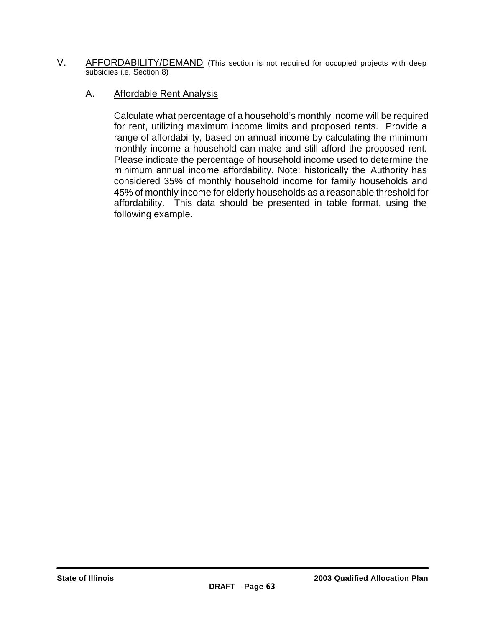V. AFFORDABILITY/DEMAND (This section is not required for occupied projects with deep subsidies i.e. Section 8)

### A. Affordable Rent Analysis

Calculate what percentage of a household's monthly income will be required for rent, utilizing maximum income limits and proposed rents. Provide a range of affordability, based on annual income by calculating the minimum monthly income a household can make and still afford the proposed rent. Please indicate the percentage of household income used to determine the minimum annual income affordability. Note: historically the Authority has considered 35% of monthly household income for family households and 45% of monthly income for elderly households as a reasonable threshold for affordability. This data should be presented in table format, using the following example.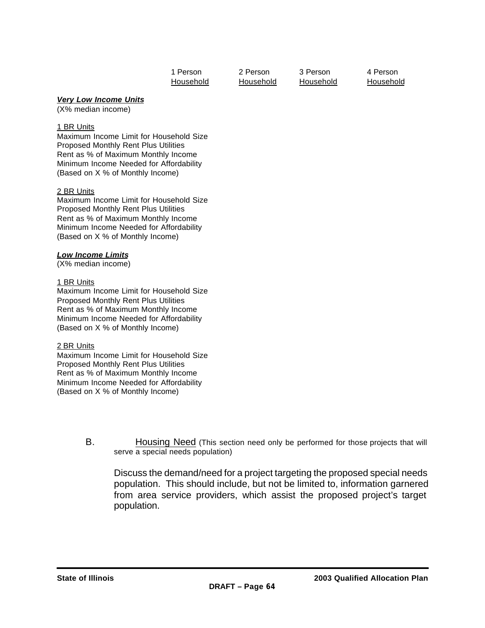| 1 Person  |  |
|-----------|--|
| Household |  |

1 Person 2 Person 3 Person 4 Person Household Household Household Household

#### *Very Low Income Units*

(X% median income)

#### 1 BR Units

Maximum Income Limit for Household Size Proposed Monthly Rent Plus Utilities Rent as % of Maximum Monthly Income Minimum Income Needed for Affordability (Based on X % of Monthly Income)

#### 2 BR Units

Maximum Income Limit for Household Size Proposed Monthly Rent Plus Utilities Rent as % of Maximum Monthly Income Minimum Income Needed for Affordability (Based on X % of Monthly Income)

#### *Low Income Limits*

(X% median income)

#### 1 BR Units

Maximum Income Limit for Household Size Proposed Monthly Rent Plus Utilities Rent as % of Maximum Monthly Income Minimum Income Needed for Affordability (Based on X % of Monthly Income)

#### 2 BR Units

Maximum Income Limit for Household Size Proposed Monthly Rent Plus Utilities Rent as % of Maximum Monthly Income Minimum Income Needed for Affordability (Based on X % of Monthly Income)

> B. Housing Need (This section need only be performed for those projects that will serve a special needs population)

Discuss the demand/need for a project targeting the proposed special needs population. This should include, but not be limited to, information garnered from area service providers, which assist the proposed project's target population.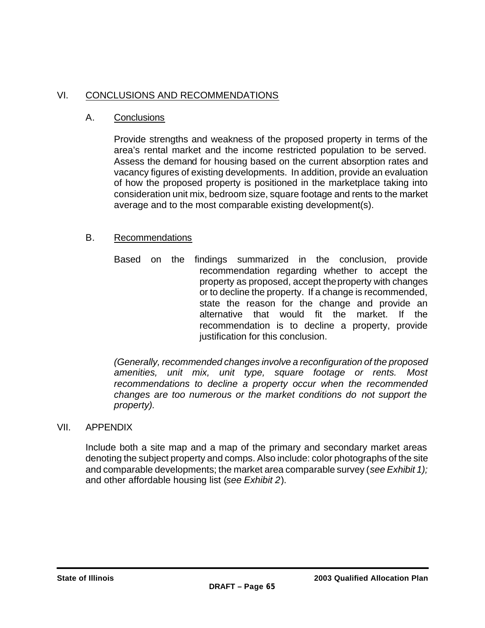# VI. CONCLUSIONS AND RECOMMENDATIONS

## A. Conclusions

Provide strengths and weakness of the proposed property in terms of the area's rental market and the income restricted population to be served. Assess the demand for housing based on the current absorption rates and vacancy figures of existing developments. In addition, provide an evaluation of how the proposed property is positioned in the marketplace taking into consideration unit mix, bedroom size, square footage and rents to the market average and to the most comparable existing development(s).

## B. Recommendations

Based on the findings summarized in the conclusion, provide recommendation regarding whether to accept the property as proposed, accept the property with changes or to decline the property. If a change is recommended, state the reason for the change and provide an alternative that would fit the market. If the recommendation is to decline a property, provide justification for this conclusion.

*(Generally, recommended changes involve a reconfiguration of the proposed amenities, unit mix, unit type, square footage or rents. Most recommendations to decline a property occur when the recommended changes are too numerous or the market conditions do not support the property).*

### VII. APPENDIX

Include both a site map and a map of the primary and secondary market areas denoting the subject property and comps. Also include: color photographs of the site and comparable developments; the market area comparable survey (*see Exhibit 1);* and other affordable housing list (*see Exhibit 2*).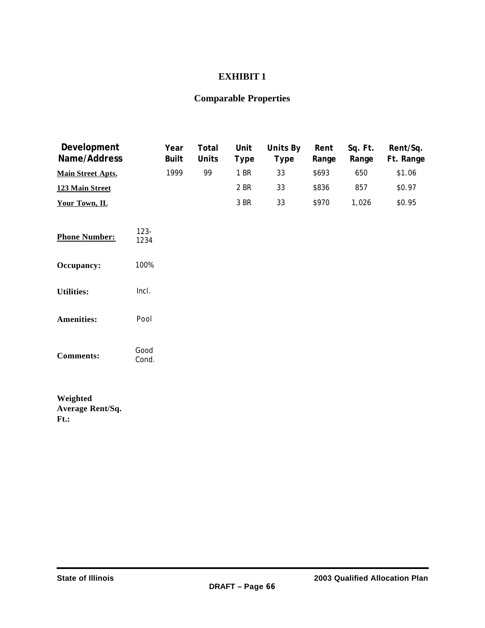# **EXHIBIT 1**

# **Comparable Properties**

| <b>Development</b><br><b>Name/Address</b> |                 | Year<br><b>Built</b> | <b>Total</b><br><b>Units</b> | <b>Unit</b><br><b>Type</b> | <b>Units By</b><br><b>Type</b> | Rent<br>Range | Sq. Ft.<br>Range | Rent/Sq.<br>Ft. Range |
|-------------------------------------------|-----------------|----------------------|------------------------------|----------------------------|--------------------------------|---------------|------------------|-----------------------|
| <b>Main Street Apts.</b>                  |                 | 1999                 | 99                           | 1 BR                       | 33                             | \$693         | 650              | \$1.06                |
| 123 Main Street                           |                 |                      |                              | 2 BR                       | 33                             | \$836         | 857              | \$0.97                |
| Your Town, IL                             |                 |                      |                              | 3 BR                       | 33                             | \$970         | 1,026            | \$0.95                |
|                                           |                 |                      |                              |                            |                                |               |                  |                       |
| <b>Phone Number:</b>                      | $123 -$<br>1234 |                      |                              |                            |                                |               |                  |                       |
| Occupancy:                                | 100%            |                      |                              |                            |                                |               |                  |                       |
| <b>Utilities:</b>                         | Incl.           |                      |                              |                            |                                |               |                  |                       |
| <b>Amenities:</b>                         | Pool            |                      |                              |                            |                                |               |                  |                       |
| <b>Comments:</b>                          | Good<br>Cond.   |                      |                              |                            |                                |               |                  |                       |
|                                           |                 |                      |                              |                            |                                |               |                  |                       |

**Weighted Average Rent/Sq. Ft.:**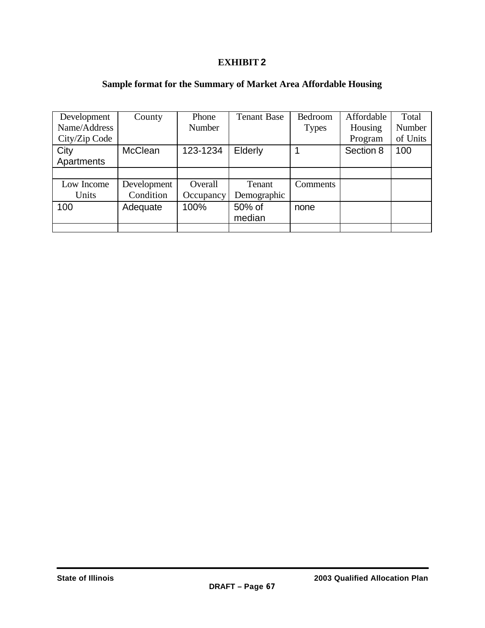## **EXHIBIT 2**

# **Sample format for the Summary of Market Area Affordable Housing**

| Development   | County         | Phone         | <b>Tenant Base</b> | Bedroom      | Affordable | Total    |
|---------------|----------------|---------------|--------------------|--------------|------------|----------|
| Name/Address  |                | <b>Number</b> |                    | <b>Types</b> | Housing    | Number   |
| City/Zip Code |                |               |                    |              | Program    | of Units |
| City          | <b>McClean</b> | 123-1234      | Elderly            | 1            | Section 8  | 100      |
| Apartments    |                |               |                    |              |            |          |
|               |                |               |                    |              |            |          |
| Low Income    | Development    | Overall       | Tenant             | Comments     |            |          |
| Units         | Condition      | Occupancy     | Demographic        |              |            |          |
| 100           | Adequate       | 100%          | 50% of             | none         |            |          |
|               |                |               | median             |              |            |          |
|               |                |               |                    |              |            |          |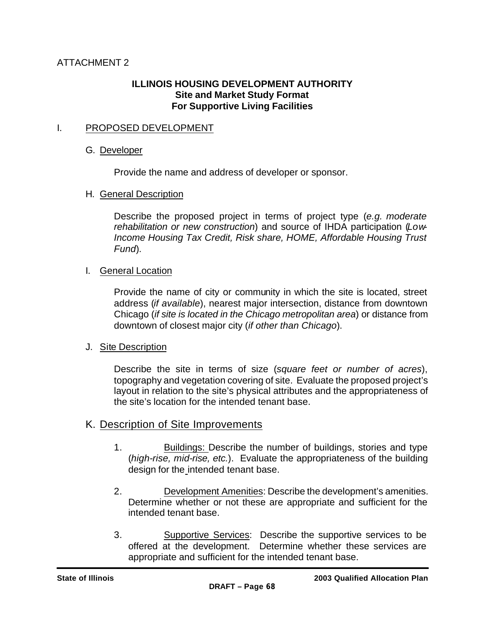# **ILLINOIS HOUSING DEVELOPMENT AUTHORITY Site and Market Study Format For Supportive Living Facilities**

# I. PROPOSED DEVELOPMENT

### G. Developer

Provide the name and address of developer or sponsor.

### H. General Description

Describe the proposed project in terms of project type (*e.g. moderate rehabilitation or new construction*) and source of IHDA participation (*Low-Income Housing Tax Credit, Risk share, HOME, Affordable Housing Trust Fund*).

### I. General Location

Provide the name of city or community in which the site is located, street address (*if available*), nearest major intersection, distance from downtown Chicago (*if site is located in the Chicago metropolitan area*) or distance from downtown of closest major city (*if other than Chicago*).

### J. Site Description

Describe the site in terms of size (*square feet or number of acres*), topography and vegetation covering of site. Evaluate the proposed project's layout in relation to the site's physical attributes and the appropriateness of the site's location for the intended tenant base.

### K. Description of Site Improvements

- 1. Buildings: Describe the number of buildings, stories and type (*high-rise, mid-rise, etc.*). Evaluate the appropriateness of the building design for the intended tenant base.
- 2. Development Amenities: Describe the development's amenities. Determine whether or not these are appropriate and sufficient for the intended tenant base.
- 3. Supportive Services: Describe the supportive services to be offered at the development. Determine whether these services are appropriate and sufficient for the intended tenant base.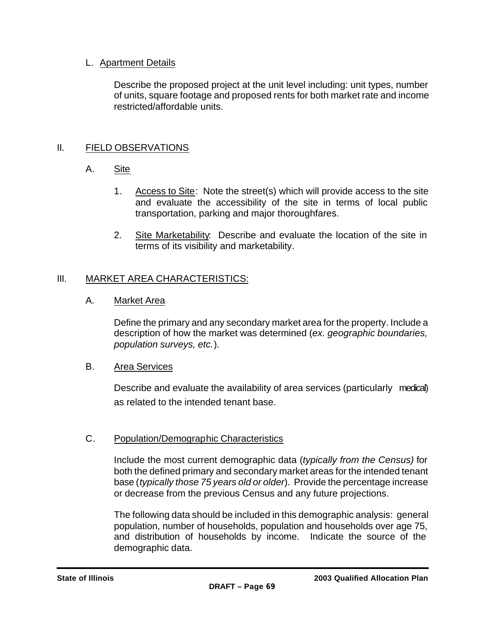## L. Apartment Details

Describe the proposed project at the unit level including: unit types, number of units, square footage and proposed rents for both market rate and income restricted/affordable units.

# II. FIELD OBSERVATIONS

# A. Site

- 1. Access to Site: Note the street(s) which will provide access to the site and evaluate the accessibility of the site in terms of local public transportation, parking and major thoroughfares.
- 2. Site Marketability: Describe and evaluate the location of the site in terms of its visibility and marketability.

# III. MARKET AREA CHARACTERISTICS:

A. Market Area

Define the primary and any secondary market area for the property. Include a description of how the market was determined (*ex. geographic boundaries, population surveys, etc.*).

### B. Area Services

Describe and evaluate the availability of area services (particularly medical) as related to the intended tenant base.

### C. Population/Demographic Characteristics

Include the most current demographic data (*typically from the Census)* for both the defined primary and secondary market areas for the intended tenant base (*typically those 75 years old or older*). Provide the percentage increase or decrease from the previous Census and any future projections.

The following data should be included in this demographic analysis: general population, number of households, population and households over age 75, and distribution of households by income. Indicate the source of the demographic data.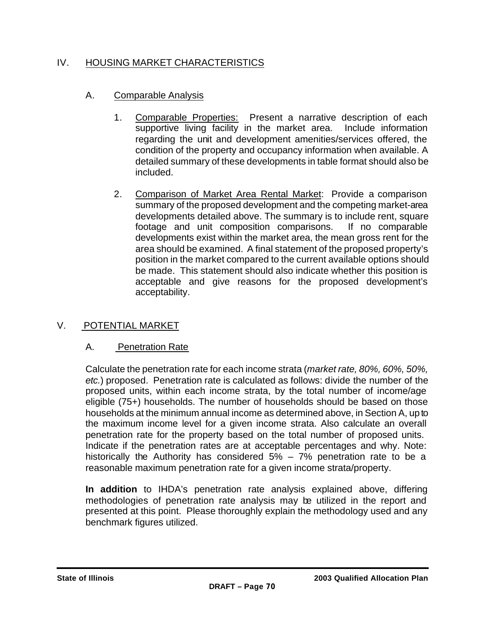# IV. HOUSING MARKET CHARACTERISTICS

# A. Comparable Analysis

- 1. Comparable Properties: Present a narrative description of each supportive living facility in the market area. Include information regarding the unit and development amenities/services offered, the condition of the property and occupancy information when available. A detailed summary of these developments in table format should also be included.
- 2. Comparison of Market Area Rental Market: Provide a comparison summary of the proposed development and the competing market-area developments detailed above. The summary is to include rent, square footage and unit composition comparisons. If no comparable developments exist within the market area, the mean gross rent for the area should be examined. A final statement of the proposed property's position in the market compared to the current available options should be made. This statement should also indicate whether this position is acceptable and give reasons for the proposed development's acceptability.

# V. POTENTIAL MARKET

# A. Penetration Rate

Calculate the penetration rate for each income strata (*market rate, 80%, 60%, 50%, etc.*) proposed. Penetration rate is calculated as follows: divide the number of the proposed units, within each income strata, by the total number of income/age eligible (75+) households. The number of households should be based on those households at the minimum annual income as determined above, in Section A, up to the maximum income level for a given income strata. Also calculate an overall penetration rate for the property based on the total number of proposed units. Indicate if the penetration rates are at acceptable percentages and why. Note: historically the Authority has considered 5% – 7% penetration rate to be a reasonable maximum penetration rate for a given income strata/property.

**In addition** to IHDA's penetration rate analysis explained above, differing methodologies of penetration rate analysis may be utilized in the report and presented at this point. Please thoroughly explain the methodology used and any benchmark figures utilized.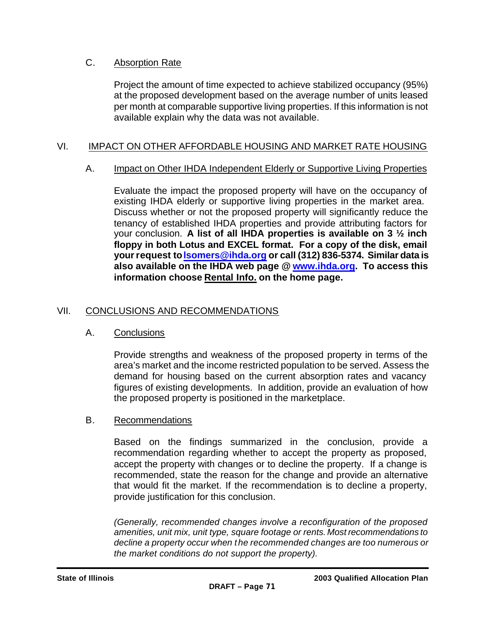## C. Absorption Rate

Project the amount of time expected to achieve stabilized occupancy (95%) at the proposed development based on the average number of units leased per month at comparable supportive living properties. If this information is not available explain why the data was not available.

# VI. IMPACT ON OTHER AFFORDABLE HOUSING AND MARKET RATE HOUSING

### A. Impact on Other IHDA Independent Elderly or Supportive Living Properties

Evaluate the impact the proposed property will have on the occupancy of existing IHDA elderly or supportive living properties in the market area. Discuss whether or not the proposed property will significantly reduce the tenancy of established IHDA properties and provide attributing factors for your conclusion. **A list of all IHDA properties is available on 3 ½ inch floppy in both Lotus and EXCEL format. For a copy of the disk, email your request to lsomers@ihda.org or call (312) 836-5374. Similar data is also available on the IHDA web page @ www.ihda.org. To access this information choose Rental Info. on the home page.**

# VII. CONCLUSIONS AND RECOMMENDATIONS

### A. Conclusions

Provide strengths and weakness of the proposed property in terms of the area's market and the income restricted population to be served. Assess the demand for housing based on the current absorption rates and vacancy figures of existing developments. In addition, provide an evaluation of how the proposed property is positioned in the marketplace.

### B. Recommendations

Based on the findings summarized in the conclusion, provide a recommendation regarding whether to accept the property as proposed, accept the property with changes or to decline the property. If a change is recommended, state the reason for the change and provide an alternative that would fit the market. If the recommendation is to decline a property, provide justification for this conclusion.

*(Generally, recommended changes involve a reconfiguration of the proposed amenities, unit mix, unit type, square footage or rents. Most recommendations to decline a property occur when the recommended changes are too numerous or the market conditions do not support the property).*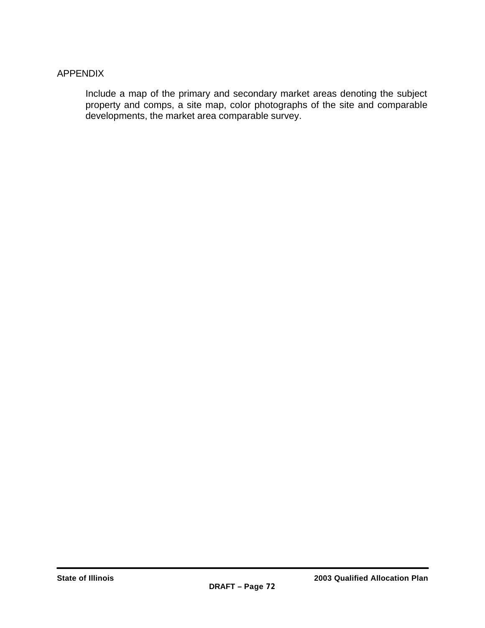### APPENDIX

Include a map of the primary and secondary market areas denoting the subject property and comps, a site map, color photographs of the site and comparable developments, the market area comparable survey.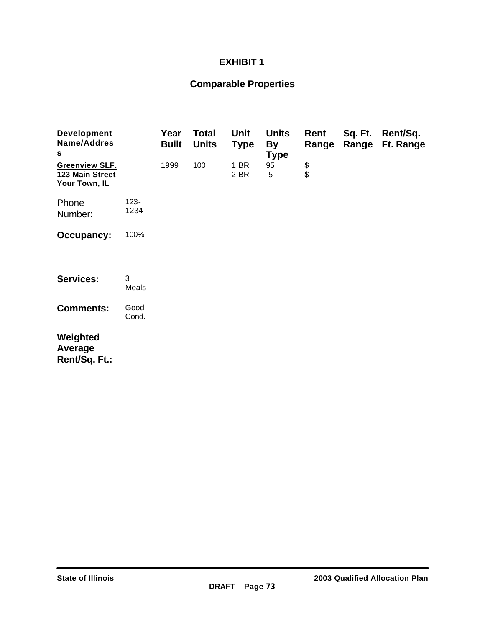### **EXHIBIT 1**

### **Comparable Properties**

| <b>Development</b><br><b>Name/Addres</b><br>S             |                 | Year<br><b>Built</b> | <b>Total</b><br><b>Units</b> | Unit<br><b>Type</b> | <b>Units</b><br><b>By</b><br><b>Type</b> | Rent<br>Range | Sq. Ft.<br>Range | Rent/Sq.<br>Ft. Range |
|-----------------------------------------------------------|-----------------|----------------------|------------------------------|---------------------|------------------------------------------|---------------|------------------|-----------------------|
| <b>Greenview SLF.</b><br>123 Main Street<br>Your Town, IL |                 | 1999                 | 100                          | 1 BR<br>2 BR        | 95<br>5                                  | \$            |                  |                       |
| Phone<br>Number:                                          | $123 -$<br>1234 |                      |                              |                     |                                          |               |                  |                       |
| <b>Occupancy:</b>                                         | 100%            |                      |                              |                     |                                          |               |                  |                       |
| <b>Services:</b>                                          | 3<br>Meals      |                      |                              |                     |                                          |               |                  |                       |
| <b>Comments:</b>                                          | Good<br>Cond.   |                      |                              |                     |                                          |               |                  |                       |
| Weighted<br>Average<br>Rent/Sq. Ft.:                      |                 |                      |                              |                     |                                          |               |                  |                       |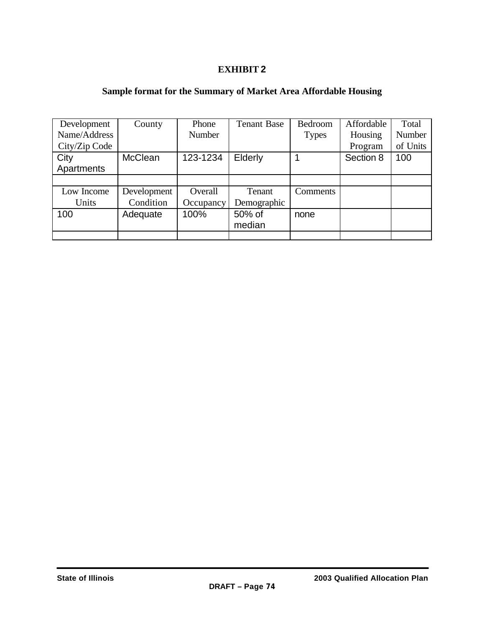### **EXHIBIT 2**

### **Sample format for the Summary of Market Area Affordable Housing**

| Development   | County         | Phone     | <b>Tenant Base</b> | Bedroom      | Affordable | Total    |
|---------------|----------------|-----------|--------------------|--------------|------------|----------|
| Name/Address  |                | Number    |                    | <b>Types</b> | Housing    | Number   |
| City/Zip Code |                |           |                    |              | Program    | of Units |
| City          | <b>McClean</b> | 123-1234  | Elderly            |              | Section 8  | 100      |
| Apartments    |                |           |                    |              |            |          |
|               |                |           |                    |              |            |          |
| Low Income    | Development    | Overall   | Tenant             | Comments     |            |          |
| Units         | Condition      | Occupancy | Demographic        |              |            |          |
| 100           | Adequate       | 100%      | 50% of             | none         |            |          |
|               |                |           | median             |              |            |          |
|               |                |           |                    |              |            |          |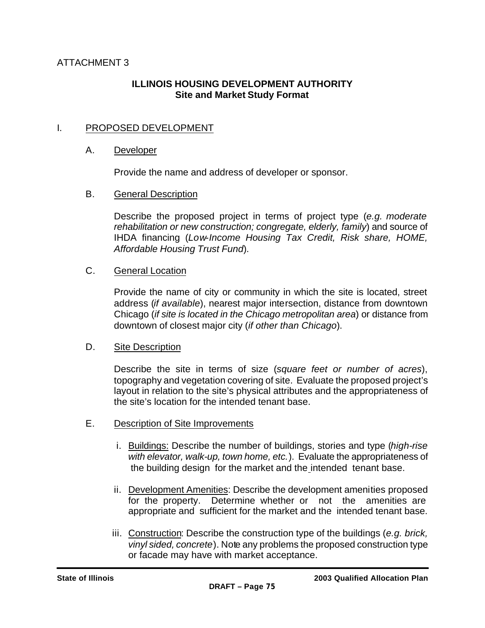### **ILLINOIS HOUSING DEVELOPMENT AUTHORITY Site and Market Study Format**

### I. PROPOSED DEVELOPMENT

#### A. Developer

Provide the name and address of developer or sponsor.

#### B. General Description

Describe the proposed project in terms of project type (*e.g. moderate rehabilitation or new construction; congregate, elderly, family*) and source of IHDA financing (*Low-Income Housing Tax Credit, Risk share, HOME, Affordable Housing Trust Fund*).

#### C. General Location

Provide the name of city or community in which the site is located, street address (*if available*), nearest major intersection, distance from downtown Chicago (*if site is located in the Chicago metropolitan area*) or distance from downtown of closest major city (*if other than Chicago*).

#### D. Site Description

Describe the site in terms of size (*square feet or number of acres*), topography and vegetation covering of site. Evaluate the proposed project's layout in relation to the site's physical attributes and the appropriateness of the site's location for the intended tenant base.

- E. Description of Site Improvements
	- i. Buildings: Describe the number of buildings, stories and type (*high-rise with elevator, walk-up, town home, etc.*). Evaluate the appropriateness of the building design for the market and the intended tenant base.
	- ii. Development Amenities: Describe the development amenities proposed for the property. Determine whether or not the amenities are appropriate and sufficient for the market and the intended tenant base.
	- iii. Construction: Describe the construction type of the buildings (*e.g. brick, vinyl sided, concrete*). Note any problems the proposed construction type or facade may have with market acceptance.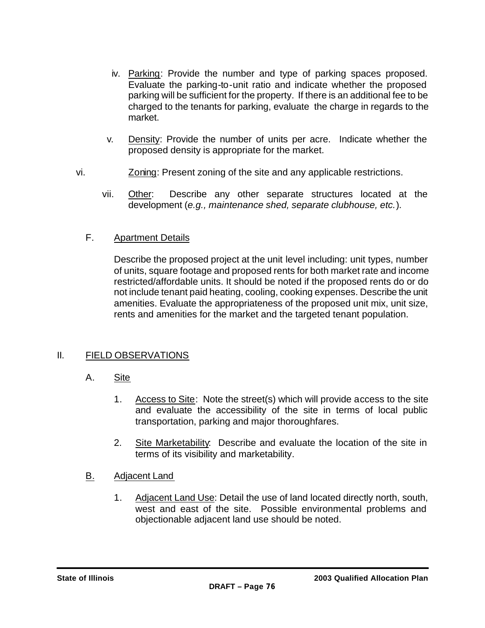- iv. Parking: Provide the number and type of parking spaces proposed. Evaluate the parking-to-unit ratio and indicate whether the proposed parking will be sufficient for the property. If there is an additional fee to be charged to the tenants for parking, evaluate the charge in regards to the market.
- v. Density: Provide the number of units per acre. Indicate whether the proposed density is appropriate for the market.
- vi. Zoning: Present zoning of the site and any applicable restrictions.
	- vii. Other: Describe any other separate structures located at the development (*e.g., maintenance shed, separate clubhouse, etc.*).
	- F. Apartment Details

Describe the proposed project at the unit level including: unit types, number of units, square footage and proposed rents for both market rate and income restricted/affordable units. It should be noted if the proposed rents do or do not include tenant paid heating, cooling, cooking expenses. Describe the unit amenities. Evaluate the appropriateness of the proposed unit mix, unit size, rents and amenities for the market and the targeted tenant population.

### II. FIELD OBSERVATIONS

- A. Site
	- 1. Access to Site: Note the street(s) which will provide access to the site and evaluate the accessibility of the site in terms of local public transportation, parking and major thoroughfares.
	- 2. Site Marketability: Describe and evaluate the location of the site in terms of its visibility and marketability.
- B. Adjacent Land
	- 1. Adjacent Land Use: Detail the use of land located directly north, south, west and east of the site. Possible environmental problems and objectionable adjacent land use should be noted.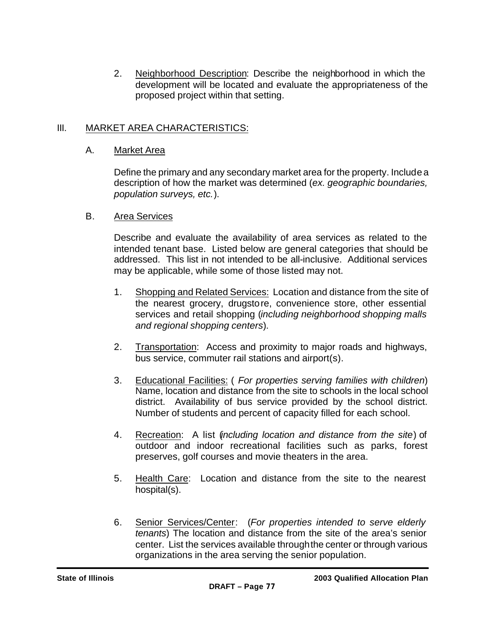2. Neighborhood Description: Describe the neighborhood in which the development will be located and evaluate the appropriateness of the proposed project within that setting.

### III. MARKET AREA CHARACTERISTICS:

### A. Market Area

Define the primary and any secondary market area for the property. Include a description of how the market was determined (*ex. geographic boundaries, population surveys, etc.*).

### B. Area Services

Describe and evaluate the availability of area services as related to the intended tenant base. Listed below are general categories that should be addressed. This list in not intended to be all-inclusive. Additional services may be applicable, while some of those listed may not.

- 1. Shopping and Related Services: Location and distance from the site of the nearest grocery, drugstore, convenience store, other essential services and retail shopping (*including neighborhood shopping malls and regional shopping centers*).
- 2. Transportation: Access and proximity to major roads and highways, bus service, commuter rail stations and airport(s).
- 3. Educational Facilities: ( *For properties serving families with children*) Name, location and distance from the site to schools in the local school district. Availability of bus service provided by the school district. Number of students and percent of capacity filled for each school.
- 4. Recreation: A list (*including location and distance from the site*) of outdoor and indoor recreational facilities such as parks, forest preserves, golf courses and movie theaters in the area.
- 5. Health Care: Location and distance from the site to the nearest hospital(s).
- 6. Senior Services/Center: (*For properties intended to serve elderly tenants*) The location and distance from the site of the area's senior center. List the services available through the center or through various organizations in the area serving the senior population.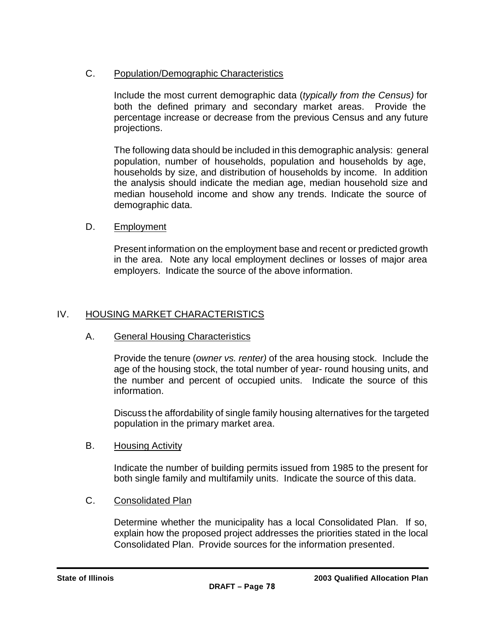### C. Population/Demographic Characteristics

Include the most current demographic data (*typically from the Census)* for both the defined primary and secondary market areas. Provide the percentage increase or decrease from the previous Census and any future projections.

The following data should be included in this demographic analysis: general population, number of households, population and households by age, households by size, and distribution of households by income. In addition the analysis should indicate the median age, median household size and median household income and show any trends. Indicate the source of demographic data.

### D. Employment

Present information on the employment base and recent or predicted growth in the area. Note any local employment declines or losses of major area employers. Indicate the source of the above information.

### IV. HOUSING MARKET CHARACTERISTICS

### A. General Housing Characteristics

Provide the tenure (*owner vs. renter)* of the area housing stock. Include the age of the housing stock, the total number of year- round housing units, and the number and percent of occupied units. Indicate the source of this information.

Discuss the affordability of single family housing alternatives for the targeted population in the primary market area.

### B. Housing Activity

Indicate the number of building permits issued from 1985 to the present for both single family and multifamily units. Indicate the source of this data.

### C. Consolidated Plan

Determine whether the municipality has a local Consolidated Plan. If so, explain how the proposed project addresses the priorities stated in the local Consolidated Plan. Provide sources for the information presented.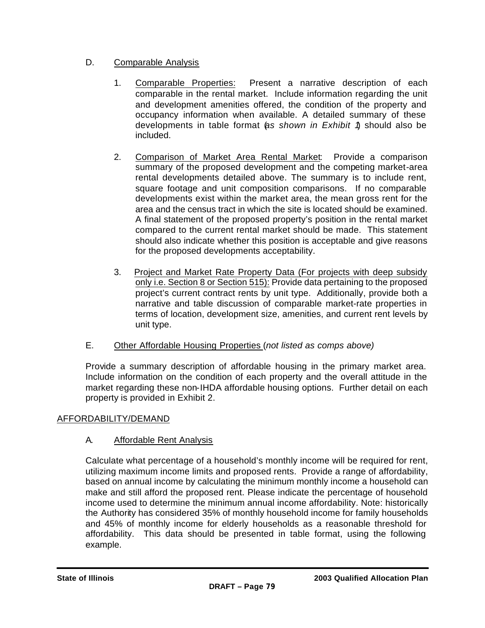### D. Comparable Analysis

- 1. Comparable Properties: Present a narrative description of each comparable in the rental market. Include information regarding the unit and development amenities offered, the condition of the property and occupancy information when available. A detailed summary of these developments in table format (*as shown in Exhibit 1*) should also be included.
- 2. Comparison of Market Area Rental Market: Provide a comparison summary of the proposed development and the competing market-area rental developments detailed above. The summary is to include rent, square footage and unit composition comparisons. If no comparable developments exist within the market area, the mean gross rent for the area and the census tract in which the site is located should be examined. A final statement of the proposed property's position in the rental market compared to the current rental market should be made. This statement should also indicate whether this position is acceptable and give reasons for the proposed developments acceptability.
- 3. Project and Market Rate Property Data (For projects with deep subsidy only i.e. Section 8 or Section 515): Provide data pertaining to the proposed project's current contract rents by unit type. Additionally, provide both a narrative and table discussion of comparable market-rate properties in terms of location, development size, amenities, and current rent levels by unit type.
- E. Other Affordable Housing Properties (*not listed as comps above)*

Provide a summary description of affordable housing in the primary market area. Include information on the condition of each property and the overall attitude in the market regarding these non-IHDA affordable housing options. Further detail on each property is provided in Exhibit 2.

### AFFORDABILITY/DEMAND

### A. Affordable Rent Analysis

Calculate what percentage of a household's monthly income will be required for rent, utilizing maximum income limits and proposed rents. Provide a range of affordability, based on annual income by calculating the minimum monthly income a household can make and still afford the proposed rent. Please indicate the percentage of household income used to determine the minimum annual income affordability. Note: historically the Authority has considered 35% of monthly household income for family households and 45% of monthly income for elderly households as a reasonable threshold for affordability. This data should be presented in table format, using the following example.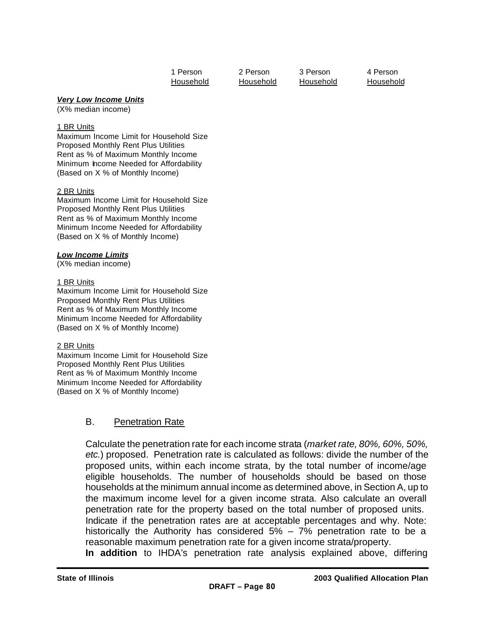| 1 Person  |  |
|-----------|--|
| Household |  |

2 Person 3 Person 4 Person Household Household Household Household

#### *Very Low Income Units*

(X% median income)

#### 1 BR Units

Maximum Income Limit for Household Size Proposed Monthly Rent Plus Utilities Rent as % of Maximum Monthly Income Minimum Income Needed for Affordability (Based on X % of Monthly Income)

#### 2 BR Units

Maximum Income Limit for Household Size Proposed Monthly Rent Plus Utilities Rent as % of Maximum Monthly Income Minimum Income Needed for Affordability (Based on X % of Monthly Income)

#### *Low Income Limits*

(X% median income)

#### 1 BR Units

Maximum Income Limit for Household Size Proposed Monthly Rent Plus Utilities Rent as % of Maximum Monthly Income Minimum Income Needed for Affordability (Based on X % of Monthly Income)

#### 2 BR Units

Maximum Income Limit for Household Size Proposed Monthly Rent Plus Utilities Rent as % of Maximum Monthly Income Minimum Income Needed for Affordability (Based on X % of Monthly Income)

### B. Penetration Rate

Calculate the penetration rate for each income strata (*market rate, 80%, 60%, 50%, etc.*) proposed. Penetration rate is calculated as follows: divide the number of the proposed units, within each income strata, by the total number of income/age eligible households. The number of households should be based on those households at the minimum annual income as determined above, in Section A, up to the maximum income level for a given income strata. Also calculate an overall penetration rate for the property based on the total number of proposed units. Indicate if the penetration rates are at acceptable percentages and why. Note: historically the Authority has considered 5% – 7% penetration rate to be a reasonable maximum penetration rate for a given income strata/property.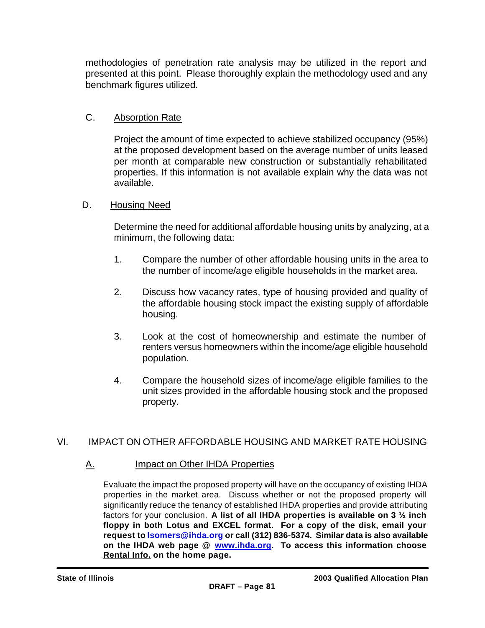methodologies of penetration rate analysis may be utilized in the report and presented at this point. Please thoroughly explain the methodology used and any benchmark figures utilized.

### C. Absorption Rate

Project the amount of time expected to achieve stabilized occupancy (95%) at the proposed development based on the average number of units leased per month at comparable new construction or substantially rehabilitated properties. If this information is not available explain why the data was not available.

### D. Housing Need

Determine the need for additional affordable housing units by analyzing, at a minimum, the following data:

- 1. Compare the number of other affordable housing units in the area to the number of income/age eligible households in the market area.
- 2. Discuss how vacancy rates, type of housing provided and quality of the affordable housing stock impact the existing supply of affordable housing.
- 3. Look at the cost of homeownership and estimate the number of renters versus homeowners within the income/age eligible household population.
- 4. Compare the household sizes of income/age eligible families to the unit sizes provided in the affordable housing stock and the proposed property.

### VI. IMPACT ON OTHER AFFORDABLE HOUSING AND MARKET RATE HOUSING

### A. Impact on Other IHDA Properties

Evaluate the impact the proposed property will have on the occupancy of existing IHDA properties in the market area. Discuss whether or not the proposed property will significantly reduce the tenancy of established IHDA properties and provide attributing factors for your conclusion. **A list of all IHDA properties is available on 3 ½ inch floppy in both Lotus and EXCEL format. For a copy of the disk, email your request to lsomers@ihda.org or call (312) 836-5374. Similar data is also available on the IHDA web page @ www.ihda.org. To access this information choose Rental Info. on the home page.**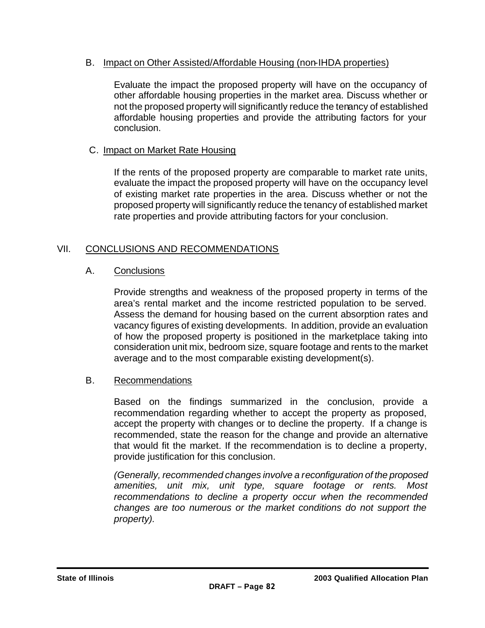### B. Impact on Other Assisted/Affordable Housing (non-IHDA properties)

Evaluate the impact the proposed property will have on the occupancy of other affordable housing properties in the market area. Discuss whether or not the proposed property will significantly reduce the tenancy of established affordable housing properties and provide the attributing factors for your conclusion.

### C. Impact on Market Rate Housing

If the rents of the proposed property are comparable to market rate units, evaluate the impact the proposed property will have on the occupancy level of existing market rate properties in the area. Discuss whether or not the proposed property will significantly reduce the tenancy of established market rate properties and provide attributing factors for your conclusion.

### VII. CONCLUSIONS AND RECOMMENDATIONS

### A. Conclusions

Provide strengths and weakness of the proposed property in terms of the area's rental market and the income restricted population to be served. Assess the demand for housing based on the current absorption rates and vacancy figures of existing developments. In addition, provide an evaluation of how the proposed property is positioned in the marketplace taking into consideration unit mix, bedroom size, square footage and rents to the market average and to the most comparable existing development(s).

### B. Recommendations

Based on the findings summarized in the conclusion, provide a recommendation regarding whether to accept the property as proposed, accept the property with changes or to decline the property. If a change is recommended, state the reason for the change and provide an alternative that would fit the market. If the recommendation is to decline a property, provide justification for this conclusion.

*(Generally, recommended changes involve a reconfiguration of the proposed amenities, unit mix, unit type, square footage or rents. Most recommendations to decline a property occur when the recommended changes are too numerous or the market conditions do not support the property).*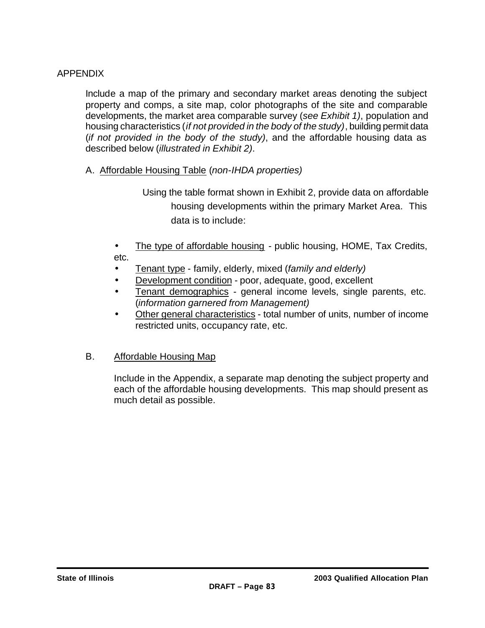### APPENDIX

Include a map of the primary and secondary market areas denoting the subject property and comps, a site map, color photographs of the site and comparable developments, the market area comparable survey (*see Exhibit 1)*, population and housing characteristics (*if not provided in the body of the study)*, building permit data (*if not provided in the body of the study)*, and the affordable housing data as described below (*illustrated in Exhibit 2)*.

- A. Affordable Housing Table (*non-IHDA properties)*
	- Using the table format shown in Exhibit 2, provide data on affordable housing developments within the primary Market Area. This data is to include:
	- The type of affordable housing public housing, HOME, Tax Credits, etc.
	- Tenant type family, elderly, mixed (*family and elderly)*
	- Development condition poor, adequate, good, excellent
	- Tenant demographics general income levels, single parents, etc. (*information garnered from Management)*
	- Other general characteristics total number of units, number of income restricted units, occupancy rate, etc.

### B. Affordable Housing Map

Include in the Appendix, a separate map denoting the subject property and each of the affordable housing developments. This map should present as much detail as possible.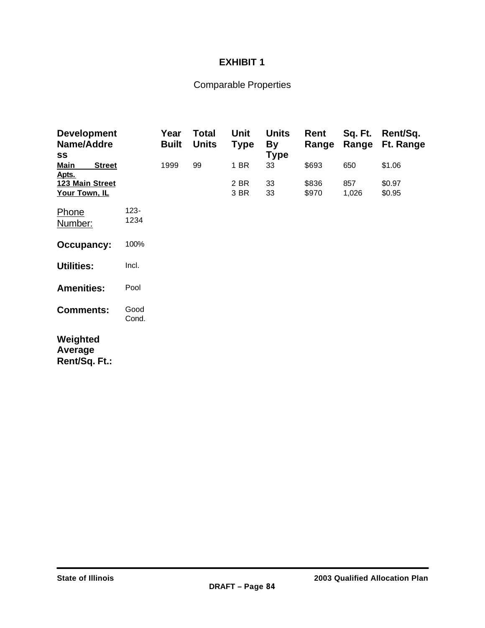### **EXHIBIT 1**

## Comparable Properties

| <b>Development</b><br>Name/Addre<br>SS |                 | Year<br><b>Built</b> | Total<br><b>Units</b> | Unit<br><b>Type</b> | <b>Units</b><br><b>By</b><br><b>Type</b> | Rent<br>Range  | Sq. Ft.<br>Range | Rent/Sq.<br>Ft. Range |
|----------------------------------------|-----------------|----------------------|-----------------------|---------------------|------------------------------------------|----------------|------------------|-----------------------|
| <b>Main</b><br><b>Street</b><br>Apts.  |                 | 1999                 | 99                    | 1 BR                | 33                                       | \$693          | 650              | \$1.06                |
| 123 Main Street<br>Your Town, IL       |                 |                      |                       | 2 BR<br>3 BR        | 33<br>33                                 | \$836<br>\$970 | 857<br>1,026     | \$0.97<br>\$0.95      |
| Phone<br>Number:                       | $123 -$<br>1234 |                      |                       |                     |                                          |                |                  |                       |
| <b>Occupancy:</b>                      | 100%            |                      |                       |                     |                                          |                |                  |                       |
| <b>Utilities:</b>                      | Incl.           |                      |                       |                     |                                          |                |                  |                       |
| <b>Amenities:</b>                      | Pool            |                      |                       |                     |                                          |                |                  |                       |
| <b>Comments:</b>                       | Good<br>Cond.   |                      |                       |                     |                                          |                |                  |                       |
| Weighted<br>Average<br>Rent/Sq. Ft.:   |                 |                      |                       |                     |                                          |                |                  |                       |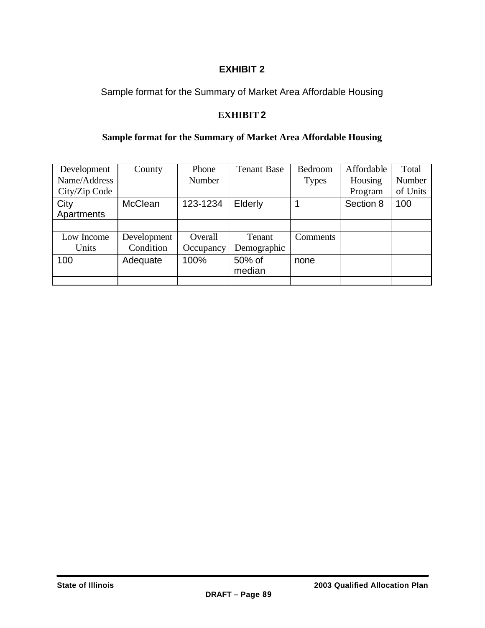### **EXHIBIT 2**

Sample format for the Summary of Market Area Affordable Housing

### **EXHIBIT 2**

### **Sample format for the Summary of Market Area Affordable Housing**

| Development   | County         | Phone     | <b>Tenant Base</b> | Bedroom      | Affordable | Total    |
|---------------|----------------|-----------|--------------------|--------------|------------|----------|
| Name/Address  |                | Number    |                    | <b>Types</b> | Housing    | Number   |
| City/Zip Code |                |           |                    |              | Program    | of Units |
| City          | <b>McClean</b> | 123-1234  | Elderly            |              | Section 8  | 100      |
| Apartments    |                |           |                    |              |            |          |
|               |                |           |                    |              |            |          |
| Low Income    | Development    | Overall   | Tenant             | Comments     |            |          |
| Units         | Condition      | Occupancy | Demographic        |              |            |          |
| 100           | Adequate       | 100%      | 50% of             | none         |            |          |
|               |                |           | median             |              |            |          |
|               |                |           |                    |              |            |          |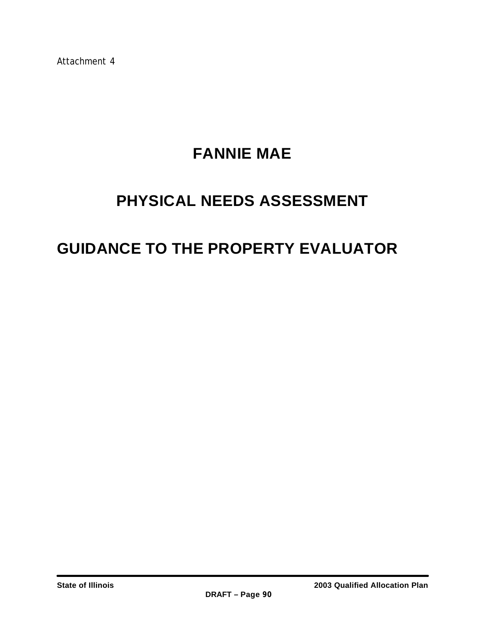Attachment 4

# **FANNIE MAE**

# **PHYSICAL NEEDS ASSESSMENT**

# **GUIDANCE TO THE PROPERTY EVALUATOR**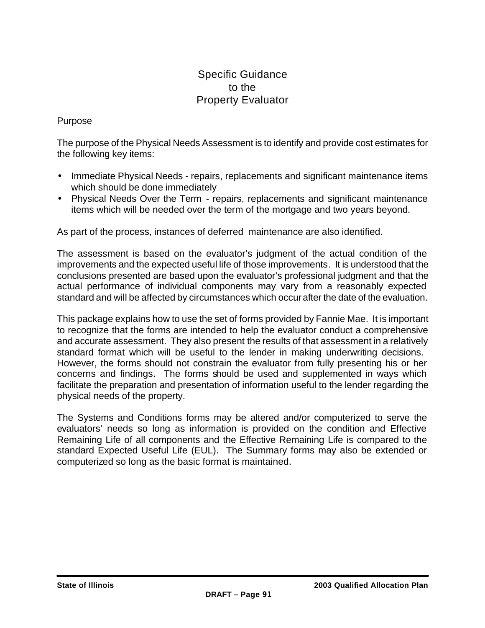### Specific Guidance to the Property Evaluator

### Purpose

The purpose of the Physical Needs Assessment is to identify and provide cost estimates for the following key items:

- Immediate Physical Needs repairs, replacements and significant maintenance items which should be done immediately
- Physical Needs Over the Term repairs, replacements and significant maintenance items which will be needed over the term of the mortgage and two years beyond.

As part of the process, instances of deferred maintenance are also identified.

The assessment is based on the evaluator's judgment of the actual condition of the improvements and the expected useful life of those improvements. It is understood that the conclusions presented are based upon the evaluator's professional judgment and that the actual performance of individual components may vary from a reasonably expected standard and will be affected by circumstances which occur after the date of the evaluation.

This package explains how to use the set of forms provided by Fannie Mae. It is important to recognize that the forms are intended to help the evaluator conduct a comprehensive and accurate assessment. They also present the results of that assessment in a relatively standard format which will be useful to the lender in making underwriting decisions. However, the forms should not constrain the evaluator from fully presenting his or her concerns and findings. The forms should be used and supplemented in ways which facilitate the preparation and presentation of information useful to the lender regarding the physical needs of the property.

The Systems and Conditions forms may be altered and/or computerized to serve the evaluators' needs so long as information is provided on the condition and Effective Remaining Life of all components and the Effective Remaining Life is compared to the standard Expected Useful Life (EUL). The Summary forms may also be extended or computerized so long as the basic format is maintained.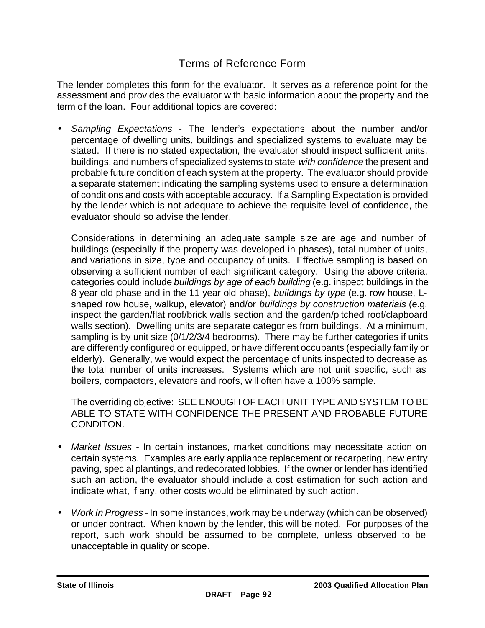### Terms of Reference Form

The lender completes this form for the evaluator. It serves as a reference point for the assessment and provides the evaluator with basic information about the property and the term of the loan. Four additional topics are covered:

• *Sampling Expectations* - The lender's expectations about the number and/or percentage of dwelling units, buildings and specialized systems to evaluate may be stated. If there is no stated expectation, the evaluator should inspect sufficient units, buildings, and numbers of specialized systems to state *with confidence* the present and probable future condition of each system at the property. The evaluator should provide a separate statement indicating the sampling systems used to ensure a determination of conditions and costs with acceptable accuracy. If a Sampling Expectation is provided by the lender which is not adequate to achieve the requisite level of confidence, the evaluator should so advise the lender.

Considerations in determining an adequate sample size are age and number of buildings (especially if the property was developed in phases), total number of units, and variations in size, type and occupancy of units. Effective sampling is based on observing a sufficient number of each significant category. Using the above criteria, categories could include *buildings by age of each building* (e.g. inspect buildings in the 8 year old phase and in the 11 year old phase), *buildings by type* (e.g. row house, Lshaped row house, walkup, elevator) and/or *buildings by construction materials* (e.g. inspect the garden/flat roof/brick walls section and the garden/pitched roof/clapboard walls section). Dwelling units are separate categories from buildings. At a minimum, sampling is by unit size (0/1/2/3/4 bedrooms). There may be further categories if units are differently configured or equipped, or have different occupants (especially family or elderly). Generally, we would expect the percentage of units inspected to decrease as the total number of units increases. Systems which are not unit specific, such as boilers, compactors, elevators and roofs, will often have a 100% sample.

The overriding objective: SEE ENOUGH OF EACH UNIT TYPE AND SYSTEM TO BE ABLE TO STATE WITH CONFIDENCE THE PRESENT AND PROBABLE FUTURE CONDITON.

- *Market Issues* In certain instances, market conditions may necessitate action on certain systems. Examples are early appliance replacement or recarpeting, new entry paving, special plantings, and redecorated lobbies. If the owner or lender has identified such an action, the evaluator should include a cost estimation for such action and indicate what, if any, other costs would be eliminated by such action.
- *Work In Progress* In some instances, work may be underway (which can be observed) or under contract. When known by the lender, this will be noted. For purposes of the report, such work should be assumed to be complete, unless observed to be unacceptable in quality or scope.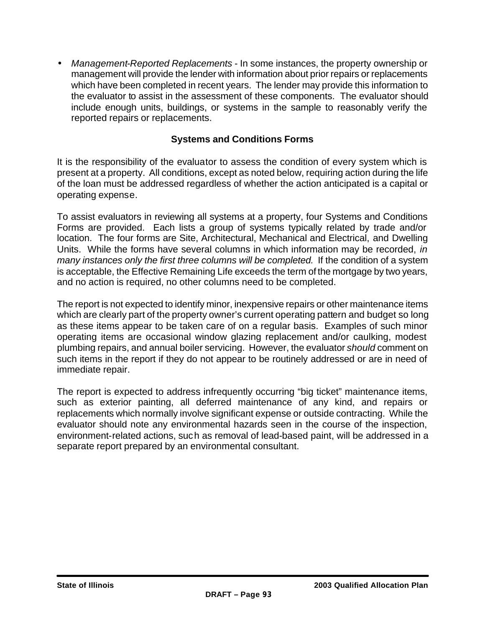• *Management-Reported Replacements* - In some instances, the property ownership or management will provide the lender with information about prior repairs or replacements which have been completed in recent years. The lender may provide this information to the evaluator to assist in the assessment of these components. The evaluator should include enough units, buildings, or systems in the sample to reasonably verify the reported repairs or replacements.

### **Systems and Conditions Forms**

It is the responsibility of the evaluator to assess the condition of every system which is present at a property. All conditions, except as noted below, requiring action during the life of the loan must be addressed regardless of whether the action anticipated is a capital or operating expense.

To assist evaluators in reviewing all systems at a property, four Systems and Conditions Forms are provided. Each lists a group of systems typically related by trade and/or location. The four forms are Site, Architectural, Mechanical and Electrical, and Dwelling Units. While the forms have several columns in which information may be recorded, *in many instances only the first three columns will be completed.* If the condition of a system is acceptable, the Effective Remaining Life exceeds the term of the mortgage by two years, and no action is required, no other columns need to be completed.

The report is not expected to identify minor, inexpensive repairs or other maintenance items which are clearly part of the property owner's current operating pattern and budget so long as these items appear to be taken care of on a regular basis. Examples of such minor operating items are occasional window glazing replacement and/or caulking, modest plumbing repairs, and annual boiler servicing. However, the evaluator *should* comment on such items in the report if they do not appear to be routinely addressed or are in need of immediate repair.

The report is expected to address infrequently occurring "big ticket" maintenance items, such as exterior painting, all deferred maintenance of any kind, and repairs or replacements which normally involve significant expense or outside contracting. While the evaluator should note any environmental hazards seen in the course of the inspection, environment-related actions, such as removal of lead-based paint, will be addressed in a separate report prepared by an environmental consultant.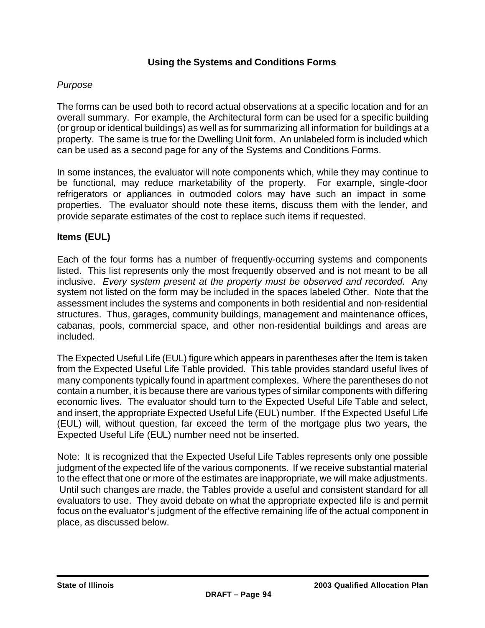### **Using the Systems and Conditions Forms**

#### *Purpose*

The forms can be used both to record actual observations at a specific location and for an overall summary. For example, the Architectural form can be used for a specific building (or group or identical buildings) as well as for summarizing all information for buildings at a property. The same is true for the Dwelling Unit form. An unlabeled form is included which can be used as a second page for any of the Systems and Conditions Forms.

In some instances, the evaluator will note components which, while they may continue to be functional, may reduce marketability of the property. For example, single-door refrigerators or appliances in outmoded colors may have such an impact in some properties. The evaluator should note these items, discuss them with the lender, and provide separate estimates of the cost to replace such items if requested.

#### **Items (EUL)**

Each of the four forms has a number of frequently-occurring systems and components listed. This list represents only the most frequently observed and is not meant to be all inclusive. *Every system present at the property must be observed and recorded.* Any system not listed on the form may be included in the spaces labeled Other. Note that the assessment includes the systems and components in both residential and non-residential structures. Thus, garages, community buildings, management and maintenance offices, cabanas, pools, commercial space, and other non-residential buildings and areas are included.

The Expected Useful Life (EUL) figure which appears in parentheses after the Item is taken from the Expected Useful Life Table provided. This table provides standard useful lives of many components typically found in apartment complexes. Where the parentheses do not contain a number, it is because there are various types of similar components with differing economic lives. The evaluator should turn to the Expected Useful Life Table and select, and insert, the appropriate Expected Useful Life (EUL) number. If the Expected Useful Life (EUL) will, without question, far exceed the term of the mortgage plus two years, the Expected Useful Life (EUL) number need not be inserted.

Note: It is recognized that the Expected Useful Life Tables represents only one possible judgment of the expected life of the various components. If we receive substantial material to the effect that one or more of the estimates are inappropriate, we will make adjustments. Until such changes are made, the Tables provide a useful and consistent standard for all evaluators to use. They avoid debate on what the appropriate expected life is and permit focus on the evaluator's judgment of the effective remaining life of the actual component in place, as discussed below.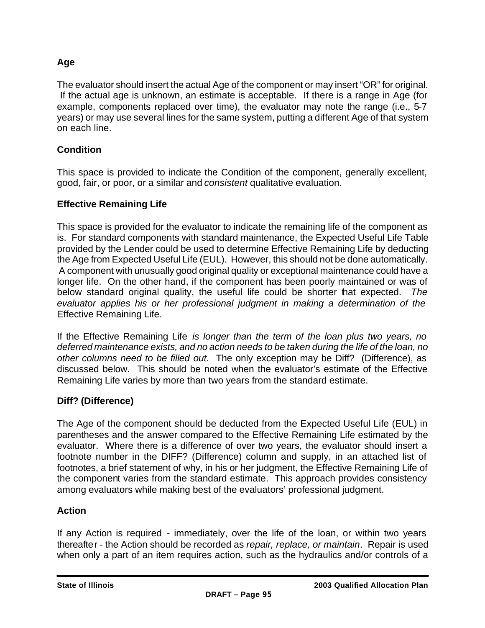### **Age**

The evaluator should insert the actual Age of the component or may insert "OR" for original. If the actual age is unknown, an estimate is acceptable. If there is a range in Age (for example, components replaced over time), the evaluator may note the range (i.e., 5-7 years) or may use several lines for the same system, putting a different Age of that system on each line.

### **Condition**

This space is provided to indicate the Condition of the component, generally excellent, good, fair, or poor, or a similar and *consistent* qualitative evaluation.

### **Effective Remaining Life**

This space is provided for the evaluator to indicate the remaining life of the component as is. For standard components with standard maintenance, the Expected Useful Life Table provided by the Lender could be used to determine Effective Remaining Life by deducting the Age from Expected Useful Life (EUL). However, this should not be done automatically. A component with unusually good original quality or exceptional maintenance could have a longer life. On the other hand, if the component has been poorly maintained or was of below standard original quality, the useful life could be shorter that expected. *The evaluator applies his or her professional judgment in making a determination of the*  Effective Remaining Life.

If the Effective Remaining Life *is longer than the term of the loan plus two years, no deferred maintenance exists, and no action needs to be taken during the life of the loan, no other columns need to be filled out.* The only exception may be Diff? (Difference), as discussed below. This should be noted when the evaluator's estimate of the Effective Remaining Life varies by more than two years from the standard estimate.

### **Diff? (Difference)**

The Age of the component should be deducted from the Expected Useful Life (EUL) in parentheses and the answer compared to the Effective Remaining Life estimated by the evaluator. Where there is a difference of over two years, the evaluator should insert a footnote number in the DIFF? (Difference) column and supply, in an attached list of footnotes, a brief statement of why, in his or her judgment, the Effective Remaining Life of the component varies from the standard estimate. This approach provides consistency among evaluators while making best of the evaluators' professional judgment.

### **Action**

If any Action is required - immediately, over the life of the loan, or within two years thereafter - the Action should be recorded as *repair, replace, or maintain*. Repair is used when only a part of an item requires action, such as the hydraulics and/or controls of a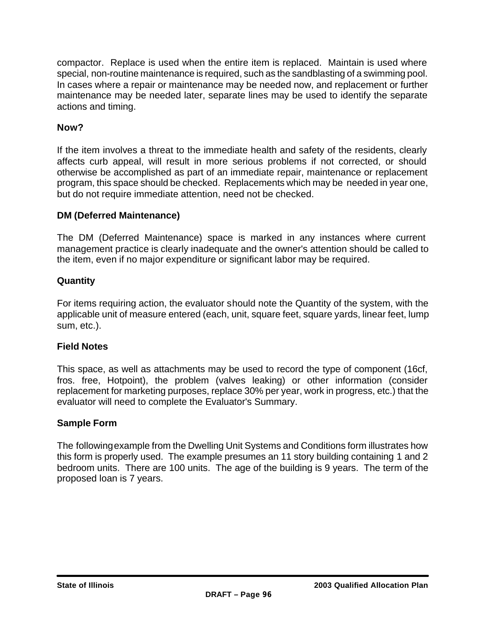compactor. Replace is used when the entire item is replaced. Maintain is used where special, non-routine maintenance is required, such as the sandblasting of a swimming pool. In cases where a repair or maintenance may be needed now, and replacement or further maintenance may be needed later, separate lines may be used to identify the separate actions and timing.

### **Now?**

If the item involves a threat to the immediate health and safety of the residents, clearly affects curb appeal, will result in more serious problems if not corrected, or should otherwise be accomplished as part of an immediate repair, maintenance or replacement program, this space should be checked. Replacements which may be needed in year one, but do not require immediate attention, need not be checked.

### **DM (Deferred Maintenance)**

The DM (Deferred Maintenance) space is marked in any instances where current management practice is clearly inadequate and the owner's attention should be called to the item, even if no major expenditure or significant labor may be required.

### **Quantity**

For items requiring action, the evaluator should note the Quantity of the system, with the applicable unit of measure entered (each, unit, square feet, square yards, linear feet, lump sum, etc.).

### **Field Notes**

This space, as well as attachments may be used to record the type of component (16cf, fros. free, Hotpoint), the problem (valves leaking) or other information (consider replacement for marketing purposes, replace 30% per year, work in progress, etc.) that the evaluator will need to complete the Evaluator's Summary.

### **Sample Form**

The following example from the Dwelling Unit Systems and Conditions form illustrates how this form is properly used. The example presumes an 11 story building containing 1 and 2 bedroom units. There are 100 units. The age of the building is 9 years. The term of the proposed loan is 7 years.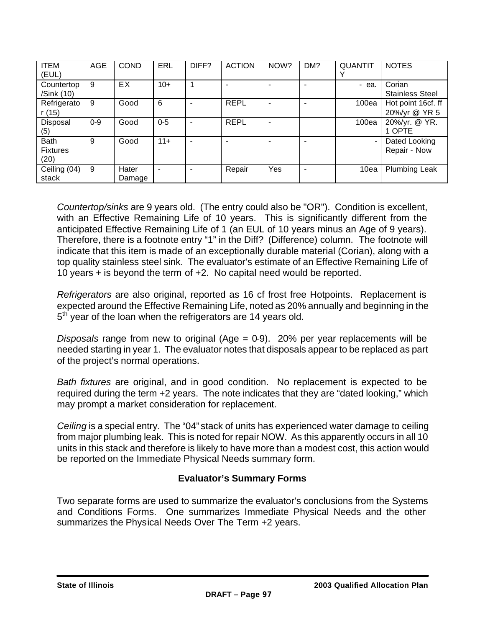| <b>ITEM</b>     | <b>AGE</b> | <b>COND</b> | <b>ERL</b>     | DIFF? | <b>ACTION</b> | NOW?                     | DM? | <b>QUANTIT</b> | <b>NOTES</b>           |
|-----------------|------------|-------------|----------------|-------|---------------|--------------------------|-----|----------------|------------------------|
| (EUL)           |            |             |                |       |               |                          |     | v              |                        |
| Countertop      | 9          | EX.         | $10+$          |       |               | $\overline{\phantom{0}}$ |     | - ea.          | Corian                 |
| /Sink (10)      |            |             |                |       |               |                          |     |                | <b>Stainless Steel</b> |
| Refrigerato     | 9          | Good        | 6              |       | <b>REPL</b>   | $\overline{\phantom{a}}$ |     | 100ea          | Hot point 16cf. ff     |
| r(15)           |            |             |                |       |               |                          |     |                | 20%/yr @ YR 5          |
| <b>Disposal</b> | $0 - 9$    | Good        | $0-5$          | ۰     | <b>REPL</b>   | $\overline{\phantom{a}}$ |     | 100ea          | 20%/yr. @ YR.          |
| (5)             |            |             |                |       |               |                          |     |                | 1 OPTE                 |
| <b>Bath</b>     | 9          | Good        | $11+$          | ۰     |               | $\overline{\phantom{0}}$ |     | $\blacksquare$ | Dated Looking          |
| <b>Fixtures</b> |            |             |                |       |               |                          |     |                | Repair - Now           |
| (20)            |            |             |                |       |               |                          |     |                |                        |
| Ceiling (04)    | 9          | Hater       | $\blacksquare$ |       | Repair        | Yes                      |     | 10ea           | <b>Plumbing Leak</b>   |
| stack           |            | Damage      |                |       |               |                          |     |                |                        |

*Countertop/sinks* are 9 years old. (The entry could also be "OR"). Condition is excellent, with an Effective Remaining Life of 10 years. This is significantly different from the anticipated Effective Remaining Life of 1 (an EUL of 10 years minus an Age of 9 years). Therefore, there is a footnote entry "1" in the Diff? (Difference) column. The footnote will indicate that this item is made of an exceptionally durable material (Corian), along with a top quality stainless steel sink. The evaluator's estimate of an Effective Remaining Life of 10 years + is beyond the term of +2. No capital need would be reported.

*Refrigerators* are also original, reported as 16 cf frost free Hotpoints. Replacement is expected around the Effective Remaining Life, noted as 20% annually and beginning in the 5<sup>th</sup> year of the loan when the refrigerators are 14 years old.

*Disposals* range from new to original (Age = 0-9). 20% per year replacements will be needed starting in year 1. The evaluator notes that disposals appear to be replaced as part of the project's normal operations.

*Bath fixtures* are original, and in good condition. No replacement is expected to be required during the term +2 years. The note indicates that they are "dated looking," which may prompt a market consideration for replacement.

*Ceiling* is a special entry. The "04" stack of units has experienced water damage to ceiling from major plumbing leak. This is noted for repair NOW. As this apparently occurs in all 10 units in this stack and therefore is likely to have more than a modest cost, this action would be reported on the Immediate Physical Needs summary form.

### **Evaluator's Summary Forms**

Two separate forms are used to summarize the evaluator's conclusions from the Systems and Conditions Forms. One summarizes Immediate Physical Needs and the other summarizes the Physical Needs Over The Term +2 years.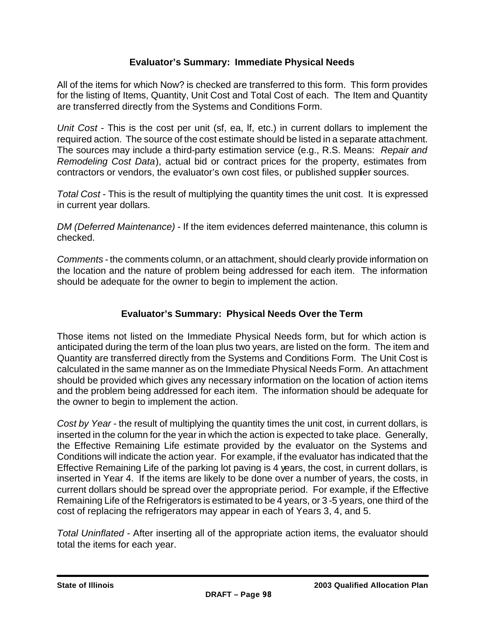### **Evaluator's Summary: Immediate Physical Needs**

All of the items for which Now? is checked are transferred to this form. This form provides for the listing of Items, Quantity, Unit Cost and Total Cost of each. The Item and Quantity are transferred directly from the Systems and Conditions Form.

*Unit Cost* - This is the cost per unit (sf, ea, lf, etc.) in current dollars to implement the required action. The source of the cost estimate should be listed in a separate attachment. The sources may include a third-party estimation service (e.g., R.S. Means: *Repair and Remodeling Cost Data*), actual bid or contract prices for the property, estimates from contractors or vendors, the evaluator's own cost files, or published supplier sources.

*Total Cost* - This is the result of multiplying the quantity times the unit cost. It is expressed in current year dollars.

*DM (Deferred Maintenance)* - If the item evidences deferred maintenance, this column is checked.

*Comments* - the comments column, or an attachment, should clearly provide information on the location and the nature of problem being addressed for each item. The information should be adequate for the owner to begin to implement the action.

### **Evaluator's Summary: Physical Needs Over the Term**

Those items not listed on the Immediate Physical Needs form, but for which action is anticipated during the term of the loan plus two years, are listed on the form. The item and Quantity are transferred directly from the Systems and Conditions Form. The Unit Cost is calculated in the same manner as on the Immediate Physical Needs Form. An attachment should be provided which gives any necessary information on the location of action items and the problem being addressed for each item. The information should be adequate for the owner to begin to implement the action.

*Cost by Year* - the result of multiplying the quantity times the unit cost, in current dollars, is inserted in the column for the year in which the action is expected to take place. Generally, the Effective Remaining Life estimate provided by the evaluator on the Systems and Conditions will indicate the action year. For example, if the evaluator has indicated that the Effective Remaining Life of the parking lot paving is 4 years, the cost, in current dollars, is inserted in Year 4. If the items are likely to be done over a number of years, the costs, in current dollars should be spread over the appropriate period. For example, if the Effective Remaining Life of the Refrigerators is estimated to be 4 years, or 3 -5 years, one third of the cost of replacing the refrigerators may appear in each of Years 3, 4, and 5.

*Total Uninflated* - After inserting all of the appropriate action items, the evaluator should total the items for each year.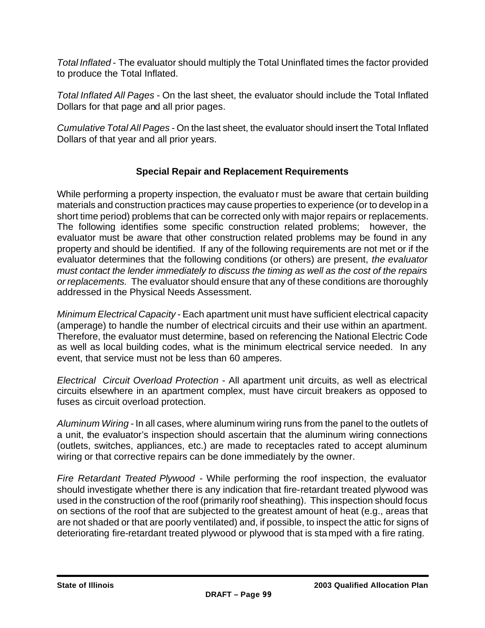*Total Inflated* - The evaluator should multiply the Total Uninflated times the factor provided to produce the Total Inflated.

*Total Inflated All Pages* - On the last sheet, the evaluator should include the Total Inflated Dollars for that page and all prior pages.

*Cumulative Total All Pages* - On the last sheet, the evaluator should insert the Total Inflated Dollars of that year and all prior years.

### **Special Repair and Replacement Requirements**

While performing a property inspection, the evaluator must be aware that certain building materials and construction practices may cause properties to experience (or to develop in a short time period) problems that can be corrected only with major repairs or replacements. The following identifies some specific construction related problems; however, the evaluator must be aware that other construction related problems may be found in any property and should be identified. If any of the following requirements are not met or if the evaluator determines that the following conditions (or others) are present, *the evaluator must contact the lender immediately to discuss the timing as well as the cost of the repairs or replacements.* The evaluator should ensure that any of these conditions are thoroughly addressed in the Physical Needs Assessment.

*Minimum Electrical Capacity* - Each apartment unit must have sufficient electrical capacity (amperage) to handle the number of electrical circuits and their use within an apartment. Therefore, the evaluator must determine, based on referencing the National Electric Code as well as local building codes, what is the minimum electrical service needed. In any event, that service must not be less than 60 amperes.

*Electrical Circuit Overload Protection* - All apartment unit circuits, as well as electrical circuits elsewhere in an apartment complex, must have circuit breakers as opposed to fuses as circuit overload protection.

*Aluminum Wiring* - In all cases, where aluminum wiring runs from the panel to the outlets of a unit, the evaluator's inspection should ascertain that the aluminum wiring connections (outlets, switches, appliances, etc.) are made to receptacles rated to accept aluminum wiring or that corrective repairs can be done immediately by the owner.

*Fire Retardant Treated Plywood* - While performing the roof inspection, the evaluator should investigate whether there is any indication that fire-retardant treated plywood was used in the construction of the roof (primarily roof sheathing). This inspection should focus on sections of the roof that are subjected to the greatest amount of heat (e.g., areas that are not shaded or that are poorly ventilated) and, if possible, to inspect the attic for signs of deteriorating fire-retardant treated plywood or plywood that is stamped with a fire rating.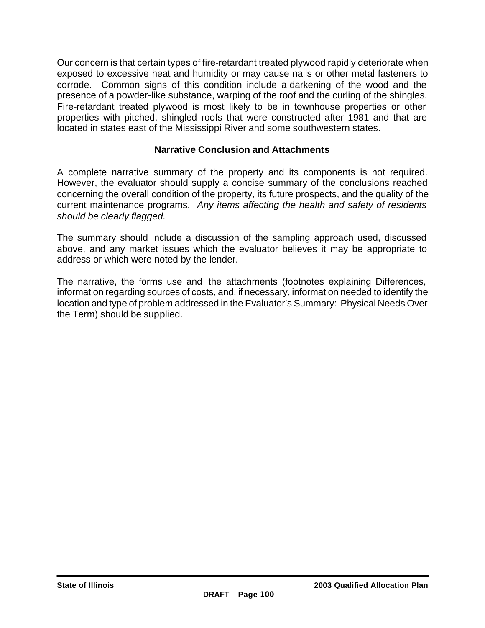Our concern is that certain types of fire-retardant treated plywood rapidly deteriorate when exposed to excessive heat and humidity or may cause nails or other metal fasteners to corrode. Common signs of this condition include a darkening of the wood and the presence of a powder-like substance, warping of the roof and the curling of the shingles. Fire-retardant treated plywood is most likely to be in townhouse properties or other properties with pitched, shingled roofs that were constructed after 1981 and that are located in states east of the Mississippi River and some southwestern states.

### **Narrative Conclusion and Attachments**

A complete narrative summary of the property and its components is not required. However, the evaluator should supply a concise summary of the conclusions reached concerning the overall condition of the property, its future prospects, and the quality of the current maintenance programs. *Any items affecting the health and safety of residents should be clearly flagged.*

The summary should include a discussion of the sampling approach used, discussed above, and any market issues which the evaluator believes it may be appropriate to address or which were noted by the lender.

The narrative, the forms use and the attachments (footnotes explaining Differences, information regarding sources of costs, and, if necessary, information needed to identify the location and type of problem addressed in the Evaluator's Summary: Physical Needs Over the Term) should be supplied.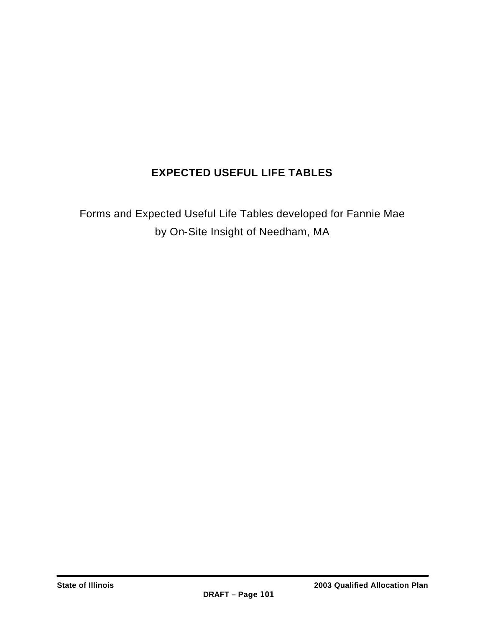### **EXPECTED USEFUL LIFE TABLES**

Forms and Expected Useful Life Tables developed for Fannie Mae by On-Site Insight of Needham, MA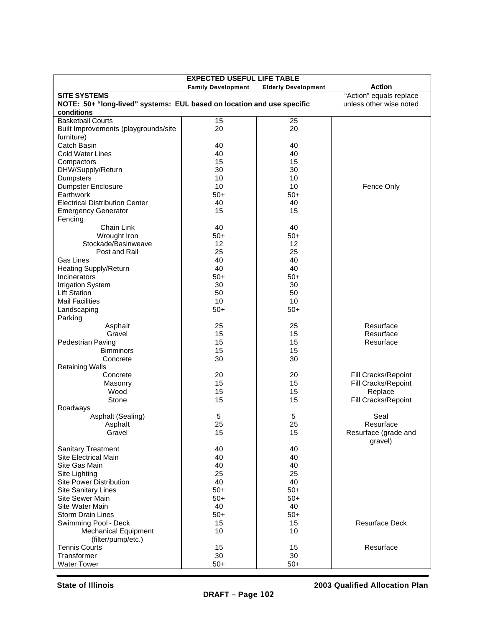| <b>EXPECTED USEFUL LIFE TABLE</b>                                      |                           |                            |                         |  |  |  |  |
|------------------------------------------------------------------------|---------------------------|----------------------------|-------------------------|--|--|--|--|
|                                                                        | <b>Family Development</b> | <b>Elderly Development</b> | <b>Action</b>           |  |  |  |  |
| <b>SITE SYSTEMS</b>                                                    |                           |                            | "Action" equals replace |  |  |  |  |
| NOTE: 50+ "long-lived" systems: EUL based on location and use specific |                           |                            | unless other wise noted |  |  |  |  |
| conditions                                                             |                           |                            |                         |  |  |  |  |
| <b>Basketball Courts</b>                                               | 15                        | 25                         |                         |  |  |  |  |
| Built Improvements (playgrounds/site                                   | 20                        | 20                         |                         |  |  |  |  |
| furniture)                                                             |                           |                            |                         |  |  |  |  |
| Catch Basin                                                            | 40                        | 40                         |                         |  |  |  |  |
| <b>Cold Water Lines</b>                                                | 40                        | 40                         |                         |  |  |  |  |
| Compactors                                                             | 15                        | 15                         |                         |  |  |  |  |
| DHW/Supply/Return                                                      | 30                        | 30                         |                         |  |  |  |  |
| Dumpsters                                                              | 10                        | 10                         |                         |  |  |  |  |
| Dumpster Enclosure                                                     | 10                        | 10                         | Fence Only              |  |  |  |  |
| Earthwork                                                              | $50+$                     | $50+$                      |                         |  |  |  |  |
| <b>Electrical Distribution Center</b>                                  | 40                        | 40                         |                         |  |  |  |  |
| <b>Emergency Generator</b>                                             | 15                        | 15                         |                         |  |  |  |  |
| Fencing                                                                |                           |                            |                         |  |  |  |  |
| Chain Link                                                             | 40                        | 40                         |                         |  |  |  |  |
| Wrought Iron                                                           | $50+$                     | $50+$                      |                         |  |  |  |  |
| Stockade/Basinweave                                                    | 12                        | 12                         |                         |  |  |  |  |
| Post and Rail                                                          | 25                        | 25                         |                         |  |  |  |  |
| Gas Lines                                                              | 40                        | 40                         |                         |  |  |  |  |
| <b>Heating Supply/Return</b>                                           | 40                        | 40                         |                         |  |  |  |  |
| Incinerators                                                           | $50+$                     | $50+$                      |                         |  |  |  |  |
| <b>Irrigation System</b>                                               | 30                        | 30                         |                         |  |  |  |  |
| <b>Lift Station</b>                                                    | 50                        | 50                         |                         |  |  |  |  |
| <b>Mail Facilities</b>                                                 | 10                        | 10                         |                         |  |  |  |  |
| Landscaping                                                            | $50+$                     | $50+$                      |                         |  |  |  |  |
| Parking                                                                |                           |                            |                         |  |  |  |  |
| Asphalt                                                                | 25                        | 25                         | Resurface               |  |  |  |  |
| Gravel                                                                 | 15                        | 15                         | Resurface               |  |  |  |  |
| Pedestrian Paving                                                      | 15                        | 15                         | Resurface               |  |  |  |  |
| <b>Bimminors</b>                                                       | 15                        | 15                         |                         |  |  |  |  |
| Concrete                                                               | 30                        | 30                         |                         |  |  |  |  |
| <b>Retaining Walls</b>                                                 |                           |                            |                         |  |  |  |  |
| Concrete                                                               | 20                        | 20                         | Fill Cracks/Repoint     |  |  |  |  |
| Masonry                                                                | 15                        | 15                         | Fill Cracks/Repoint     |  |  |  |  |
| Wood                                                                   | 15                        | 15                         | Replace                 |  |  |  |  |
| Stone                                                                  | 15                        | 15                         | Fill Cracks/Repoint     |  |  |  |  |
| Roadways                                                               |                           |                            |                         |  |  |  |  |
| Asphalt (Sealing)                                                      | 5                         | 5                          | Seal                    |  |  |  |  |
| Asphalt                                                                | 25                        | 25                         | Resurface               |  |  |  |  |
| Gravel                                                                 | 15                        | 15                         | Resurface (grade and    |  |  |  |  |
|                                                                        |                           |                            | gravel)                 |  |  |  |  |
| <b>Sanitary Treatment</b>                                              | 40                        | 40                         |                         |  |  |  |  |
| Site Electrical Main                                                   | 40                        | 40                         |                         |  |  |  |  |
| Site Gas Main                                                          | 40                        | 40                         |                         |  |  |  |  |
| Site Lighting                                                          | 25                        | 25                         |                         |  |  |  |  |
| <b>Site Power Distribution</b>                                         | 40                        | 40                         |                         |  |  |  |  |
| <b>Site Sanitary Lines</b>                                             | $50+$                     | $50+$                      |                         |  |  |  |  |
| <b>Site Sewer Main</b>                                                 | $50+$                     | $50+$                      |                         |  |  |  |  |
| Site Water Main                                                        | 40                        | 40                         |                         |  |  |  |  |
| <b>Storm Drain Lines</b>                                               | $50+$                     | $50+$                      |                         |  |  |  |  |
| Swimming Pool - Deck                                                   | 15                        | 15                         | <b>Resurface Deck</b>   |  |  |  |  |
| <b>Mechanical Equipment</b>                                            | 10                        | 10                         |                         |  |  |  |  |
| (filter/pump/etc.)                                                     |                           |                            |                         |  |  |  |  |
| <b>Tennis Courts</b><br>Transformer                                    | 15<br>30                  | 15<br>30                   | Resurface               |  |  |  |  |
|                                                                        |                           |                            |                         |  |  |  |  |
| <b>Water Tower</b>                                                     | $50+$                     | $50+$                      |                         |  |  |  |  |

**State of Illinois 2003 Qualified Allocation Plan**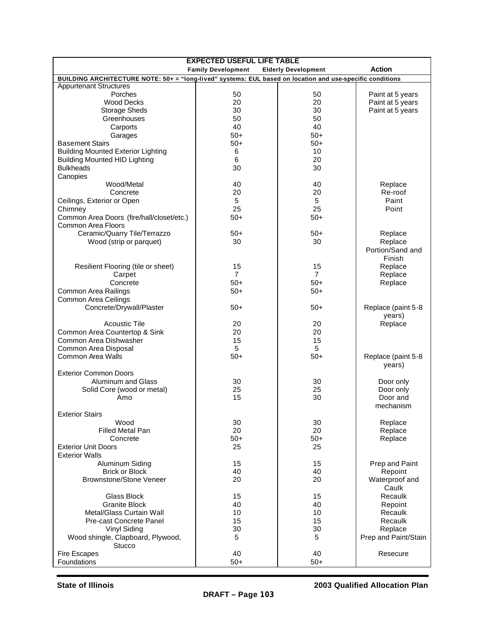| <b>EXPECTED USEFUL LIFE TABLE</b>                                                                         |                           |                            |                      |  |  |  |  |
|-----------------------------------------------------------------------------------------------------------|---------------------------|----------------------------|----------------------|--|--|--|--|
|                                                                                                           | <b>Family Development</b> | <b>Elderly Development</b> | <b>Action</b>        |  |  |  |  |
| BUILDING ARCHITECTURE NOTE: 50+ = "long-lived" systems: EUL based on location and use-specific conditions |                           |                            |                      |  |  |  |  |
| <b>Appurtenant Structures</b>                                                                             |                           |                            |                      |  |  |  |  |
| Porches                                                                                                   | 50                        | 50                         | Paint at 5 years     |  |  |  |  |
| <b>Wood Decks</b>                                                                                         | 20                        | 20                         | Paint at 5 years     |  |  |  |  |
| <b>Storage Sheds</b>                                                                                      | 30                        | 30                         | Paint at 5 years     |  |  |  |  |
| Greenhouses                                                                                               | 50                        | 50                         |                      |  |  |  |  |
| Carports                                                                                                  | 40                        | 40                         |                      |  |  |  |  |
| Garages                                                                                                   | $50+$                     | $50+$                      |                      |  |  |  |  |
| <b>Basement Stairs</b>                                                                                    | $50+$                     | $50+$                      |                      |  |  |  |  |
| <b>Building Mounted Exterior Lighting</b>                                                                 | 6                         | 10                         |                      |  |  |  |  |
| <b>Building Mounted HID Lighting</b>                                                                      | 6                         | 20                         |                      |  |  |  |  |
| <b>Bulkheads</b>                                                                                          | 30                        | 30                         |                      |  |  |  |  |
| Canopies                                                                                                  |                           |                            |                      |  |  |  |  |
| Wood/Metal                                                                                                | 40                        | 40                         | Replace              |  |  |  |  |
| Concrete                                                                                                  | 20                        | 20                         | Re-roof              |  |  |  |  |
| Ceilings, Exterior or Open                                                                                | 5                         | 5                          | Paint                |  |  |  |  |
|                                                                                                           | 25                        | 25                         | Point                |  |  |  |  |
| Chimney                                                                                                   |                           |                            |                      |  |  |  |  |
| Common Area Doors (fire/hall/closet/etc.)                                                                 | $50+$                     | $50+$                      |                      |  |  |  |  |
| <b>Common Area Floors</b>                                                                                 |                           |                            |                      |  |  |  |  |
| Ceramic/Quarry Tile/Terrazzo                                                                              | $50+$                     | $50+$                      | Replace              |  |  |  |  |
| Wood (strip or parquet)                                                                                   | 30                        | 30                         | Replace              |  |  |  |  |
|                                                                                                           |                           |                            | Portion/Sand and     |  |  |  |  |
|                                                                                                           |                           |                            | Finish               |  |  |  |  |
| Resilient Flooring (tile or sheet)                                                                        | 15                        | 15                         | Replace              |  |  |  |  |
| Carpet                                                                                                    | $\overline{7}$            | $\overline{7}$             | Replace              |  |  |  |  |
| Concrete                                                                                                  | $50+$                     | $50+$                      | Replace              |  |  |  |  |
| Common Area Railings                                                                                      | $50+$                     | $50+$                      |                      |  |  |  |  |
| Common Area Ceilings                                                                                      |                           |                            |                      |  |  |  |  |
| Concrete/Drywall/Plaster                                                                                  | $50+$                     | $50+$                      | Replace (paint 5-8   |  |  |  |  |
|                                                                                                           |                           |                            | years)               |  |  |  |  |
| <b>Acoustic Tile</b>                                                                                      | 20                        | 20                         | Replace              |  |  |  |  |
| Common Area Countertop & Sink                                                                             | 20                        | 20                         |                      |  |  |  |  |
| Common Area Dishwasher                                                                                    | 15                        | 15                         |                      |  |  |  |  |
| Common Area Disposal                                                                                      | 5                         | 5                          |                      |  |  |  |  |
| <b>Common Area Walls</b>                                                                                  | $50+$                     | $50+$                      | Replace (paint 5-8   |  |  |  |  |
|                                                                                                           |                           |                            |                      |  |  |  |  |
| <b>Exterior Common Doors</b>                                                                              |                           |                            | years)               |  |  |  |  |
| Aluminum and Glass                                                                                        |                           |                            |                      |  |  |  |  |
|                                                                                                           | 30                        | 30                         | Door only            |  |  |  |  |
| Solid Core (wood or metal)                                                                                | 25                        | 25                         | Door only            |  |  |  |  |
| Amo                                                                                                       | 15                        | 30                         | Door and             |  |  |  |  |
|                                                                                                           |                           |                            | mechanism            |  |  |  |  |
| <b>Exterior Stairs</b>                                                                                    |                           |                            |                      |  |  |  |  |
| Wood                                                                                                      | 30                        | 30                         | Replace              |  |  |  |  |
| <b>Filled Metal Pan</b>                                                                                   | 20                        | 20                         | Replace              |  |  |  |  |
| Concrete                                                                                                  | $50+$                     | $50+$                      | Replace              |  |  |  |  |
| <b>Exterior Unit Doors</b>                                                                                | 25                        | 25                         |                      |  |  |  |  |
| <b>Exterior Walls</b>                                                                                     |                           |                            |                      |  |  |  |  |
| Aluminum Siding                                                                                           | 15                        | 15                         | Prep and Paint       |  |  |  |  |
| <b>Brick or Block</b>                                                                                     | 40                        | 40                         | Repoint              |  |  |  |  |
| <b>Brownstone/Stone Veneer</b>                                                                            | 20                        | 20                         | Waterproof and       |  |  |  |  |
|                                                                                                           |                           |                            | Caulk                |  |  |  |  |
| Glass Block                                                                                               | 15                        | 15                         | Recaulk              |  |  |  |  |
| <b>Granite Block</b>                                                                                      | 40                        | 40                         | Repoint              |  |  |  |  |
| <b>Metal/Glass Curtain Wall</b>                                                                           | 10                        | 10                         | Recaulk              |  |  |  |  |
| Pre-cast Concrete Panel                                                                                   | 15                        | 15                         | Recaulk              |  |  |  |  |
| Vinyl Siding                                                                                              | 30                        | 30                         | Replace              |  |  |  |  |
| Wood shingle, Clapboard, Plywood,                                                                         | 5                         | 5                          | Prep and Paint/Stain |  |  |  |  |
| Stucco                                                                                                    |                           |                            |                      |  |  |  |  |
| Fire Escapes                                                                                              | 40                        | 40                         | Resecure             |  |  |  |  |
| Foundations                                                                                               | $50+$                     | $50+$                      |                      |  |  |  |  |
|                                                                                                           |                           |                            |                      |  |  |  |  |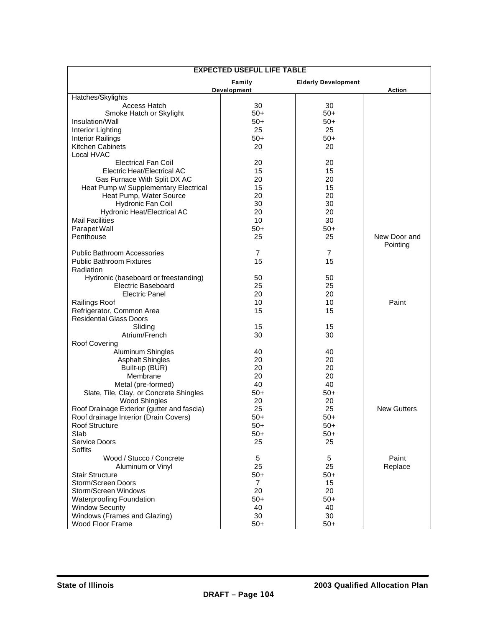| <b>EXPECTED USEFUL LIFE TABLE</b>          |                    |                            |                    |  |  |  |
|--------------------------------------------|--------------------|----------------------------|--------------------|--|--|--|
|                                            | Family             | <b>Elderly Development</b> |                    |  |  |  |
|                                            | <b>Development</b> |                            | <b>Action</b>      |  |  |  |
| Hatches/Skylights                          |                    |                            |                    |  |  |  |
| Access Hatch<br>Smoke Hatch or Skylight    | 30<br>$50+$        | 30<br>$50+$                |                    |  |  |  |
|                                            |                    |                            |                    |  |  |  |
| Insulation/Wall                            | $50+$              | $50+$                      |                    |  |  |  |
| Interior Lighting                          | 25                 | 25                         |                    |  |  |  |
| <b>Interior Railings</b>                   | $50+$              | $50+$                      |                    |  |  |  |
| Kitchen Cabinets<br>Local HVAC             | 20                 | 20                         |                    |  |  |  |
| <b>Electrical Fan Coil</b>                 | 20                 | 20                         |                    |  |  |  |
| Electric Heat/Electrical AC                | 15                 | 15                         |                    |  |  |  |
| Gas Furnace With Split DX AC               | 20                 | 20                         |                    |  |  |  |
| Heat Pump w/ Supplementary Electrical      | 15                 | 15                         |                    |  |  |  |
| Heat Pump, Water Source                    | 20                 | 20                         |                    |  |  |  |
| Hydronic Fan Coil                          | 30                 | 30                         |                    |  |  |  |
| Hydronic Heat/Electrical AC                | 20                 | 20                         |                    |  |  |  |
| <b>Mail Facilities</b>                     | 10                 | 30                         |                    |  |  |  |
| Parapet Wall                               | $50+$              | $50+$                      |                    |  |  |  |
| Penthouse                                  | 25                 | 25                         | New Door and       |  |  |  |
|                                            |                    |                            | Pointing           |  |  |  |
| <b>Public Bathroom Accessories</b>         | $\overline{7}$     | $\overline{7}$             |                    |  |  |  |
| <b>Public Bathroom Fixtures</b>            | 15                 | 15                         |                    |  |  |  |
| Radiation                                  |                    |                            |                    |  |  |  |
| Hydronic (baseboard or freestanding)       | 50                 | 50                         |                    |  |  |  |
| Electric Baseboard                         | 25                 | 25                         |                    |  |  |  |
| Electric Panel                             | 20                 | 20                         |                    |  |  |  |
| Railings Roof                              | 10                 | 10                         | Paint              |  |  |  |
| Refrigerator, Common Area                  | 15                 | 15                         |                    |  |  |  |
| <b>Residential Glass Doors</b>             |                    |                            |                    |  |  |  |
| Sliding                                    | 15                 | 15                         |                    |  |  |  |
| Atrium/French                              | 30                 | 30                         |                    |  |  |  |
| Roof Covering                              |                    |                            |                    |  |  |  |
| Aluminum Shingles                          | 40                 | 40                         |                    |  |  |  |
| <b>Asphalt Shingles</b>                    | 20                 | 20                         |                    |  |  |  |
| Built-up (BUR)                             | 20                 | 20                         |                    |  |  |  |
| Membrane                                   | 20                 | 20                         |                    |  |  |  |
| Metal (pre-formed)                         | 40                 | 40                         |                    |  |  |  |
| Slate, Tile, Clay, or Concrete Shingles    | $50+$              | $50+$                      |                    |  |  |  |
| Wood Shingles                              | 20                 | 20                         |                    |  |  |  |
| Roof Drainage Exterior (gutter and fascia) | 25                 | 25                         | <b>New Gutters</b> |  |  |  |
| Roof drainage Interior (Drain Covers)      | $50+$              | $50+$                      |                    |  |  |  |
| Roof Structure                             | $50+$              | $50+$                      |                    |  |  |  |
| Slab                                       | $50+$              | $50+$                      |                    |  |  |  |
| Service Doors                              | 25                 | 25                         |                    |  |  |  |
| <b>Soffits</b>                             |                    |                            |                    |  |  |  |
| Wood / Stucco / Concrete                   | 5                  | 5                          | Paint              |  |  |  |
| Aluminum or Vinyl                          | 25                 | 25                         | Replace            |  |  |  |
| <b>Stair Structure</b>                     | $50+$              | $50+$                      |                    |  |  |  |
| Storm/Screen Doors                         | 7                  | 15                         |                    |  |  |  |
| Storm/Screen Windows                       | 20                 | 20                         |                    |  |  |  |
| <b>Waterproofing Foundation</b>            | $50+$              | $50+$                      |                    |  |  |  |
| <b>Window Security</b>                     | 40                 | 40                         |                    |  |  |  |
| Windows (Frames and Glazing)               | 30                 | 30                         |                    |  |  |  |
| Wood Floor Frame                           | $50+$              | $50+$                      |                    |  |  |  |
|                                            |                    |                            |                    |  |  |  |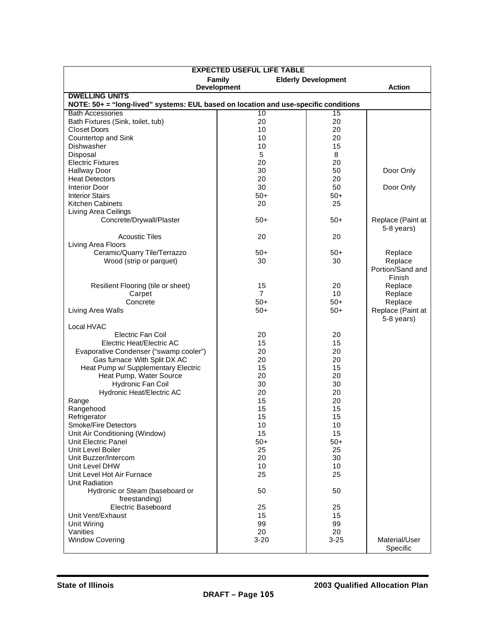| <b>EXPECTED USEFUL LIFE TABLE</b>                                                                            |                    |          |                   |  |  |  |  |  |
|--------------------------------------------------------------------------------------------------------------|--------------------|----------|-------------------|--|--|--|--|--|
| Family                                                                                                       |                    |          |                   |  |  |  |  |  |
|                                                                                                              | <b>Development</b> |          | <b>Action</b>     |  |  |  |  |  |
| <b>DWELLING UNITS</b><br>NOTE: 50+ = "long-lived" systems: EUL based on location and use-specific conditions |                    |          |                   |  |  |  |  |  |
| <b>Bath Accessories</b>                                                                                      | 10                 | 15       |                   |  |  |  |  |  |
| Bath Fixtures (Sink, toilet, tub)                                                                            | 20                 | 20       |                   |  |  |  |  |  |
| Closet Doors                                                                                                 | 10                 | 20       |                   |  |  |  |  |  |
| Countertop and Sink                                                                                          | 10                 | 20       |                   |  |  |  |  |  |
| Dishwasher                                                                                                   | 10                 | 15       |                   |  |  |  |  |  |
| Disposal                                                                                                     | 5                  | 8        |                   |  |  |  |  |  |
| <b>Electric Fixtures</b>                                                                                     | 20                 | 20       |                   |  |  |  |  |  |
| <b>Hallway Door</b>                                                                                          | 30                 | 50       | Door Only         |  |  |  |  |  |
| <b>Heat Detectors</b>                                                                                        | 20                 | 20       |                   |  |  |  |  |  |
| <b>Interior Door</b>                                                                                         | 30                 | 50       | Door Only         |  |  |  |  |  |
| <b>Interior Stairs</b>                                                                                       | $50+$              | $50+$    |                   |  |  |  |  |  |
| Kitchen Cabinets<br>Living Area Ceilings                                                                     | 20                 | 25       |                   |  |  |  |  |  |
| Concrete/Drywall/Plaster                                                                                     | $50+$              | $50+$    | Replace (Paint at |  |  |  |  |  |
|                                                                                                              |                    |          | 5-8 years)        |  |  |  |  |  |
| <b>Acoustic Tiles</b>                                                                                        | 20                 | 20       |                   |  |  |  |  |  |
| Living Area Floors                                                                                           |                    |          |                   |  |  |  |  |  |
| Ceramic/Quarry Tile/Terrazzo                                                                                 | $50+$              | $50+$    | Replace           |  |  |  |  |  |
| Wood (strip or parquet)                                                                                      | 30                 | 30       | Replace           |  |  |  |  |  |
|                                                                                                              |                    |          | Portion/Sand and  |  |  |  |  |  |
|                                                                                                              |                    |          | Finish            |  |  |  |  |  |
| Resilient Flooring (tile or sheet)                                                                           | 15                 | 20       | Replace           |  |  |  |  |  |
| Carpet                                                                                                       | $\overline{7}$     | 10       | Replace           |  |  |  |  |  |
| Concrete                                                                                                     | $50+$              | $50+$    | Replace           |  |  |  |  |  |
| Living Area Walls                                                                                            | $50+$              | $50+$    | Replace (Paint at |  |  |  |  |  |
|                                                                                                              |                    |          | 5-8 years)        |  |  |  |  |  |
| Local HVAC<br><b>Electric Fan Coil</b>                                                                       | 20                 | 20       |                   |  |  |  |  |  |
| Electric Heat/Electric AC                                                                                    | 15                 | 15       |                   |  |  |  |  |  |
| Evaporative Condenser ("swamp cooler")                                                                       | 20                 | 20       |                   |  |  |  |  |  |
| Gas furnace With Split DX AC                                                                                 | 20                 | 20       |                   |  |  |  |  |  |
| Heat Pump w/ Supplementary Electric                                                                          | 15                 | 15       |                   |  |  |  |  |  |
| Heat Pump, Water Source                                                                                      | 20                 | 20       |                   |  |  |  |  |  |
| Hydronic Fan Coil                                                                                            | 30                 | 30       |                   |  |  |  |  |  |
| Hydronic Heat/Electric AC                                                                                    | 20                 | 20       |                   |  |  |  |  |  |
| Range                                                                                                        | 15                 | 20       |                   |  |  |  |  |  |
| Rangehood                                                                                                    | 15                 | 15       |                   |  |  |  |  |  |
| Refrigerator                                                                                                 | 15                 | 15       |                   |  |  |  |  |  |
| Smoke/Fire Detectors                                                                                         | 10                 | 10       |                   |  |  |  |  |  |
| Unit Air Conditioning (Window)                                                                               | 15                 | 15       |                   |  |  |  |  |  |
| Unit Electric Panel<br>Unit Level Boiler                                                                     | $50+$              | $50+$    |                   |  |  |  |  |  |
| Unit Buzzer/Intercom                                                                                         | 25<br>20           | 25<br>30 |                   |  |  |  |  |  |
| Unit Level DHW                                                                                               | 10                 | 10       |                   |  |  |  |  |  |
| Unit Level Hot Air Furnace                                                                                   | 25                 | 25       |                   |  |  |  |  |  |
| Unit Radiation                                                                                               |                    |          |                   |  |  |  |  |  |
| Hydronic or Steam (baseboard or                                                                              | 50                 | 50       |                   |  |  |  |  |  |
| freestanding)                                                                                                |                    |          |                   |  |  |  |  |  |
| Electric Baseboard                                                                                           | 25                 | 25       |                   |  |  |  |  |  |
| Unit Vent/Exhaust                                                                                            | 15                 | 15       |                   |  |  |  |  |  |
| Unit Wiring                                                                                                  | 99                 | 99       |                   |  |  |  |  |  |
| Vanities                                                                                                     | 20                 | 20       |                   |  |  |  |  |  |
| <b>Window Covering</b>                                                                                       | $3 - 20$           | $3 - 25$ | Material/User     |  |  |  |  |  |
|                                                                                                              |                    |          | Specific          |  |  |  |  |  |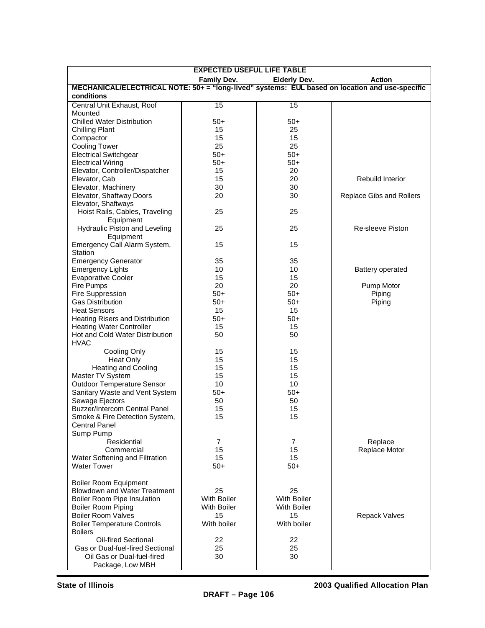| <b>EXPECTED USEFUL LIFE TABLE</b>                                                              |                    |                     |                          |  |  |  |  |
|------------------------------------------------------------------------------------------------|--------------------|---------------------|--------------------------|--|--|--|--|
|                                                                                                | <b>Family Dev.</b> | <b>Elderly Dev.</b> | <b>Action</b>            |  |  |  |  |
| MECHANICAL/ELECTRICAL NOTE: 50+ = "long-lived" systems: EUL based on location and use-specific |                    |                     |                          |  |  |  |  |
| conditions                                                                                     |                    |                     |                          |  |  |  |  |
| Central Unit Exhaust, Roof                                                                     | 15                 | 15                  |                          |  |  |  |  |
| Mounted                                                                                        |                    |                     |                          |  |  |  |  |
| <b>Chilled Water Distribution</b>                                                              | $50+$              | $50+$               |                          |  |  |  |  |
| <b>Chilling Plant</b>                                                                          | 15                 | 25                  |                          |  |  |  |  |
| Compactor                                                                                      | 15                 | 15                  |                          |  |  |  |  |
| <b>Cooling Tower</b>                                                                           | 25                 | 25                  |                          |  |  |  |  |
| <b>Electrical Switchgear</b>                                                                   | $50+$              | $50+$               |                          |  |  |  |  |
| <b>Electrical Wiring</b>                                                                       | $50+$              | $50+$               |                          |  |  |  |  |
| Elevator, Controller/Dispatcher                                                                | 15                 | 20                  |                          |  |  |  |  |
| Elevator, Cab                                                                                  | 15                 | 20                  | Rebuild Interior         |  |  |  |  |
| Elevator, Machinery                                                                            | 30                 | 30                  |                          |  |  |  |  |
| Elevator, Shaftway Doors                                                                       | 20                 | 30                  | Replace Gibs and Rollers |  |  |  |  |
| Elevator, Shaftways                                                                            |                    |                     |                          |  |  |  |  |
| Hoist Rails, Cables, Traveling                                                                 | 25                 | 25                  |                          |  |  |  |  |
| Equipment                                                                                      | 25                 | 25                  | <b>Re-sleeve Piston</b>  |  |  |  |  |
| Hydraulic Piston and Leveling<br>Equipment                                                     |                    |                     |                          |  |  |  |  |
| Emergency Call Alarm System,                                                                   | 15                 | 15                  |                          |  |  |  |  |
| Station                                                                                        |                    |                     |                          |  |  |  |  |
| <b>Emergency Generator</b>                                                                     | 35                 | 35                  |                          |  |  |  |  |
| <b>Emergency Lights</b>                                                                        | 10                 | 10                  | <b>Battery operated</b>  |  |  |  |  |
| <b>Evaporative Cooler</b>                                                                      | 15                 | 15                  |                          |  |  |  |  |
| Fire Pumps                                                                                     | 20                 | 20                  | Pump Motor               |  |  |  |  |
| Fire Suppression                                                                               | $50+$              | $50+$               | Piping                   |  |  |  |  |
| <b>Gas Distribution</b>                                                                        | $50+$              | $50+$               | Piping                   |  |  |  |  |
| <b>Heat Sensors</b>                                                                            | 15                 | 15                  |                          |  |  |  |  |
| Heating Risers and Distribution                                                                | $50+$              | $50+$               |                          |  |  |  |  |
| <b>Heating Water Controller</b>                                                                | 15                 | 15                  |                          |  |  |  |  |
| Hot and Cold Water Distribution                                                                | 50                 | 50                  |                          |  |  |  |  |
| <b>HVAC</b>                                                                                    |                    |                     |                          |  |  |  |  |
| Cooling Only                                                                                   | 15                 | 15                  |                          |  |  |  |  |
| <b>Heat Only</b>                                                                               | 15                 | 15                  |                          |  |  |  |  |
| <b>Heating and Cooling</b>                                                                     | 15                 | 15                  |                          |  |  |  |  |
| Master TV System                                                                               | 15                 | 15                  |                          |  |  |  |  |
| <b>Outdoor Temperature Sensor</b>                                                              | 10                 | 10                  |                          |  |  |  |  |
| Sanitary Waste and Vent System                                                                 | $50+$              | $50+$               |                          |  |  |  |  |
| Sewage Ejectors                                                                                | 50                 | 50                  |                          |  |  |  |  |
| <b>Buzzer/Intercom Central Panel</b>                                                           | 15                 | 15                  |                          |  |  |  |  |
| Smoke & Fire Detection System,                                                                 | 15                 | 15                  |                          |  |  |  |  |
| <b>Central Panel</b>                                                                           |                    |                     |                          |  |  |  |  |
| Sump Pump                                                                                      |                    |                     |                          |  |  |  |  |
| Residential                                                                                    | 7                  | 7                   | Replace                  |  |  |  |  |
| Commercial                                                                                     | 15                 | 15                  | Replace Motor            |  |  |  |  |
| Water Softening and Filtration                                                                 | 15                 | 15                  |                          |  |  |  |  |
| <b>Water Tower</b>                                                                             | $50+$              | $50+$               |                          |  |  |  |  |
|                                                                                                |                    |                     |                          |  |  |  |  |
| <b>Boiler Room Equipment</b>                                                                   |                    |                     |                          |  |  |  |  |
| <b>Blowdown and Water Treatment</b>                                                            | 25                 | 25                  |                          |  |  |  |  |
| <b>Boiler Room Pipe Insulation</b>                                                             | <b>With Boiler</b> | <b>With Boiler</b>  |                          |  |  |  |  |
| <b>Boiler Room Piping</b>                                                                      | <b>With Boiler</b> | With Boiler         |                          |  |  |  |  |
| <b>Boiler Room Valves</b>                                                                      | 15                 | 15                  | <b>Repack Valves</b>     |  |  |  |  |
| <b>Boiler Temperature Controls</b>                                                             | With boiler        | With boiler         |                          |  |  |  |  |
| <b>Boilers</b>                                                                                 |                    |                     |                          |  |  |  |  |
| Oil-fired Sectional                                                                            | 22                 | 22                  |                          |  |  |  |  |
| <b>Gas or Dual-fuel-fired Sectional</b>                                                        | 25                 | 25                  |                          |  |  |  |  |
| Oil Gas or Dual-fuel-fired                                                                     | 30                 | 30                  |                          |  |  |  |  |
| Package, Low MBH                                                                               |                    |                     |                          |  |  |  |  |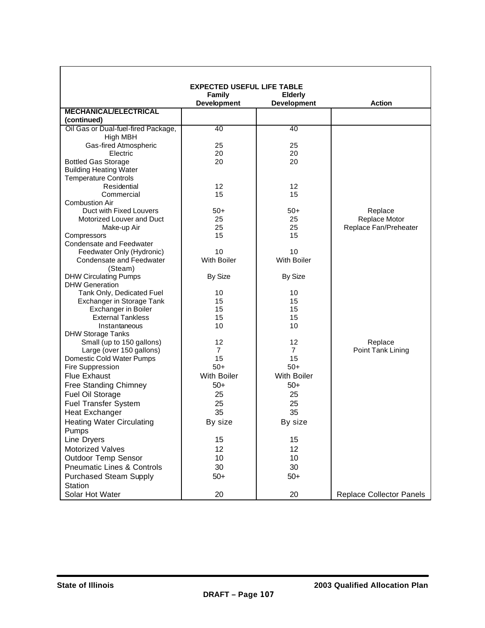|                                          | <b>EXPECTED USEFUL LIFE TABLE</b> |                    |                          |
|------------------------------------------|-----------------------------------|--------------------|--------------------------|
|                                          | <b>Family</b>                     | <b>Elderly</b>     |                          |
|                                          | <b>Development</b>                | <b>Development</b> | <b>Action</b>            |
| <b>MECHANICAL/ELECTRICAL</b>             |                                   |                    |                          |
| (continued)                              |                                   |                    |                          |
| Oil Gas or Dual-fuel-fired Package,      | 40                                | 40                 |                          |
| High MBH                                 |                                   |                    |                          |
| Gas-fired Atmospheric                    | 25                                | 25                 |                          |
| Electric                                 | 20                                | 20                 |                          |
| <b>Bottled Gas Storage</b>               | 20                                | 20                 |                          |
| <b>Building Heating Water</b>            |                                   |                    |                          |
| <b>Temperature Controls</b>              |                                   |                    |                          |
| Residential                              | 12                                | 12                 |                          |
| Commercial                               | 15                                | 15                 |                          |
| <b>Combustion Air</b>                    |                                   |                    |                          |
| Duct with Fixed Louvers                  | $50+$                             | $50+$              | Replace                  |
| Motorized Louver and Duct                | 25                                | 25                 | Replace Motor            |
| Make-up Air                              | 25<br>15                          | 25<br>15           | Replace Fan/Preheater    |
| Compressors<br>Condensate and Feedwater  |                                   |                    |                          |
| Feedwater Only (Hydronic)                | 10                                | 10                 |                          |
| Condensate and Feedwater                 | <b>With Boiler</b>                | <b>With Boiler</b> |                          |
| (Steam)                                  |                                   |                    |                          |
| <b>DHW Circulating Pumps</b>             | By Size                           | By Size            |                          |
| <b>DHW Generation</b>                    |                                   |                    |                          |
| Tank Only, Dedicated Fuel                | 10                                | 10                 |                          |
| Exchanger in Storage Tank                | 15                                | 15                 |                          |
| Exchanger in Boiler                      | 15                                | 15                 |                          |
| <b>External Tankless</b>                 | 15                                | 15                 |                          |
| Instantaneous                            | 10                                | 10                 |                          |
| <b>DHW Storage Tanks</b>                 |                                   |                    |                          |
| Small (up to 150 gallons)                | 12                                | 12                 | Replace                  |
| Large (over 150 gallons)                 | $\overline{7}$                    | $\overline{7}$     | Point Tank Lining        |
| Domestic Cold Water Pumps                | 15                                | 15                 |                          |
| Fire Suppression                         | $50+$                             | $50+$              |                          |
| <b>Flue Exhaust</b>                      | <b>With Boiler</b>                | <b>With Boiler</b> |                          |
| Free Standing Chimney                    | $50+$                             | $50+$              |                          |
| Fuel Oil Storage                         | 25                                | 25                 |                          |
| Fuel Transfer System                     | 25                                | 25                 |                          |
| <b>Heat Exchanger</b>                    | 35                                | 35                 |                          |
| <b>Heating Water Circulating</b>         | By size                           | By size            |                          |
| Pumps                                    |                                   |                    |                          |
| Line Dryers                              | 15                                | 15                 |                          |
| <b>Motorized Valves</b>                  | 12                                | 12                 |                          |
| <b>Outdoor Temp Sensor</b>               | 10                                | 10                 |                          |
|                                          | 30                                | 30                 |                          |
| <b>Pneumatic Lines &amp; Controls</b>    |                                   |                    |                          |
| <b>Purchased Steam Supply</b><br>Station | $50+$                             | $50+$              |                          |
| Solar Hot Water                          | 20                                | 20                 | Replace Collector Panels |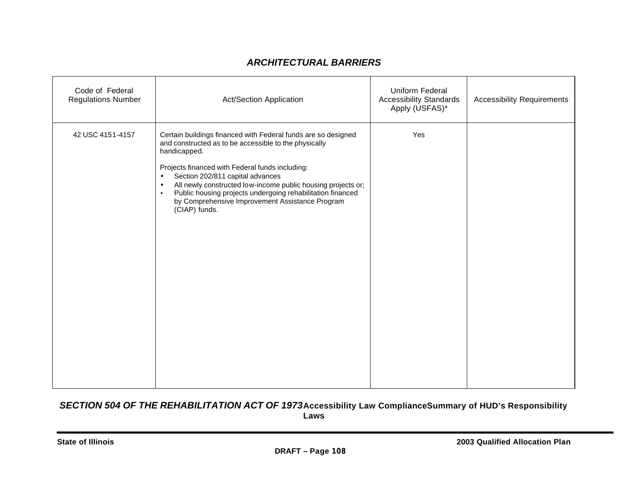### *ARCHITECTURAL BARRIERS*

| Code of Federal<br><b>Regulations Number</b> | <b>Act/Section Application</b>                                                                                                                                                                                                                                                                                                                                                                                                                                         | Uniform Federal<br><b>Accessibility Standards</b><br>Apply (USFAS)* | <b>Accessibility Requirements</b> |
|----------------------------------------------|------------------------------------------------------------------------------------------------------------------------------------------------------------------------------------------------------------------------------------------------------------------------------------------------------------------------------------------------------------------------------------------------------------------------------------------------------------------------|---------------------------------------------------------------------|-----------------------------------|
| 42 USC 4151-4157                             | Certain buildings financed with Federal funds are so designed<br>and constructed as to be accessible to the physically<br>handicapped.<br>Projects financed with Federal funds including:<br>Section 202/811 capital advances<br>$\bullet$<br>All newly constructed low-income public housing projects or;<br>$\bullet$<br>Public housing projects undergoing rehabilitation financed<br>$\bullet$<br>by Comprehensive Improvement Assistance Program<br>(CIAP) funds. | Yes                                                                 |                                   |

#### *SECTION 504 OF THE REHABILITATION ACT OF 1973***Accessibility Law ComplianceSummary of HUD's Responsibility Laws**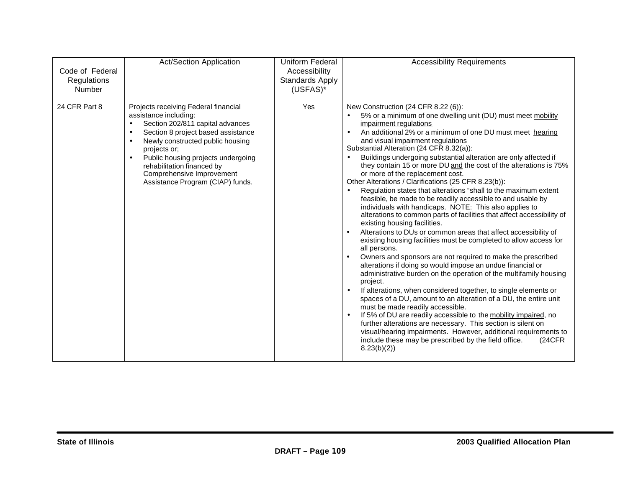| Code of Federal<br>Regulations<br>Number | <b>Act/Section Application</b>                                                                                                                                                                                                                                                                                                                | Uniform Federal<br>Accessibility<br><b>Standards Apply</b><br>(USFAS)* | <b>Accessibility Requirements</b>                                                                                                                                                                                                                                                                                                                                                                                                                                                                                                                                                                                                                                                                                                                                                                                                                                                                                                                                                                                                                                                                                                                                                                                                                                                                                                                                                                                                                                                                                                                                                                                                                                                                                                            |
|------------------------------------------|-----------------------------------------------------------------------------------------------------------------------------------------------------------------------------------------------------------------------------------------------------------------------------------------------------------------------------------------------|------------------------------------------------------------------------|----------------------------------------------------------------------------------------------------------------------------------------------------------------------------------------------------------------------------------------------------------------------------------------------------------------------------------------------------------------------------------------------------------------------------------------------------------------------------------------------------------------------------------------------------------------------------------------------------------------------------------------------------------------------------------------------------------------------------------------------------------------------------------------------------------------------------------------------------------------------------------------------------------------------------------------------------------------------------------------------------------------------------------------------------------------------------------------------------------------------------------------------------------------------------------------------------------------------------------------------------------------------------------------------------------------------------------------------------------------------------------------------------------------------------------------------------------------------------------------------------------------------------------------------------------------------------------------------------------------------------------------------------------------------------------------------------------------------------------------------|
| 24 CFR Part 8                            | Projects receiving Federal financial<br>assistance including:<br>Section 202/811 capital advances<br>$\bullet$<br>Section 8 project based assistance<br>Newly constructed public housing<br>projects or;<br>Public housing projects undergoing<br>rehabilitation financed by<br>Comprehensive Improvement<br>Assistance Program (CIAP) funds. | Yes                                                                    | New Construction (24 CFR 8.22 (6)):<br>5% or a minimum of one dwelling unit (DU) must meet mobility<br>impairment regulations<br>An additional 2% or a minimum of one DU must meet hearing<br>$\bullet$<br>and visual impairment regulations<br>Substantial Alteration (24 CFR 8.32(a)):<br>Buildings undergoing substantial alteration are only affected if<br>$\bullet$<br>they contain 15 or more DU and the cost of the alterations is 75%<br>or more of the replacement cost.<br>Other Alterations / Clarifications (25 CFR 8.23(b)):<br>Regulation states that alterations "shall to the maximum extent<br>feasible, be made to be readily accessible to and usable by<br>individuals with handicaps. NOTE: This also applies to<br>alterations to common parts of facilities that affect accessibility of<br>existing housing facilities.<br>Alterations to DUs or common areas that affect accessibility of<br>$\bullet$<br>existing housing facilities must be completed to allow access for<br>all persons.<br>Owners and sponsors are not required to make the prescribed<br>$\bullet$<br>alterations if doing so would impose an undue financial or<br>administrative burden on the operation of the multifamily housing<br>project.<br>If alterations, when considered together, to single elements or<br>$\bullet$<br>spaces of a DU, amount to an alteration of a DU, the entire unit<br>must be made readily accessible.<br>If 5% of DU are readily accessible to the mobility impaired, no<br>$\bullet$<br>further alterations are necessary. This section is silent on<br>visual/hearing impairments. However, additional requirements to<br>include these may be prescribed by the field office.<br>(24CFR)<br>8.23(b)(2) |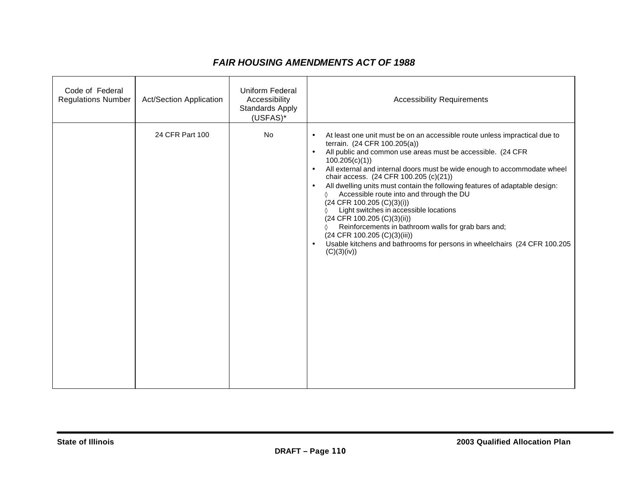### *FAIR HOUSING AMENDMENTS ACT OF 1988*

| Code of Federal<br><b>Regulations Number</b> | <b>Act/Section Application</b> | Uniform Federal<br>Accessibility<br>Standards Apply<br>(USFAS)* | <b>Accessibility Requirements</b>                                                                                                                                                                                                                                                                                                                                                                                                                                                                                                                                                                                                                                                                                                                                                                              |
|----------------------------------------------|--------------------------------|-----------------------------------------------------------------|----------------------------------------------------------------------------------------------------------------------------------------------------------------------------------------------------------------------------------------------------------------------------------------------------------------------------------------------------------------------------------------------------------------------------------------------------------------------------------------------------------------------------------------------------------------------------------------------------------------------------------------------------------------------------------------------------------------------------------------------------------------------------------------------------------------|
|                                              | 24 CFR Part 100                | No                                                              | At least one unit must be on an accessible route unless impractical due to<br>$\bullet$<br>terrain. (24 CFR 100.205(a))<br>All public and common use areas must be accessible. (24 CFR<br>$\bullet$<br>100.205(c)(1)<br>All external and internal doors must be wide enough to accommodate wheel<br>$\bullet$<br>chair access. (24 CFR 100.205 (c)(21))<br>All dwelling units must contain the following features of adaptable design:<br>$\bullet$<br>Accessible route into and through the DU<br>♦<br>$(24$ CFR 100.205 $(C)(3)(i))$<br>Light switches in accessible locations<br>(24 CFR 100.205 (C)(3)(ii))<br>Reinforcements in bathroom walls for grab bars and;<br>(24 CFR 100.205 (C)(3)(iii))<br>Usable kitchens and bathrooms for persons in wheelchairs (24 CFR 100.205<br>$\bullet$<br>(C)(3)(iv)) |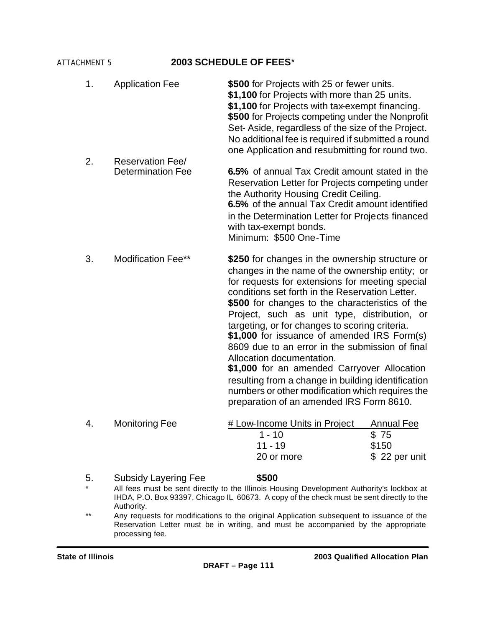#### ATTACHMENT 5 **2003 SCHEDULE OF FEES**\*

| 4.       | <b>Monitoring Fee</b>                                                     | # Low-Income Units in Project<br>$1 - 10$<br>$11 - 19$<br>20 or more                                                                                                                                                                                                                                                                                                                                                                                                                                                                                                                                                                                                                              | <b>Annual Fee</b><br>\$75<br>\$150<br>\$22 per unit |  |  |  |  |
|----------|---------------------------------------------------------------------------|---------------------------------------------------------------------------------------------------------------------------------------------------------------------------------------------------------------------------------------------------------------------------------------------------------------------------------------------------------------------------------------------------------------------------------------------------------------------------------------------------------------------------------------------------------------------------------------------------------------------------------------------------------------------------------------------------|-----------------------------------------------------|--|--|--|--|
|          |                                                                           | \$250 for changes in the ownership structure or<br>changes in the name of the ownership entity; or<br>for requests for extensions for meeting special<br>conditions set forth in the Reservation Letter.<br>\$500 for changes to the characteristics of the<br>Project, such as unit type, distribution, or<br>targeting, or for changes to scoring criteria.<br>\$1,000 for issuance of amended IRS Form(s)<br>8609 due to an error in the submission of final<br>Allocation documentation.<br>\$1,000 for an amended Carryover Allocation<br>resulting from a change in building identification<br>numbers or other modification which requires the<br>preparation of an amended IRS Form 8610. |                                                     |  |  |  |  |
| 3.       | <b>Reservation Fee/</b><br><b>Determination Fee</b><br>Modification Fee** | 6.5% of annual Tax Credit amount stated in the<br>Reservation Letter for Projects competing under<br>the Authority Housing Credit Ceiling.<br>6.5% of the annual Tax Credit amount identified<br>in the Determination Letter for Projects financed<br>with tax-exempt bonds.<br>Minimum: \$500 One-Time                                                                                                                                                                                                                                                                                                                                                                                           |                                                     |  |  |  |  |
| 1.<br>2. | <b>Application Fee</b>                                                    | \$500 for Projects with 25 or fewer units.<br>\$1,100 for Projects with more than 25 units.<br>\$1,100 for Projects with tax-exempt financing.<br>\$500 for Projects competing under the Nonprofit<br>Set-Aside, regardless of the size of the Project.<br>No additional fee is required if submitted a round<br>one Application and resubmitting for round two.                                                                                                                                                                                                                                                                                                                                  |                                                     |  |  |  |  |

- \* All fees must be sent directly to the Illinois Housing Development Authority's lockbox at IHDA, P.O. Box 93397, Chicago IL 60673. A copy of the check must be sent directly to the Authority.
- \*\* Any requests for modifications to the original Application subsequent to issuance of the Reservation Letter must be in writing, and must be accompanied by the appropriate processing fee.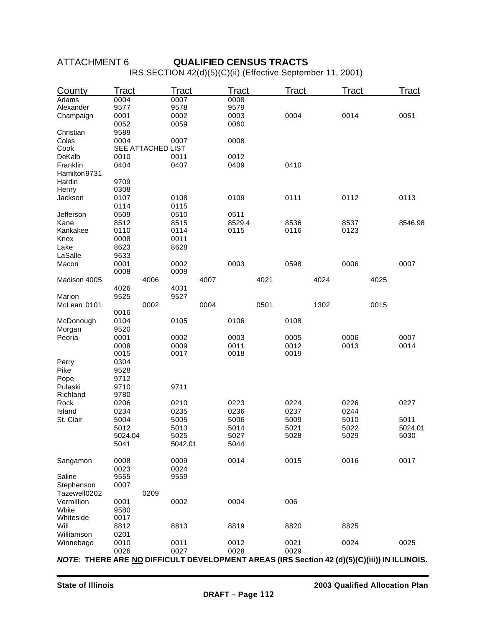#### **DRAFT – Page 112**

| ATTACHMENT 6 |
|--------------|
|--------------|

#### **QUALIFIED CENSUS TRACTS**

IRS SECTION 42(d)(5)(C)(ii) (Effective September 11, 2001)

| County                                                                                      | Tract   |                   | <b>Tract</b> |      | <b>Tract</b> |      | Tract |      | Tract |      | Tract   |
|---------------------------------------------------------------------------------------------|---------|-------------------|--------------|------|--------------|------|-------|------|-------|------|---------|
| Adams                                                                                       | 0004    |                   | 0007         |      | 0008         |      |       |      |       |      |         |
| Alexander                                                                                   | 9577    |                   | 9578         |      | 9579         |      |       |      |       |      |         |
| Champaign                                                                                   | 0001    |                   | 0002         |      | 0003         |      | 0004  |      | 0014  |      | 0051    |
|                                                                                             | 0052    |                   | 0059         |      | 0060         |      |       |      |       |      |         |
| Christian                                                                                   | 9589    |                   |              |      |              |      |       |      |       |      |         |
| Coles                                                                                       | 0004    |                   | 0007         |      | 0008         |      |       |      |       |      |         |
| Cook                                                                                        |         | SEE ATTACHED LIST |              |      |              |      |       |      |       |      |         |
| DeKalb                                                                                      | 0010    |                   | 0011         |      | 0012         |      |       |      |       |      |         |
| Franklin                                                                                    | 0404    |                   | 0407         |      | 0409         |      | 0410  |      |       |      |         |
| Hamilton 9731                                                                               |         |                   |              |      |              |      |       |      |       |      |         |
| Hardin                                                                                      | 9709    |                   |              |      |              |      |       |      |       |      |         |
| Henry                                                                                       | 0308    |                   |              |      |              |      |       |      |       |      |         |
| Jackson                                                                                     | 0107    |                   | 0108         |      | 0109         |      | 0111  |      | 0112  |      | 0113    |
|                                                                                             | 0114    |                   | 0115         |      |              |      |       |      |       |      |         |
| Jefferson                                                                                   | 0509    |                   | 0510         |      | 0511         |      |       |      |       |      |         |
| Kane                                                                                        | 8512    |                   | 8515         |      | 8529.4       |      | 8536  |      | 8537  |      | 8546.98 |
| Kankakee                                                                                    | 0110    |                   | 0114         |      | 0115         |      | 0116  |      | 0123  |      |         |
| Knox                                                                                        | 0008    |                   | 0011         |      |              |      |       |      |       |      |         |
| Lake                                                                                        | 8623    |                   | 8628         |      |              |      |       |      |       |      |         |
| LaSalle                                                                                     | 9633    |                   |              |      |              |      |       |      |       |      |         |
| Macon                                                                                       | 0001    |                   | 0002         |      | 0003         |      | 0598  |      | 0006  |      | 0007    |
|                                                                                             | 0008    |                   | 0009         |      |              |      |       |      |       |      |         |
| Madison 4005                                                                                |         | 4006              |              | 4007 |              | 4021 |       | 4024 |       | 4025 |         |
|                                                                                             | 4026    |                   | 4031         |      |              |      |       |      |       |      |         |
| Marion                                                                                      | 9525    | 0002              | 9527         |      |              |      |       |      |       |      |         |
| McLean 0101                                                                                 | 0016    |                   |              | 0004 |              | 0501 |       | 1302 |       | 0015 |         |
| McDonough                                                                                   | 0104    |                   | 0105         |      | 0106         |      | 0108  |      |       |      |         |
| Morgan                                                                                      | 9520    |                   |              |      |              |      |       |      |       |      |         |
| Peoria                                                                                      | 0001    |                   | 0002         |      | 0003         |      | 0005  |      | 0006  |      | 0007    |
|                                                                                             | 0008    |                   | 0009         |      | 0011         |      | 0012  |      | 0013  |      | 0014    |
|                                                                                             | 0015    |                   | 0017         |      | 0018         |      | 0019  |      |       |      |         |
| Perry                                                                                       | 0304    |                   |              |      |              |      |       |      |       |      |         |
| Pike                                                                                        | 9528    |                   |              |      |              |      |       |      |       |      |         |
| Pope                                                                                        | 9712    |                   |              |      |              |      |       |      |       |      |         |
| Pulaski                                                                                     | 9710    |                   | 9711         |      |              |      |       |      |       |      |         |
| Richland                                                                                    | 9780    |                   |              |      |              |      |       |      |       |      |         |
| Rock                                                                                        | 0206    |                   | 0210         |      | 0223         |      | 0224  |      | 0226  |      | 0227    |
| Island                                                                                      | 0234    |                   | 0235         |      | 0236         |      | 0237  |      | 0244  |      |         |
| St. Clair                                                                                   | 5004    |                   | 5005         |      | 5006         |      | 5009  |      | 5010  |      | 5011    |
|                                                                                             | 5012    |                   | 5013         |      | 5014         |      | 5021  |      | 5022  |      | 5024.01 |
|                                                                                             | 5024.04 |                   | 5025         |      | 5027         |      | 5028  |      | 5029  |      | 5030    |
|                                                                                             | 5041    |                   | 5042.01      |      | 5044         |      |       |      |       |      |         |
|                                                                                             |         |                   |              |      |              |      |       |      |       |      |         |
| Sangamon                                                                                    | 0008    |                   | 0009         |      | 0014         |      | 0015  |      | 0016  |      | 0017    |
|                                                                                             | 0023    |                   | 0024         |      |              |      |       |      |       |      |         |
| Saline                                                                                      | 9555    |                   | 9559         |      |              |      |       |      |       |      |         |
| Stephenson                                                                                  | 0007    |                   |              |      |              |      |       |      |       |      |         |
| Tazewell0202                                                                                |         | 0209              |              |      |              |      |       |      |       |      |         |
| Vermillion                                                                                  | 0001    |                   | 0002         |      | 0004         |      | 006   |      |       |      |         |
| White                                                                                       | 9580    |                   |              |      |              |      |       |      |       |      |         |
| Whiteside                                                                                   | 0017    |                   |              |      |              |      |       |      |       |      |         |
| Will                                                                                        | 8812    |                   | 8813         |      | 8819         |      | 8820  |      | 8825  |      |         |
| Williamson                                                                                  | 0201    |                   |              |      |              |      |       |      |       |      |         |
| Winnebago                                                                                   | 0010    |                   | 0011         |      | 0012         |      | 0021  |      | 0024  |      | 0025    |
|                                                                                             | 0026    |                   | 0027         |      | 0028         |      | 0029  |      |       |      |         |
| NOTE: THERE ARE NO DIFFICULT DEVELOPMENT AREAS (IRS Section 42 (d)(5)(C)(iii)) IN ILLINOIS. |         |                   |              |      |              |      |       |      |       |      |         |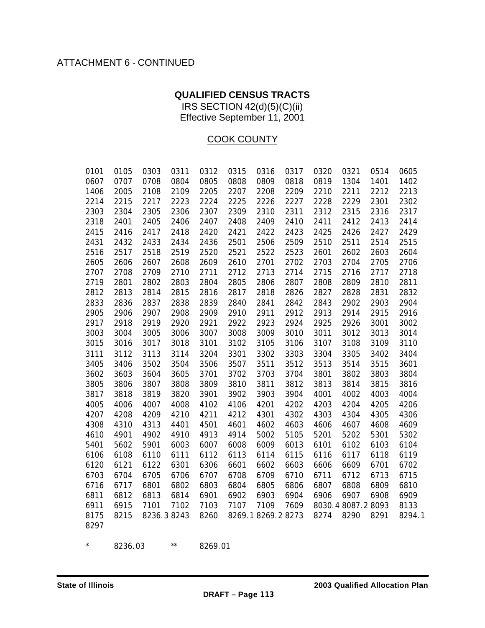# ATTACHMENT 6 - CONTINUED

### **QUALIFIED CENSUS TRACTS**

IRS SECTION 42(d)(5)(C)(ii) Effective September 11, 2001

### COOK COUNTY

| 0101         | 0105         | 0303         | 0311         | 0312         | 0315         | 0316               | 0317         | 0320         | 0321               | 0514         | 0605         |
|--------------|--------------|--------------|--------------|--------------|--------------|--------------------|--------------|--------------|--------------------|--------------|--------------|
| 0607         | 0707         | 0708         | 0804         | 0805         | 0808         | 0809               | 0818         | 0819         | 1304               | 1401         | 1402         |
| 1406         | 2005         | 2108         | 2109         | 2205         | 2207         | 2208               | 2209         | 2210         | 2211               | 2212         | 2213         |
| 2214         | 2215         | 2217         | 2223         | 2224         | 2225         | 2226               | 2227         | 2228         | 2229               | 2301         | 2302         |
| 2303         | 2304         | 2305         | 2306         | 2307         | 2309         | 2310               | 2311         | 2312         | 2315               | 2316         | 2317         |
| 2318         | 2401         | 2405         | 2406         | 2407         | 2408         | 2409               | 2410         | 2411         | 2412               | 2413         | 2414         |
| 2415         | 2416         | 2417         | 2418         | 2420         | 2421         | 2422               | 2423         | 2425         | 2426               | 2427         | 2429         |
| 2431         | 2432         | 2433         | 2434         | 2436         | 2501         | 2506               | 2509         | 2510         | 2511               | 2514         | 2515         |
| 2516         | 2517         | 2518         | 2519         | 2520         | 2521         | 2522               | 2523         | 2601         | 2602               | 2603         | 2604         |
| 2605         | 2606         | 2607         | 2608         | 2609         | 2610         | 2701               | 2702         | 2703         | 2704               | 2705         | 2706         |
| 2707         | 2708         | 2709         | 2710         | 2711         | 2712         | 2713               | 2714         | 2715         | 2716               | 2717         | 2718         |
| 2719         | 2801         | 2802         | 2803         | 2804         | 2805         | 2806               | 2807         | 2808         | 2809               | 2810         | 2811         |
| 2812         | 2813         | 2814         | 2815         | 2816         | 2817         | 2818               | 2826         | 2827         | 2828               | 2831         | 2832         |
| 2833         | 2836         | 2837         | 2838         | 2839         | 2840         | 2841               | 2842         | 2843         | 2902               | 2903         | 2904         |
| 2905         | 2906         | 2907         | 2908         | 2909         | 2910         | 2911               | 2912         | 2913         | 2914               | 2915         | 2916         |
| 2917         | 2918         | 2919         | 2920         | 2921         | 2922         | 2923               | 2924         | 2925         | 2926               | 3001         | 3002         |
| 3003         | 3004         | 3005         | 3006         | 3007         | 3008         | 3009               | 3010         | 3011         | 3012               | 3013         | 3014         |
| 3015         | 3016         | 3017         | 3018         | 3101         | 3102         | 3105               | 3106         | 3107         | 3108               | 3109         | 3110         |
| 3111         | 3112         | 3113         | 3114         | 3204         | 3301         | 3302               | 3303         | 3304         | 3305               | 3402         | 3404         |
| 3405<br>3602 | 3406         | 3502<br>3604 | 3504<br>3605 | 3506<br>3701 | 3507<br>3702 | 3511<br>3703       | 3512<br>3704 | 3513         | 3514<br>3802       | 3515<br>3803 | 3601<br>3804 |
| 3805         | 3603<br>3806 | 3807         | 3808         | 3809         | 3810         | 3811               | 3812         | 3801<br>3813 | 3814               | 3815         | 3816         |
| 3817         | 3818         | 3819         | 3820         | 3901         | 3902         | 3903               | 3904         | 4001         | 4002               | 4003         | 4004         |
| 4005         | 4006         | 4007         | 4008         | 4102         | 4106         | 4201               | 4202         | 4203         | 4204               | 4205         | 4206         |
| 4207         | 4208         | 4209         | 4210         | 4211         | 4212         | 4301               | 4302         | 4303         | 4304               | 4305         | 4306         |
| 4308         | 4310         | 4313         | 4401         | 4501         | 4601         | 4602               | 4603         | 4606         | 4607               | 4608         | 4609         |
| 4610         | 4901         | 4902         | 4910         | 4913         | 4914         | 5002               | 5105         | 5201         | 5202               | 5301         | 5302         |
| 5401         | 5602         | 5901         | 6003         | 6007         | 6008         | 6009               | 6013         | 6101         | 6102               | 6103         | 6104         |
| 6106         | 6108         | 6110         | 6111         | 6112         | 6113         | 6114               | 6115         | 6116         | 6117               | 6118         | 6119         |
| 6120         | 6121         | 6122         | 6301         | 6306         | 6601         | 6602               | 6603         | 6606         | 6609               | 6701         | 6702         |
| 6703         | 6704         | 6705         | 6706         | 6707         | 6708         | 6709               | 6710         | 6711         | 6712               | 6713         | 6715         |
| 6716         | 6717         | 6801         | 6802         | 6803         | 6804         | 6805               | 6806         | 6807         | 6808               | 6809         | 6810         |
| 6811         | 6812         | 6813         | 6814         | 6901         | 6902         | 6903               | 6904         | 6906         | 6907               | 6908         | 6909         |
| 6911         | 6915         | 7101         | 7102         | 7103         | 7107         | 7109               | 7609         |              | 8030.4 8087.2 8093 |              | 8133         |
| 8175         | 8215         | 8236.38243   |              | 8260         |              | 8269.1 8269.2 8273 |              | 8274         | 8290               | 8291         | 8294.1       |
| 8297         |              |              |              |              |              |                    |              |              |                    |              |              |
| $\star$      | 8236.03      |              | $\star\star$ | 8269.01      |              |                    |              |              |                    |              |              |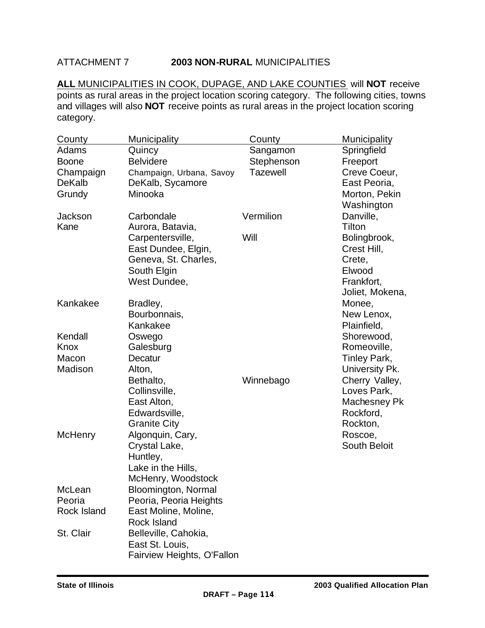#### ATTACHMENT 7 **2003 NON-RURAL** MUNICIPALITIES

**ALL** MUNICIPALITIES IN COOK, DUPAGE, AND LAKE COUNTIES will **NOT** receive points as rural areas in the project location scoring category. The following cities, towns and villages will also **NOT** receive points as rural areas in the project location scoring category.

| County         | <b>Municipality</b>        | County          | <b>Municipality</b> |
|----------------|----------------------------|-----------------|---------------------|
| Adams          | Quincy                     | Sangamon        | Springfield         |
| <b>Boone</b>   | <b>Belvidere</b>           | Stephenson      | Freeport            |
| Champaign      | Champaign, Urbana, Savoy   | <b>Tazewell</b> | Creve Coeur,        |
| <b>DeKalb</b>  | DeKalb, Sycamore           |                 | East Peoria,        |
| Grundy         | Minooka                    |                 | Morton, Pekin       |
|                |                            |                 | Washington          |
| Jackson        | Carbondale                 | Vermilion       | Danville,           |
| Kane           | Aurora, Batavia,           |                 | Tilton              |
|                | Carpentersville,           | Will            | Bolingbrook,        |
|                | East Dundee, Elgin,        |                 | Crest Hill,         |
|                | Geneva, St. Charles,       |                 | Crete,              |
|                | South Elgin                |                 | Elwood              |
|                | West Dundee,               |                 | Frankfort,          |
|                |                            |                 | Joliet, Mokena,     |
| Kankakee       | Bradley,                   |                 | Monee,              |
|                | Bourbonnais,               |                 | New Lenox,          |
|                | Kankakee                   |                 | Plainfield,         |
| Kendall        | Oswego                     |                 | Shorewood,          |
| Knox           | Galesburg                  |                 | Romeoville,         |
| Macon          | Decatur                    |                 | Tinley Park,        |
| Madison        | Alton,                     |                 | University Pk.      |
|                | Bethalto,                  | Winnebago       | Cherry Valley,      |
|                | Collinsville,              |                 | Loves Park,         |
|                | East Alton,                |                 | Machesney Pk        |
|                | Edwardsville,              |                 | Rockford,           |
|                | <b>Granite City</b>        |                 | Rockton,            |
| <b>McHenry</b> | Algonquin, Cary,           |                 | Roscoe,             |
|                | Crystal Lake,              |                 | <b>South Beloit</b> |
|                | Huntley,                   |                 |                     |
|                | Lake in the Hills,         |                 |                     |
|                | McHenry, Woodstock         |                 |                     |
| McLean         | Bloomington, Normal        |                 |                     |
| Peoria         | Peoria, Peoria Heights     |                 |                     |
| Rock Island    | East Moline, Moline,       |                 |                     |
|                | Rock Island                |                 |                     |
| St. Clair      | Belleville, Cahokia,       |                 |                     |
|                | East St. Louis,            |                 |                     |
|                | Fairview Heights, O'Fallon |                 |                     |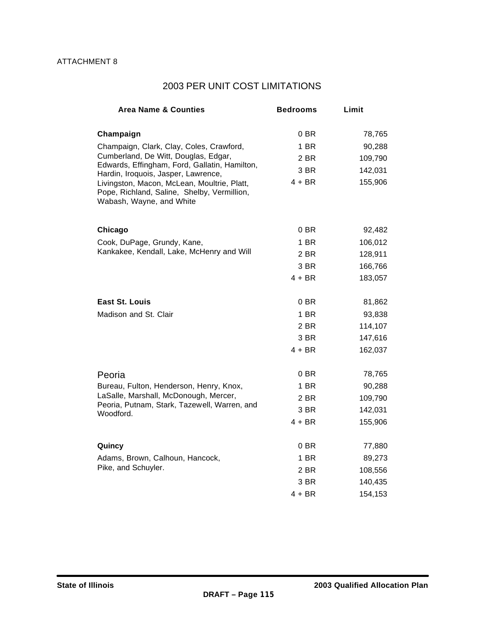# 2003 PER UNIT COST LIMITATIONS

| <b>Area Name &amp; Counties</b>                                                                                        | <b>Bedrooms</b> | Limit   |
|------------------------------------------------------------------------------------------------------------------------|-----------------|---------|
|                                                                                                                        |                 |         |
| Champaign                                                                                                              | 0BR             | 78,765  |
| Champaign, Clark, Clay, Coles, Crawford,                                                                               | 1 BR            | 90,288  |
| Cumberland, De Witt, Douglas, Edgar,<br>Edwards, Effingham, Ford, Gallatin, Hamilton,                                  | 2 BR            | 109,790 |
| Hardin, Iroquois, Jasper, Lawrence,                                                                                    | 3 BR            | 142,031 |
| Livingston, Macon, McLean, Moultrie, Platt,<br>Pope, Richland, Saline, Shelby, Vermillion,<br>Wabash, Wayne, and White | $4 + BR$        | 155,906 |
| Chicago                                                                                                                | 0B              | 92,482  |
| Cook, DuPage, Grundy, Kane,                                                                                            | 1 BR            | 106,012 |
| Kankakee, Kendall, Lake, McHenry and Will                                                                              | 2 BR            | 128,911 |
|                                                                                                                        | 3 BR            | 166,766 |
|                                                                                                                        | $4 + BR$        | 183,057 |
| <b>East St. Louis</b>                                                                                                  | 0 BR            | 81,862  |
| Madison and St. Clair                                                                                                  | 1 BR            | 93,838  |
|                                                                                                                        | 2 BR            | 114,107 |
|                                                                                                                        | 3 BR            | 147,616 |
|                                                                                                                        | $4 + BR$        | 162,037 |
| Peoria                                                                                                                 | 0 BR            | 78,765  |
| Bureau, Fulton, Henderson, Henry, Knox,                                                                                | 1 BR            | 90,288  |
| LaSalle, Marshall, McDonough, Mercer,                                                                                  | 2 BR            | 109,790 |
| Peoria, Putnam, Stark, Tazewell, Warren, and<br>Woodford.                                                              | 3 BR            | 142,031 |
|                                                                                                                        | $4 + BR$        | 155,906 |
| Quincy                                                                                                                 | 0 BR            | 77,880  |
| Adams, Brown, Calhoun, Hancock,                                                                                        | 1 BR            | 89,273  |
| Pike, and Schuyler.                                                                                                    | 2 BR            | 108,556 |
|                                                                                                                        | 3 BR            | 140,435 |
|                                                                                                                        | $4 + BR$        | 154,153 |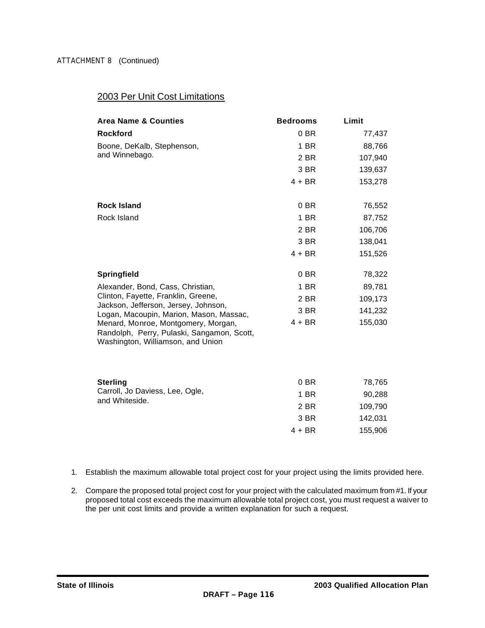#### 2003 Per Unit Cost Limitations

| <b>Area Name &amp; Counties</b>                                                                                        | <b>Bedrooms</b> | Limit   |
|------------------------------------------------------------------------------------------------------------------------|-----------------|---------|
| <b>Rockford</b>                                                                                                        | 0 BR            | 77,437  |
| Boone, DeKalb, Stephenson,                                                                                             | 1 BR            | 88,766  |
| and Winnebago.                                                                                                         | 2 BR            | 107,940 |
|                                                                                                                        | 3 BR            | 139,637 |
|                                                                                                                        | $4 + BR$        | 153,278 |
| <b>Rock Island</b>                                                                                                     | $0$ BR          | 76,552  |
| Rock Island                                                                                                            | 1 BR            | 87,752  |
|                                                                                                                        | 2 BR            | 106,706 |
|                                                                                                                        | 3 BR            | 138,041 |
|                                                                                                                        | $4 + BR$        | 151,526 |
| Springfield                                                                                                            | 0 BR            | 78,322  |
| Alexander, Bond, Cass, Christian,                                                                                      | 1 BR            | 89,781  |
| Clinton, Fayette, Franklin, Greene,                                                                                    | 2 BR            | 109,173 |
| Jackson, Jefferson, Jersey, Johnson,<br>Logan, Macoupin, Marion, Mason, Massac,                                        | 3 BR            | 141,232 |
| Menard, Monroe, Montgomery, Morgan,<br>Randolph, Perry, Pulaski, Sangamon, Scott,<br>Washington, Williamson, and Union | $4 + BR$        | 155,030 |
|                                                                                                                        |                 |         |
| <b>Sterling</b>                                                                                                        | 0 BR            | 78,765  |
| Carroll, Jo Daviess, Lee, Ogle,                                                                                        | 1 BR            | 90,288  |
| and Whiteside.                                                                                                         | 2 BR            | 109,790 |
|                                                                                                                        | 3 BR            | 142,031 |
|                                                                                                                        | $4 + BR$        | 155,906 |

- 1. Establish the maximum allowable total project cost for your project using the limits provided here.
- 2. Compare the proposed total project cost for your project with the calculated maximum from #1. If your proposed total cost exceeds the maximum allowable total project cost, you must request a waiver to the per unit cost limits and provide a written explanation for such a request.